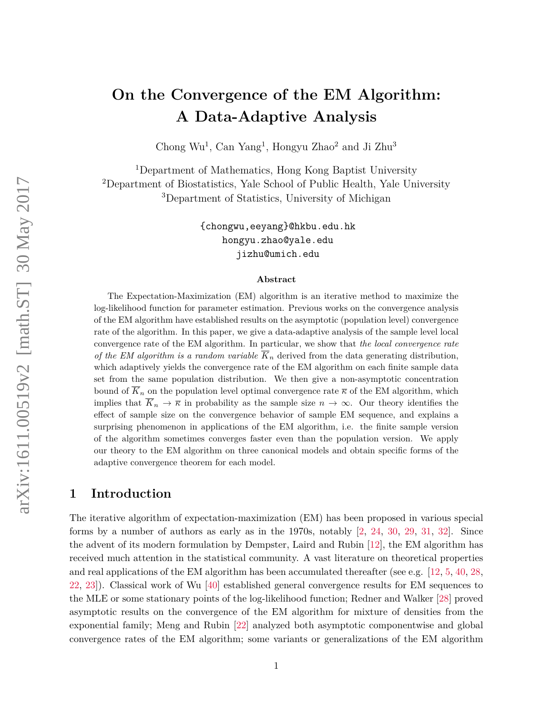# **On the Convergence of the EM Algorithm: A Data-Adaptive Analysis**

[Chong Wu](mailto:cwu@live.com)<sup>1</sup>, [Can Yang](mailto:eeyang@hkbu.edu.hk)<sup>1</sup>, [Hongyu Zhao](mailto:hongyu.zhao@yale.edu)<sup>2</sup> and [Ji Zhu](mailto:jizhu@umich.edu)<sup>3</sup>

<sup>1</sup>Department of Mathematics, Hong Kong Baptist University <sup>2</sup>Department of Biostatistics, Yale School of Public Health, Yale University <sup>3</sup>Department of Statistics, University of Michigan

> [{chongwu,eeyang}@hkbu.edu.hk](mailto:chongwu@hkbu.edu.hk) [hongyu.zhao@yale.edu](mailto:hongyu.zhao@yale) [jizhu@umich.edu](mailto:jizhu@umich.edu)

#### **Abstract**

The Expectation-Maximization (EM) algorithm is an iterative method to maximize the log-likelihood function for parameter estimation. Previous works on the convergence analysis of the EM algorithm have established results on the asymptotic (population level) convergence rate of the algorithm. In this paper, we give a data-adaptive analysis of the sample level local convergence rate of the EM algorithm. In particular, we show that *the local convergence rate of the EM algorithm is a random variable*  $\overline{K}_n$  derived from the data generating distribution, which adaptively yields the convergence rate of the EM algorithm on each finite sample data set from the same population distribution. We then give a non-asymptotic concentration bound of  $\overline{K}_n$  on the population level optimal convergence rate  $\overline{\kappa}$  of the EM algorithm, which implies that  $\overline{K}_n \to \overline{\kappa}$  in probability as the sample size  $n \to \infty$ . Our theory identifies the effect of sample size on the convergence behavior of sample EM sequence, and explains a surprising phenomenon in applications of the EM algorithm, i.e. the finite sample version of the algorithm sometimes converges faster even than the population version. We apply our theory to the EM algorithm on three canonical models and obtain specific forms of the adaptive convergence theorem for each model.

# **1 Introduction**

The iterative algorithm of expectation-maximization (EM) has been proposed in various special forms by a number of authors as early as in the 1970s, notably [\[2,](#page-52-0) [24,](#page-53-0) [30,](#page-53-1) [29,](#page-53-2) [31,](#page-53-3) [32\]](#page-53-4). Since the advent of its modern formulation by Dempster, Laird and Rubin [\[12\]](#page-52-1), the EM algorithm has received much attention in the statistical community. A vast literature on theoretical properties and real applications of the EM algorithm has been accumulated thereafter (see e.g. [\[12,](#page-52-1) [5,](#page-52-2) [40,](#page-54-0) [28,](#page-53-5) [22,](#page-53-6) [23\]](#page-53-7)). Classical work of Wu [\[40\]](#page-54-0) established general convergence results for EM sequences to the MLE or some stationary points of the log-likelihood function; Redner and Walker [\[28\]](#page-53-5) proved asymptotic results on the convergence of the EM algorithm for mixture of densities from the exponential family; Meng and Rubin [\[22\]](#page-53-6) analyzed both asymptotic componentwise and global convergence rates of the EM algorithm; some variants or generalizations of the EM algorithm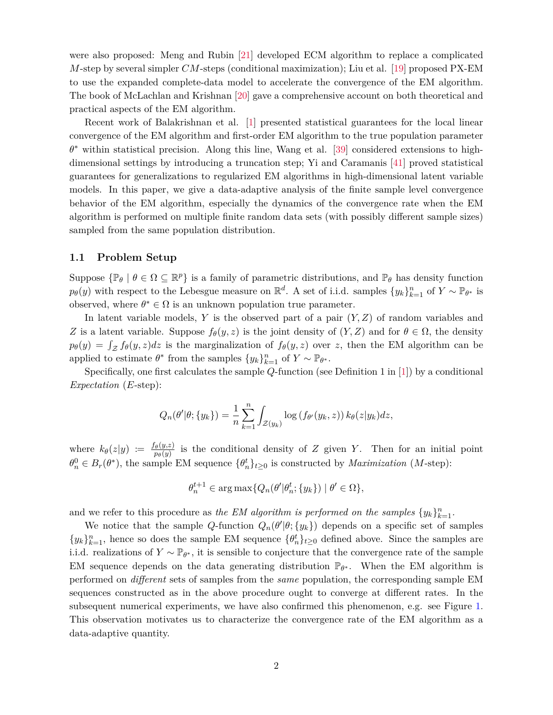were also proposed: Meng and Rubin [\[21\]](#page-53-8) developed ECM algorithm to replace a complicated *M*-step by several simpler *CM*-steps (conditional maximization); Liu et al. [\[19\]](#page-53-9) proposed PX-EM to use the expanded complete-data model to accelerate the convergence of the EM algorithm. The book of McLachlan and Krishnan [\[20\]](#page-53-10) gave a comprehensive account on both theoretical and practical aspects of the EM algorithm.

Recent work of Balakrishnan et al. [\[1\]](#page-52-3) presented statistical guarantees for the local linear convergence of the EM algorithm and first-order EM algorithm to the true population parameter *θ* <sup>∗</sup> within statistical precision. Along this line, Wang et al. [\[39\]](#page-54-1) considered extensions to highdimensional settings by introducing a truncation step; Yi and Caramanis [\[41\]](#page-54-2) proved statistical guarantees for generalizations to regularized EM algorithms in high-dimensional latent variable models. In this paper, we give a data-adaptive analysis of the finite sample level convergence behavior of the EM algorithm, especially the dynamics of the convergence rate when the EM algorithm is performed on multiple finite random data sets (with possibly different sample sizes) sampled from the same population distribution.

#### **1.1 Problem Setup**

Suppose  $\{\mathbb{P}_{\theta} \mid \theta \in \Omega \subseteq \mathbb{R}^p\}$  is a family of parametric distributions, and  $\mathbb{P}_{\theta}$  has density function  $p_{\theta}(y)$  with respect to the Lebesgue measure on  $\mathbb{R}^{d}$ . A set of i.i.d. samples  $\{y_k\}_{k=1}^n$  of  $Y \sim \mathbb{P}_{\theta^*}$  is observed, where  $\theta^* \in \Omega$  is an unknown population true parameter.

In latent variable models, *Y* is the observed part of a pair (*Y, Z*) of random variables and *Z* is a latent variable. Suppose  $f_{\theta}(y, z)$  is the joint density of  $(Y, Z)$  and for  $\theta \in \Omega$ , the density  $p_{\theta}(y) = \int_{\mathcal{Z}} f_{\theta}(y, z) dz$  is the marginalization of  $f_{\theta}(y, z)$  over *z*, then the EM algorithm can be applied to estimate  $\theta^*$  from the samples  $\{y_k\}_{k=1}^n$  of  $Y \sim \mathbb{P}_{\theta^*}$ .

Specifically, one first calculates the sample *Q*-function (see Definition 1 in [\[1\]](#page-52-3)) by a conditional *Expectation* (*E*-step):

$$
Q_n(\theta'|\theta; \{y_k\}) = \frac{1}{n} \sum_{k=1}^n \int_{\mathcal{Z}(y_k)} \log(f_{\theta'}(y_k, z)) k_{\theta}(z|y_k) dz,
$$

where  $k_{\theta}(z|y) := \frac{f_{\theta}(y,z)}{p_{\theta}(y)}$  $\frac{\partial (y, z)}{\partial p(y)}$  is the conditional density of *Z* given *Y*. Then for an initial point  $\theta_n^0 \in B_r(\theta^*)$ , the sample EM sequence  $\{\theta_n^t\}_{t\geq 0}$  is constructed by *Maximization* (*M*-step):

$$
\theta_n^{t+1} \in \arg \max \{ Q_n(\theta' | \theta_n^t; \{y_k\}) \mid \theta' \in \Omega \},\
$$

and we refer to this procedure as *the EM algorithm is performed on the samples*  $\{y_k\}_{k=1}^n$ .

We notice that the sample *Q*-function  $Q_n(\theta'|\theta; \{y_k\})$  depends on a specific set of samples  $\{y_k\}_{k=1}^n$ , hence so does the sample EM sequence  $\{\theta_n^t\}_{t\geq 0}$  defined above. Since the samples are i.i.d. realizations of  $Y \sim \mathbb{P}_{\theta^*}$ , it is sensible to conjecture that the convergence rate of the sample EM sequence depends on the data generating distribution  $\mathbb{P}_{\theta^*}$ . When the EM algorithm is performed on *different* sets of samples from the *same* population, the corresponding sample EM sequences constructed as in the above procedure ought to converge at different rates. In the subsequent numerical experiments, we have also confirmed this phenomenon, e.g. see Figure [1.](#page-2-0) This observation motivates us to characterize the convergence rate of the EM algorithm as a data-adaptive quantity.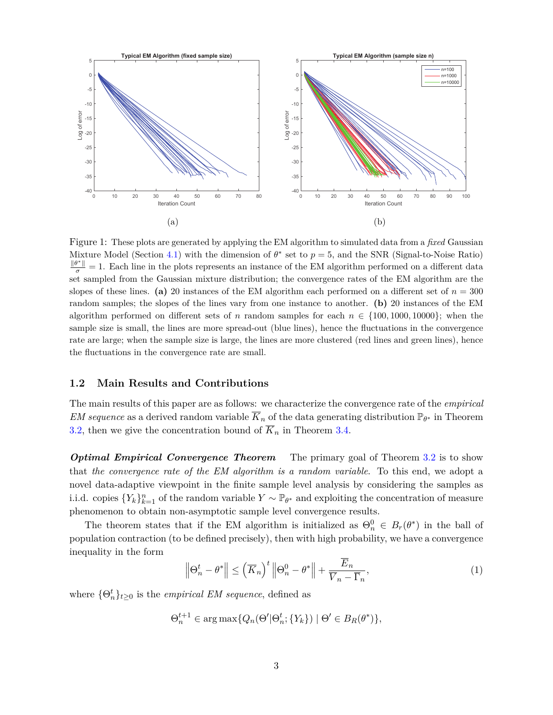<span id="page-2-0"></span>

Figure 1: These plots are generated by applying the EM algorithm to simulated data from a *fixed* Gaussian Mixture Model (Section [4.1\)](#page-22-0) with the dimension of  $\theta^*$  set to  $p=5$ , and the SNR (Signal-to-Noise Ratio)  $\frac{\|\theta^*\|}{\sigma} = 1$ . Each line in the plots represents an instance of the EM algorithm performed on a different data set sampled from the Gaussian mixture distribution; the convergence rates of the EM algorithm are the slopes of these lines. **(a)** 20 instances of the EM algorithm each performed on a different set of  $n = 300$ random samples; the slopes of the lines vary from one instance to another. **(b)** 20 instances of the EM algorithm performed on different sets of *n* random samples for each  $n \in \{100, 1000, 10000\}$ ; when the sample size is small, the lines are more spread-out (blue lines), hence the fluctuations in the convergence rate are large; when the sample size is large, the lines are more clustered (red lines and green lines), hence the fluctuations in the convergence rate are small.

#### **1.2 Main Results and Contributions**

The main results of this paper are as follows: we characterize the convergence rate of the *empirical EM sequence* as a derived random variable  $\overline{K}_n$  of the data generating distribution  $\mathbb{P}_{\theta^*}$  in Theorem [3.2,](#page-17-0) then we give the concentration bound of  $\overline{K}_n$  in Theorem [3.4.](#page-21-0)

*Optimal Empirical Convergence Theorem* The primary goal of Theorem [3.2](#page-17-0) is to show that *the convergence rate of the EM algorithm is a random variable*. To this end, we adopt a novel data-adaptive viewpoint in the finite sample level analysis by considering the samples as i.i.d. copies  ${Y_k}_{k=1}^n$  of the random variable  $Y \sim \mathbb{P}_{\theta^*}$  and exploiting the concentration of measure phenomenon to obtain non-asymptotic sample level convergence results.

The theorem states that if the EM algorithm is initialized as  $\Theta_n^0 \in B_r(\theta^*)$  in the ball of population contraction (to be defined precisely), then with high probability, we have a convergence inequality in the form

<span id="page-2-1"></span>
$$
\left\|\Theta_n^t - \theta^*\right\| \le \left(\overline{K}_n\right)^t \left\|\Theta_n^0 - \theta^*\right\| + \frac{E_n}{\overline{V}_n - \overline{\Gamma}_n},\tag{1}
$$

where  $\{\Theta_n^t\}_{t\geq 0}$  is the *empirical EM sequence*, defined as

 $\Theta_n^{t+1} \in \arg \max \{ Q_n(\Theta' | \Theta_n^t; \{ Y_k \}) \mid \Theta' \in B_R(\theta^*) \},$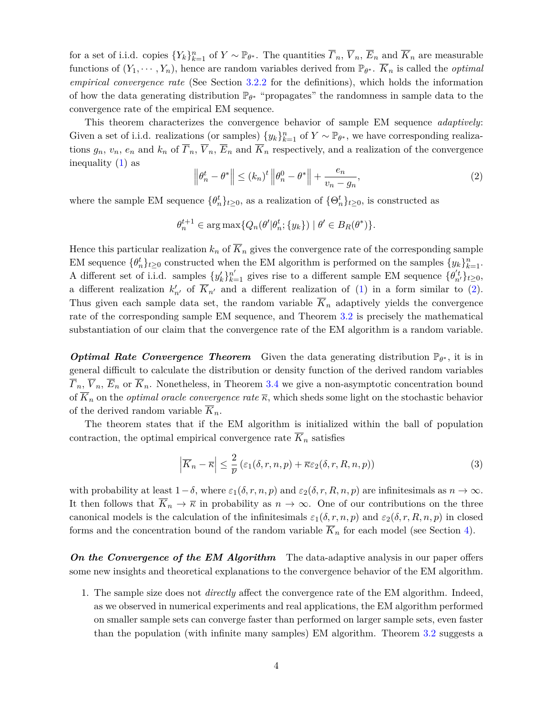for a set of i.i.d. copies  ${Y_k}_{k=1}^n$  of  $Y \sim \mathbb{P}_{\theta^*}$ . The quantities  $\overline{F}_n$ ,  $\overline{V}_n$ ,  $\overline{E}_n$  and  $\overline{K}_n$  are measurable functions of  $(Y_1, \dots, Y_n)$ , hence are random variables derived from  $\mathbb{P}_{\theta^*}$ .  $\overline{K}_n$  is called the *optimal empirical convergence rate* (See Section [3.2.2](#page-15-0) for the definitions), which holds the information of how the data generating distribution P*<sup>θ</sup>* <sup>∗</sup> "propagates" the randomness in sample data to the convergence rate of the empirical EM sequence.

This theorem characterizes the convergence behavior of sample EM sequence *adaptively*: Given a set of i.i.d. realizations (or samples)  $\{y_k\}_{k=1}^n$  of  $Y \sim \mathbb{P}_{\theta^*}$ , we have corresponding realizations  $g_n$ ,  $v_n$ ,  $e_n$  and  $k_n$  of  $\overline{F}_n$ ,  $\overline{V}_n$ ,  $\overline{E}_n$  and  $\overline{K}_n$  respectively, and a realization of the convergence inequality  $(1)$  as

<span id="page-3-0"></span>
$$
\left\|\theta_n^t - \theta^*\right\| \le (k_n)^t \left\|\theta_n^0 - \theta^*\right\| + \frac{e_n}{v_n - g_n},\tag{2}
$$

where the sample EM sequence  $\{\theta_n^t\}_{t\geq 0}$ , as a realization of  $\{\Theta_n^t\}_{t\geq 0}$ , is constructed as

$$
\theta_n^{t+1} \in \arg \max \{ Q_n(\theta' | \theta_n^t; \{y_k\}) \mid \theta' \in B_R(\theta^*) \}.
$$

Hence this particular realization  $k_n$  of  $\overline{K}_n$  gives the convergence rate of the corresponding sample EM sequence  $\{\theta_n^t\}_{t\geq 0}$  constructed when the EM algorithm is performed on the samples  $\{y_k\}_{k=1}^n$ . A different set of i.i.d. samples  $\{y'_k\}_{k=1}^{n'}$  gives rise to a different sample EM sequence  $\{\theta'_{n'}\}_{t\geq 0}$ , a different realization  $k'_{n'}$  of  $\overline{K}_{n'}$  and a different realization of [\(1\)](#page-2-1) in a form similar to [\(2\)](#page-3-0). Thus given each sample data set, the random variable  $\overline{K}_n$  adaptively yields the convergence rate of the corresponding sample EM sequence, and Theorem [3.2](#page-17-0) is precisely the mathematical substantiation of our claim that the convergence rate of the EM algorithm is a random variable.

*Optimal Rate Convergence Theorem* Given the data generating distribution  $\mathbb{P}_{\theta^*}$ , it is in general difficult to calculate the distribution or density function of the derived random variables  $\overline{r}_n, \overline{V}_n, \overline{E}_n$  or  $\overline{K}_n$ . Nonetheless, in Theorem [3.4](#page-21-0) we give a non-asymptotic concentration bound of  $\overline{K}_n$  on the *optimal oracle convergence rate*  $\overline{\kappa}$ , which sheds some light on the stochastic behavior of the derived random variable *Kn*.

The theorem states that if the EM algorithm is initialized within the ball of population contraction, the optimal empirical convergence rate  $\overline{K}_n$  satisfies

<span id="page-3-1"></span>
$$
\left|\overline{K}_n - \overline{\kappa}\right| \le \frac{2}{\overline{\nu}}\left(\varepsilon_1(\delta, r, n, p) + \overline{\kappa}\varepsilon_2(\delta, r, R, n, p)\right) \tag{3}
$$

with probability at least  $1-\delta$ , where  $\varepsilon_1(\delta, r, n, p)$  and  $\varepsilon_2(\delta, r, R, n, p)$  are infinitesimals as  $n \to \infty$ . It then follows that  $\overline{K}_n \to \overline{\kappa}$  in probability as  $n \to \infty$ . One of our contributions on the three canonical models is the calculation of the infinitesimals  $\varepsilon_1(\delta, r, n, p)$  and  $\varepsilon_2(\delta, r, R, n, p)$  in closed forms and the concentration bound of the random variable  $\overline{K}_n$  for each model (see Section [4\)](#page-21-1).

*On the Convergence of the EM Algorithm* The data-adaptive analysis in our paper offers some new insights and theoretical explanations to the convergence behavior of the EM algorithm.

1. The sample size does not *directly* affect the convergence rate of the EM algorithm. Indeed, as we observed in numerical experiments and real applications, the EM algorithm performed on smaller sample sets can converge faster than performed on larger sample sets, even faster than the population (with infinite many samples) EM algorithm. Theorem [3.2](#page-17-0) suggests a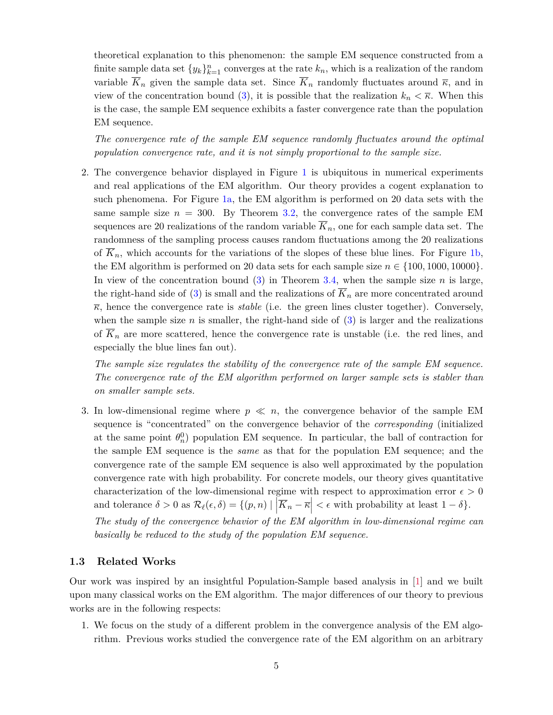theoretical explanation to this phenomenon: the sample EM sequence constructed from a finite sample data set  $\{y_k\}_{k=1}^n$  converges at the rate  $k_n$ , which is a realization of the random variable  $\overline{K}_n$  given the sample data set. Since  $\overline{K}_n$  randomly fluctuates around  $\overline{\kappa}$ , and in view of the concentration bound [\(3\)](#page-3-1), it is possible that the realization  $k_n < \overline{\kappa}$ . When this is the case, the sample EM sequence exhibits a faster convergence rate than the population EM sequence.

*The convergence rate of the sample EM sequence randomly fluctuates around the optimal population convergence rate, and it is not simply proportional to the sample size.*

2. The convergence behavior displayed in Figure [1](#page-2-0) is ubiquitous in numerical experiments and real applications of the EM algorithm. Our theory provides a cogent explanation to such phenomena. For Figure [1a,](#page-2-0) the EM algorithm is performed on 20 data sets with the same sample size  $n = 300$ . By Theorem [3.2,](#page-17-0) the convergence rates of the sample EM sequences are 20 realizations of the random variable  $\overline{K}_n$ , one for each sample data set. The randomness of the sampling process causes random fluctuations among the 20 realizations of  $\overline{K}_n$ , which accounts for the variations of the slopes of these blue lines. For Figure [1b,](#page-2-0) the EM algorithm is performed on 20 data sets for each sample size  $n \in \{100, 1000, 10000\}$ . In view of the concentration bound [\(3\)](#page-3-1) in Theorem [3.4,](#page-21-0) when the sample size *n* is large, the right-hand side of [\(3\)](#page-3-1) is small and the realizations of  $\overline{K}_n$  are more concentrated around  $\overline{\kappa}$ , hence the convergence rate is *stable* (i.e. the green lines cluster together). Conversely, when the sample size  $n$  is smaller, the right-hand side of  $(3)$  is larger and the realizations of  $\overline{K}_n$  are more scattered, hence the convergence rate is unstable (i.e. the red lines, and especially the blue lines fan out).

*The sample size regulates the stability of the convergence rate of the sample EM sequence. The convergence rate of the EM algorithm performed on larger sample sets is stabler than on smaller sample sets.*

3. In low-dimensional regime where  $p \ll n$ , the convergence behavior of the sample EM sequence is "concentrated" on the convergence behavior of the *corresponding* (initialized at the same point  $\theta_n^0$  population EM sequence. In particular, the ball of contraction for the sample EM sequence is the *same* as that for the population EM sequence; and the convergence rate of the sample EM sequence is also well approximated by the population convergence rate with high probability. For concrete models, our theory gives quantitative characterization of the low-dimensional regime with respect to approximation error  $\epsilon > 0$ and tolerance  $\delta > 0$  as  $\mathcal{R}_{\ell}(\epsilon, \delta) = \{(p, n) | \left| \overline{K}_n - \overline{\kappa} \right| < \epsilon \text{ with probability at least } 1 - \delta \}.$ 

*The study of the convergence behavior of the EM algorithm in low-dimensional regime can basically be reduced to the study of the population EM sequence.*

# **1.3 Related Works**

Our work was inspired by an insightful Population-Sample based analysis in [\[1\]](#page-52-3) and we built upon many classical works on the EM algorithm. The major differences of our theory to previous works are in the following respects:

1. We focus on the study of a different problem in the convergence analysis of the EM algorithm. Previous works studied the convergence rate of the EM algorithm on an arbitrary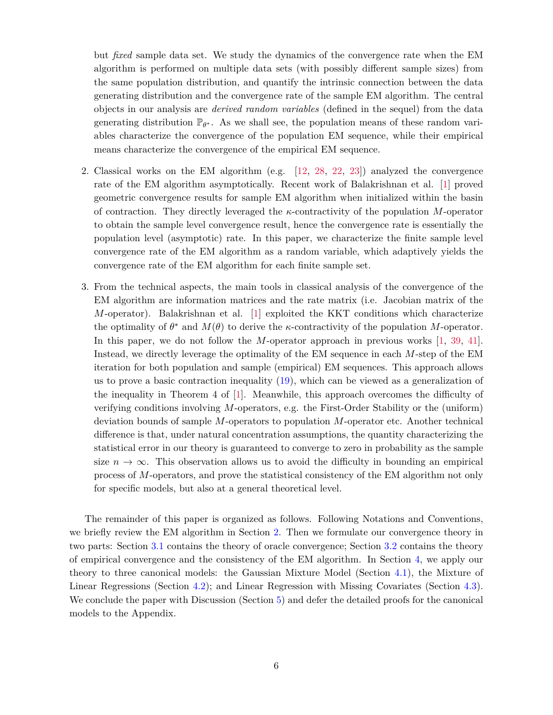but *fixed* sample data set. We study the dynamics of the convergence rate when the EM algorithm is performed on multiple data sets (with possibly different sample sizes) from the same population distribution, and quantify the intrinsic connection between the data generating distribution and the convergence rate of the sample EM algorithm. The central objects in our analysis are *derived random variables* (defined in the sequel) from the data generating distribution  $\mathbb{P}_{\theta^*}$ . As we shall see, the population means of these random variables characterize the convergence of the population EM sequence, while their empirical means characterize the convergence of the empirical EM sequence.

- 2. Classical works on the EM algorithm (e.g. [\[12,](#page-52-1) [28,](#page-53-5) [22,](#page-53-6) [23\]](#page-53-7)) analyzed the convergence rate of the EM algorithm asymptotically. Recent work of Balakrishnan et al. [\[1\]](#page-52-3) proved geometric convergence results for sample EM algorithm when initialized within the basin of contraction. They directly leveraged the *κ*-contractivity of the population *M*-operator to obtain the sample level convergence result, hence the convergence rate is essentially the population level (asymptotic) rate. In this paper, we characterize the finite sample level convergence rate of the EM algorithm as a random variable, which adaptively yields the convergence rate of the EM algorithm for each finite sample set.
- 3. From the technical aspects, the main tools in classical analysis of the convergence of the EM algorithm are information matrices and the rate matrix (i.e. Jacobian matrix of the *M*-operator). Balakrishnan et al. [\[1\]](#page-52-3) exploited the KKT conditions which characterize the optimality of  $\theta^*$  and  $M(\theta)$  to derive the *κ*-contractivity of the population *M*-operator. In this paper, we do not follow the *M*-operator approach in previous works [\[1,](#page-52-3) [39,](#page-54-1) [41\]](#page-54-2). Instead, we directly leverage the optimality of the EM sequence in each *M*-step of the EM iteration for both population and sample (empirical) EM sequences. This approach allows us to prove a basic contraction inequality [\(19\)](#page-12-0), which can be viewed as a generalization of the inequality in Theorem 4 of [\[1\]](#page-52-3). Meanwhile, this approach overcomes the difficulty of verifying conditions involving *M*-operators, e.g. the First-Order Stability or the (uniform) deviation bounds of sample *M*-operators to population *M*-operator etc. Another technical difference is that, under natural concentration assumptions, the quantity characterizing the statistical error in our theory is guaranteed to converge to zero in probability as the sample size  $n \to \infty$ . This observation allows us to avoid the difficulty in bounding an empirical process of *M*-operators, and prove the statistical consistency of the EM algorithm not only for specific models, but also at a general theoretical level.

The remainder of this paper is organized as follows. Following Notations and Conventions, we briefly review the EM algorithm in Section [2.](#page-6-0) Then we formulate our convergence theory in two parts: Section [3.1](#page-9-0) contains the theory of oracle convergence; Section [3.2](#page-13-0) contains the theory of empirical convergence and the consistency of the EM algorithm. In Section [4,](#page-21-1) we apply our theory to three canonical models: the Gaussian Mixture Model (Section [4.1\)](#page-22-0), the Mixture of Linear Regressions (Section [4.2\)](#page-25-0); and Linear Regression with Missing Covariates (Section [4.3\)](#page-28-0). We conclude the paper with Discussion (Section [5\)](#page-33-0) and defer the detailed proofs for the canonical models to the Appendix.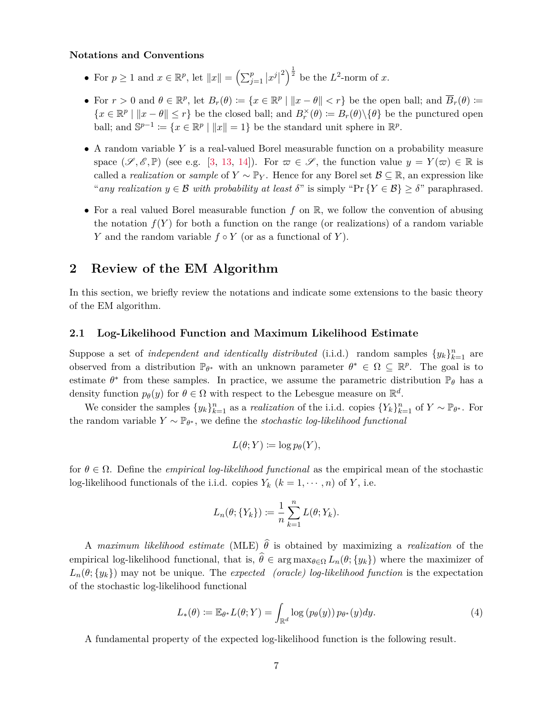#### **Notations and Conventions**

- For  $p \ge 1$  and  $x \in \mathbb{R}^p$ , let  $||x|| = \left(\sum_{j=1}^p |x^j| \right)$  $\left( \frac{2}{2} \right)^{\frac{1}{2}}$  be the *L*<sup>2</sup>-norm of *x*.
- For  $r > 0$  and  $\theta \in \mathbb{R}^p$ , let  $B_r(\theta) := \{x \in \mathbb{R}^p \mid ||x \theta|| < r\}$  be the open ball; and  $\overline{B}_r(\theta) :=$  ${x \in \mathbb{R}^p \mid \|x - \theta\| \leq r}$  be the closed ball; and  $B_r^\times(\theta) \coloneqq B_r(\theta) \setminus {\theta}$  be the punctured open ball; and  $\mathbb{S}^{p-1} := \{x \in \mathbb{R}^p \mid ||x|| = 1\}$  be the standard unit sphere in  $\mathbb{R}^p$ .
- A random variable *Y* is a real-valued Borel measurable function on a probability measure space  $(\mathscr{S}, \mathscr{E}, \mathbb{P})$  (see e.g. [\[3,](#page-52-4) [13,](#page-52-5) [14\]](#page-52-6)). For  $\varpi \in \mathscr{S}$ , the function value  $y = Y(\varpi) \in \mathbb{R}$  is called a *realization* or *sample* of  $Y \sim \mathbb{P}_Y$ . Hence for any Borel set  $\mathcal{B} \subseteq \mathbb{R}$ , an expression like "*any realization*  $y \in \mathcal{B}$  *with probability at least*  $\delta$ " is simply "Pr  $\{Y \in \mathcal{B}\} \geq \delta$ " paraphrased.
- For a real valued Borel measurable function  $f$  on  $\mathbb{R}$ , we follow the convention of abusing the notation  $f(Y)$  for both a function on the range (or realizations) of a random variable *Y* and the random variable  $f \circ Y$  (or as a functional of *Y*).

# <span id="page-6-0"></span>**2 Review of the EM Algorithm**

In this section, we briefly review the notations and indicate some extensions to the basic theory of the EM algorithm.

## **2.1 Log-Likelihood Function and Maximum Likelihood Estimate**

Suppose a set of *independent and identically distributed* (i.i.d.) random samples  $\{y_k\}_{k=1}^n$  are observed from a distribution  $\mathbb{P}_{\theta^*}$  with an unknown parameter  $\theta^* \in \Omega \subseteq \mathbb{R}^p$ . The goal is to estimate  $\theta^*$  from these samples. In practice, we assume the parametric distribution  $\mathbb{P}_{\theta}$  has a density function  $p_{\theta}(y)$  for  $\theta \in \Omega$  with respect to the Lebesgue measure on  $\mathbb{R}^d$ .

We consider the samples  $\{y_k\}_{k=1}^n$  as a *realization* of the i.i.d. copies  $\{Y_k\}_{k=1}^n$  of  $Y \sim \mathbb{P}_{\theta^*}$ . For the random variable  $Y \sim \mathbb{P}_{\theta^*}$ , we define the *stochastic log-likelihood functional* 

$$
L(\theta;Y) \coloneqq \log p_{\theta}(Y),
$$

for *θ* ∈ Ω. Define the *empirical log-likelihood functional* as the empirical mean of the stochastic log-likelihood functionals of the i.i.d. copies  $Y_k$  ( $k = 1, \dots, n$ ) of  $Y$ , i.e.

$$
L_n(\theta; \{Y_k\}) := \frac{1}{n} \sum_{k=1}^n L(\theta; Y_k).
$$

A *maximum likelihood estimate* (MLE)  $\hat{\theta}$  is obtained by maximizing a *realization* of the empirical log-likelihood functional, that is,  $\hat{\theta} \in \arg \max_{\theta \in \Omega} L_n(\theta; \{y_k\})$  where the maximizer of  $L_n(\theta; \{y_k\})$  may not be unique. The *expected (oracle) log-likelihood function* is the expectation of the stochastic log-likelihood functional

$$
L_*(\theta) := \mathbb{E}_{\theta^*} L(\theta; Y) = \int_{\mathbb{R}^d} \log (p_{\theta}(y)) \, p_{\theta^*}(y) dy.
$$
 (4)

A fundamental property of the expected log-likelihood function is the following result.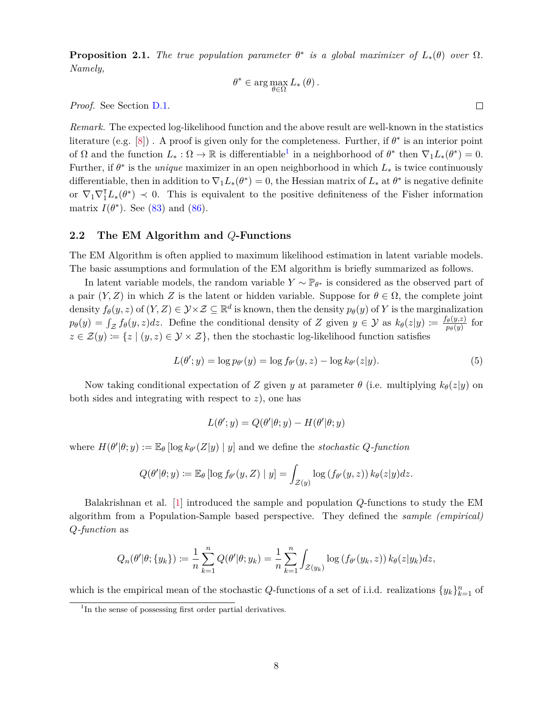<span id="page-7-1"></span>**Proposition 2.1.** *The true population parameter*  $\theta^*$  *is a global maximizer of*  $L_*(\theta)$  *over*  $\Omega$ *. Namely,*

$$
\theta^* \in \arg \max_{\theta \in \Omega} L_* (\theta) .
$$

*Proof.* See Section [D.1.](#page-44-0)

*Remark.* The expected log-likelihood function and the above result are well-known in the statistics literature (e.g.  $[8]$ ). A proof is given only for the completeness. Further, if  $\theta^*$  is an interior point of  $\Omega$  and the function  $L_* : \Omega \to \mathbb{R}$  is differentiable<sup>[1](#page-7-0)</sup> in a neighborhood of  $\theta^*$  then  $\nabla_1 L_*(\theta^*) = 0$ . Further, if  $\theta^*$  is the *unique* maximizer in an open neighborhood in which  $L_*$  is twice continuously differentiable, then in addition to  $\nabla_1 L_*(\theta^*) = 0$ , the Hessian matrix of  $L_*$  at  $\theta^*$  is negative definite or  $\nabla_1 \nabla_1^T L_*(\theta^*) \prec 0$ . This is equivalent to the positive definiteness of the Fisher information matrix  $I(\theta^*)$ . See [\(83\)](#page-46-0) and [\(86\)](#page-46-1).

## **2.2 The EM Algorithm and** *Q***-Functions**

The EM Algorithm is often applied to maximum likelihood estimation in latent variable models. The basic assumptions and formulation of the EM algorithm is briefly summarized as follows.

In latent variable models, the random variable  $Y \sim \mathbb{P}_{\theta^*}$  is considered as the observed part of a pair  $(Y, Z)$  in which Z is the latent or hidden variable. Suppose for  $\theta \in \Omega$ , the complete joint density  $f_{\theta}(y, z)$  of  $(Y, Z) \in \mathcal{Y} \times \mathcal{Z} \subseteq \mathbb{R}^d$  is known, then the density  $p_{\theta}(y)$  of  $Y$  is the marginalization  $p_{\theta}(y) = \int_{\mathcal{Z}} f_{\theta}(y, z) dz$ . Define the conditional density of *Z* given  $y \in \mathcal{Y}$  as  $k_{\theta}(z|y) := \frac{f_{\theta}(y, z)}{p_{\theta}(y)}$  $\frac{\theta(y,z)}{p_{\theta}(y)}$  for  $z \in \mathcal{Z}(y) := \{z \mid (y, z) \in \mathcal{Y} \times \mathcal{Z}\},\$  then the stochastic log-likelihood function satisfies

<span id="page-7-2"></span>
$$
L(\theta'; y) = \log p_{\theta'}(y) = \log f_{\theta'}(y, z) - \log k_{\theta'}(z|y).
$$
\n
$$
(5)
$$

Now taking conditional expectation of *Z* given *y* at parameter  $\theta$  (i.e. multiplying  $k_{\theta}(z|y)$  on both sides and integrating with respect to *z*), one has

$$
L(\theta'; y) = Q(\theta'|\theta; y) - H(\theta'|\theta; y)
$$

where  $H(\theta'|\theta; y) := \mathbb{E}_{\theta} [\log k_{\theta'}(Z|y) | y]$  and we define the *stochastic Q*-function

$$
Q(\theta'|\theta; y) \coloneqq \mathbb{E}_{\theta} [\log f_{\theta'}(y, Z) \mid y] = \int_{\mathcal{Z}(y)} \log (f_{\theta'}(y, z)) k_{\theta}(z|y) dz.
$$

Balakrishnan et al. [\[1\]](#page-52-3) introduced the sample and population *Q*-functions to study the EM algorithm from a Population-Sample based perspective. They defined the *sample (empirical) Q-function* as

$$
Q_n(\theta'|\theta; \{y_k\}) := \frac{1}{n} \sum_{k=1}^n Q(\theta'|\theta; y_k) = \frac{1}{n} \sum_{k=1}^n \int_{\mathcal{Z}(y_k)} \log (f_{\theta'}(y_k, z)) k_{\theta}(z|y_k) dz,
$$

which is the empirical mean of the stochastic *Q*-functions of a set of i.i.d. realizations  $\{y_k\}_{k=1}^n$  of

<span id="page-7-0"></span><sup>&</sup>lt;sup>1</sup>In the sense of possessing first order partial derivatives.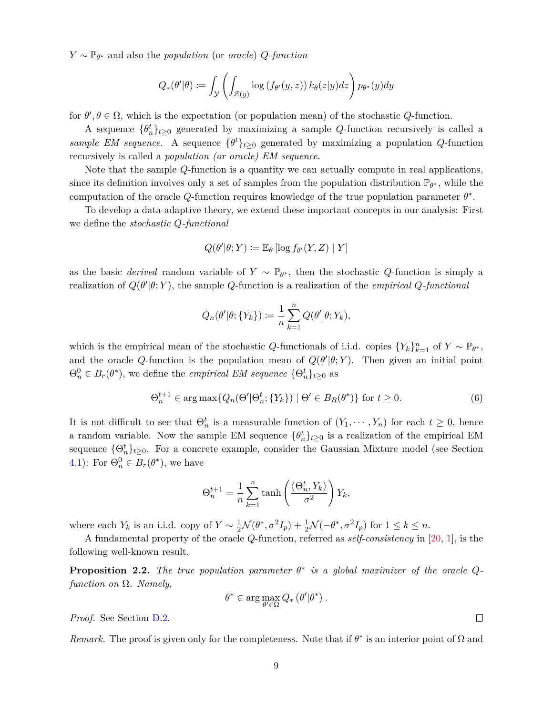*Y* ∼ P*<sup>θ</sup>* <sup>∗</sup> and also the *population* (or *oracle*) *Q-function*

$$
Q_*(\theta'|\theta) \coloneqq \int_{\mathcal{Y}} \left( \int_{\mathcal{Z}(y)} \log \left( f_{\theta'}(y, z) \right) k_{\theta}(z|y) dz \right) p_{\theta^*}(y) dy
$$

for  $\theta$ ,  $\theta \in \Omega$ , which is the expectation (or population mean) of the stochastic *Q*-function.

A sequence  $\{\theta_n^t\}_{t\geq 0}$  generated by maximizing a sample *Q*-function recursively is called a *sample EM sequence.* A sequence  $\{\theta^t\}_{t\geq 0}$  generated by maximizing a population *Q*-function recursively is called a *population (or oracle) EM sequence*.

Note that the sample *Q*-function is a quantity we can actually compute in real applications, since its definition involves only a set of samples from the population distribution  $\mathbb{P}_{\theta^*}$ , while the computation of the oracle  $Q$ -function requires knowledge of the true population parameter  $\theta^*$ .

To develop a data-adaptive theory, we extend these important concepts in our analysis: First we define the *stochastic Q-functional*

$$
Q(\theta'|\theta;Y) \coloneqq \mathbb{E}_{\theta}\left[\log f_{\theta'}(Y,Z) \mid Y\right]
$$

as the basic *derived* random variable of  $Y \sim \mathbb{P}_{\theta^*}$ , then the stochastic *Q*-function is simply a realization of  $Q(\theta'|\theta;Y)$ , the sample *Q*-function is a realization of the *empirical Q-functional* 

$$
Q_n(\theta'|\theta; \{Y_k\}) := \frac{1}{n} \sum_{k=1}^n Q(\theta'|\theta; Y_k),
$$

which is the empirical mean of the stochastic *Q*-functionals of i.i.d. copies  ${Y_k}_{k=1}^n$  of  $Y \sim \mathbb{P}_{\theta^*}$ , and the oracle *Q*-function is the population mean of  $Q(\theta'|\theta;Y)$ . Then given an initial point  $\Theta_n^0 \in B_r(\theta^*)$ , we define the *empirical EM sequence*  $\{\Theta_n^t\}_{t \geq 0}$  as

$$
\Theta_n^{t+1} \in \arg \max \{ Q_n(\Theta' | \Theta_n^t; \{ Y_k \}) \mid \Theta' \in B_R(\theta^*) \} \text{ for } t \ge 0.
$$
 (6)

It is not difficult to see that  $\Theta_n^t$  is a measurable function of  $(Y_1, \dots, Y_n)$  for each  $t \geq 0$ , hence a random variable. Now the sample EM sequence  ${\lbrace \theta^t_n \rbrace_{t \geq 0}}$  is a realization of the empirical EM sequence  $\{\Theta_n^t\}_{t\geq 0}$ . For a concrete example, consider the Gaussian Mixture model (see Section [4.1\)](#page-22-0): For  $\Theta_n^0 \in B_r(\theta^*)$ , we have

$$
\Theta_n^{t+1} = \frac{1}{n} \sum_{k=1}^n \tanh\left(\frac{\langle \Theta_n^t, Y_k \rangle}{\sigma^2}\right) Y_k,
$$

where each  $Y_k$  is an i.i.d. copy of  $Y \sim \frac{1}{2} \mathcal{N}(\theta^*, \sigma^2 I_p) + \frac{1}{2} \mathcal{N}(-\theta^*, \sigma^2 I_p)$  for  $1 \leq k \leq n$ .

A fundamental property of the oracle *Q*-function, referred as *self-consistency* in [\[20,](#page-53-10) [1\]](#page-52-3), is the following well-known result.

<span id="page-8-0"></span>**Proposition 2.2.** The true population parameter  $\theta^*$  is a global maximizer of the oracle  $Q$ *function on* Ω*. Namely,*

$$
\theta^* \in \arg\max_{\theta' \in \Omega} Q_* \left( \theta' | \theta^* \right).
$$

*Proof.* See Section [D.2.](#page-45-0)

*Remark*. The proof is given only for the completeness. Note that if  $\theta^*$  is an interior point of  $\Omega$  and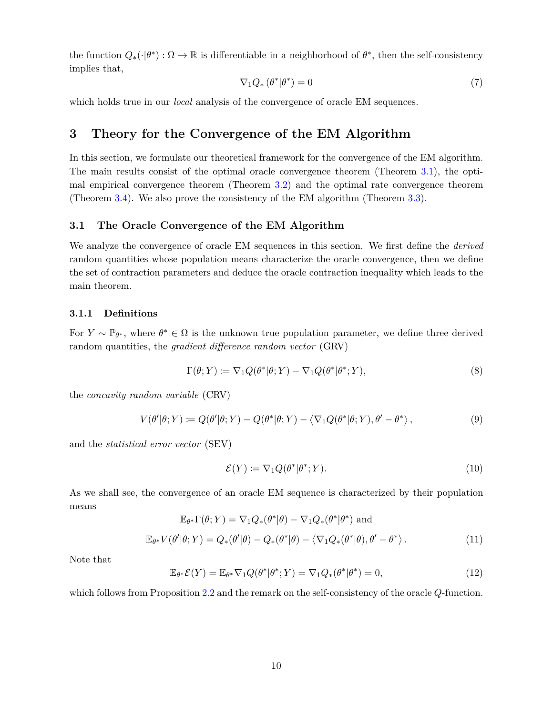the function  $Q_*(\cdot|\theta^*)$ :  $\Omega \to \mathbb{R}$  is differentiable in a neighborhood of  $\theta^*$ , then the self-consistency implies that,

<span id="page-9-2"></span>
$$
\nabla_1 Q_* \left( \theta^* | \theta^* \right) = 0 \tag{7}
$$

which holds true in our *local* analysis of the convergence of oracle EM sequences.

# **3 Theory for the Convergence of the EM Algorithm**

In this section, we formulate our theoretical framework for the convergence of the EM algorithm. The main results consist of the optimal oracle convergence theorem (Theorem [3.1\)](#page-13-1), the optimal empirical convergence theorem (Theorem [3.2\)](#page-17-0) and the optimal rate convergence theorem (Theorem [3.4\)](#page-21-0). We also prove the consistency of the EM algorithm (Theorem [3.3\)](#page-19-0).

# <span id="page-9-0"></span>**3.1 The Oracle Convergence of the EM Algorithm**

We analyze the convergence of oracle EM sequences in this section. We first define the *derived* random quantities whose population means characterize the oracle convergence, then we define the set of contraction parameters and deduce the oracle contraction inequality which leads to the main theorem.

# **3.1.1 Definitions**

For  $Y \sim \mathbb{P}_{\theta^*}$ , where  $\theta^* \in \Omega$  is the unknown true population parameter, we define three derived random quantities, the *gradient difference random vector* (GRV)

$$
\Gamma(\theta;Y) := \nabla_1 Q(\theta^*|\theta;Y) - \nabla_1 Q(\theta^*|\theta^*;Y),\tag{8}
$$

the *concavity random variable* (CRV)

$$
V(\theta'|\theta;Y) := Q(\theta'|\theta;Y) - Q(\theta^*|\theta;Y) - \langle \nabla_1 Q(\theta^*|\theta;Y), \theta' - \theta^* \rangle, \qquad (9)
$$

and the *statistical error vector* (SEV)

$$
\mathcal{E}(Y) \coloneqq \nabla_1 Q(\theta^* | \theta^*; Y). \tag{10}
$$

As we shall see, the convergence of an oracle EM sequence is characterized by their population means

<span id="page-9-1"></span>
$$
\mathbb{E}_{\theta^*} \Gamma(\theta; Y) = \nabla_1 Q_*(\theta^* | \theta) - \nabla_1 Q_*(\theta^* | \theta^*) \text{ and}
$$
  

$$
\mathbb{E}_{\theta^*} V(\theta' | \theta; Y) = Q_*(\theta' | \theta) - Q_*(\theta^* | \theta) - \langle \nabla_1 Q_*(\theta^* | \theta), \theta' - \theta^* \rangle.
$$
 (11)

Note that

<span id="page-9-3"></span>
$$
\mathbb{E}_{\theta^*} \mathcal{E}(Y) = \mathbb{E}_{\theta^*} \nabla_1 Q(\theta^* | \theta^*; Y) = \nabla_1 Q_*(\theta^* | \theta^*) = 0,
$$
\n(12)

which follows from Proposition [2.2](#page-8-0) and the remark on the self-consistency of the oracle *Q*-function.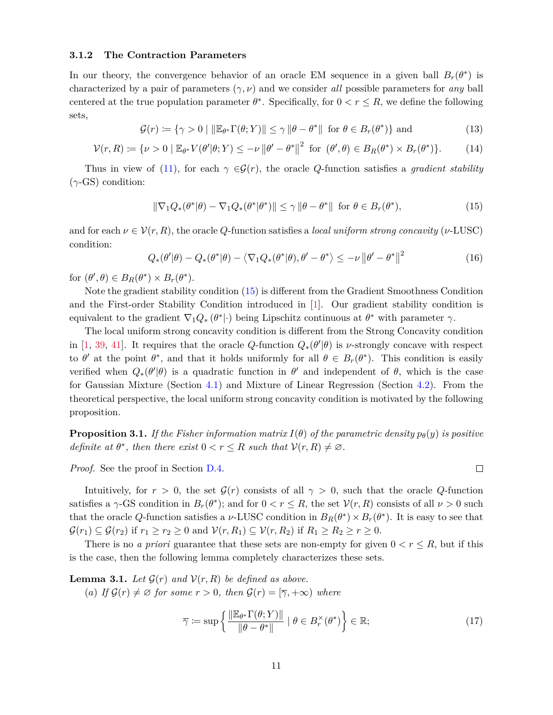## **3.1.2 The Contraction Parameters**

In our theory, the convergence behavior of an oracle EM sequence in a given ball  $B_r(\theta^*)$  is characterized by a pair of parameters (*γ, ν*) and we consider *all* possible parameters for *any* ball centered at the true population parameter  $\theta^*$ . Specifically, for  $0 < r \leq R$ , we define the following sets,

<span id="page-10-1"></span>
$$
\mathcal{G}(r) := \{ \gamma > 0 \mid ||\mathbb{E}_{\theta^*} \Gamma(\theta; Y)|| \le \gamma ||\theta - \theta^*|| \text{ for } \theta \in B_r(\theta^*) \} \text{ and } (13)
$$

<span id="page-10-2"></span>
$$
\mathcal{V}(r,R) := \{ \nu > 0 \mid \mathbb{E}_{\theta^*} V(\theta'|\theta;Y) \le -\nu \left\| \theta' - \theta^* \right\|^2 \text{ for } (\theta',\theta) \in B_R(\theta^*) \times B_r(\theta^*) \}. \tag{14}
$$

Thus in view of [\(11\)](#page-9-1), for each  $\gamma \in \mathcal{G}(r)$ , the oracle *Q*-function satisfies a *gradient stability* (*γ*-GS) condition:

<span id="page-10-0"></span>
$$
\|\nabla_1 Q_*(\theta^*|\theta) - \nabla_1 Q_*(\theta^*|\theta^*)\| \le \gamma \|\theta - \theta^*\| \text{ for } \theta \in B_r(\theta^*),\tag{15}
$$

and for each  $\nu \in \mathcal{V}(r, R)$ , the oracle *Q*-function satisfies a *local uniform strong concavity* ( $\nu$ -LUSC) condition:

$$
Q_*(\theta'|\theta) - Q_*(\theta^*|\theta) - \langle \nabla_1 Q_*(\theta^*|\theta), \theta' - \theta^* \rangle \le -\nu \|\theta' - \theta^*\|^2 \tag{16}
$$

for  $(\theta', \theta) \in B_R(\theta^*) \times B_r(\theta^*)$ .

Note the gradient stability condition [\(15\)](#page-10-0) is different from the Gradient Smoothness Condition and the First-order Stability Condition introduced in [\[1\]](#page-52-3). Our gradient stability condition is equivalent to the gradient  $\nabla_1 Q_* (\theta^* | \cdot)$  being Lipschitz continuous at  $\theta^*$  with parameter  $\gamma$ .

The local uniform strong concavity condition is different from the Strong Concavity condition in [\[1,](#page-52-3) [39,](#page-54-1) [41\]](#page-54-2). It requires that the oracle *Q*-function  $Q_*(\theta'|\theta)$  is *ν*-strongly concave with respect to  $\theta'$  at the point  $\theta^*$ , and that it holds uniformly for all  $\theta \in B_r(\theta^*)$ . This condition is easily verified when  $Q_*(\theta'|\theta)$  is a quadratic function in  $\theta'$  and independent of  $\theta$ , which is the case for Gaussian Mixture (Section [4.1\)](#page-22-0) and Mixture of Linear Regression (Section [4.2\)](#page-25-0). From the theoretical perspective, the local uniform strong concavity condition is motivated by the following proposition.

<span id="page-10-5"></span>**Proposition 3.1.** If the Fisher information matrix  $I(\theta)$  of the parametric density  $p_{\theta}(y)$  is positive *definite at*  $\theta^*$ *, then there exist*  $0 < r \leq R$  *such that*  $V(r, R) \neq \emptyset$ *.* 

*Proof.* See the proof in Section [D.4.](#page-45-1)

Intuitively, for  $r > 0$ , the set  $\mathcal{G}(r)$  consists of all  $\gamma > 0$ , such that the oracle *Q*-function satisfies a  $\gamma$ -GS condition in  $B_r(\theta^*)$ ; and for  $0 < r \leq R$ , the set  $\mathcal{V}(r, R)$  consists of all  $\nu > 0$  such that the oracle *Q*-function satisfies a *ν*-LUSC condition in  $B_R(\theta^*) \times B_r(\theta^*)$ . It is easy to see that  $\mathcal{G}(r_1) \subseteq \mathcal{G}(r_2)$  if  $r_1 \geq r_2 \geq 0$  and  $\mathcal{V}(r, R_1) \subseteq \mathcal{V}(r, R_2)$  if  $R_1 \geq R_2 \geq r \geq 0$ .

There is no *a priori* guarantee that these sets are non-empty for given  $0 < r \leq R$ , but if this is the case, then the following lemma completely characterizes these sets.

<span id="page-10-3"></span>**Lemma 3.1.** *Let*  $\mathcal{G}(r)$  *and*  $\mathcal{V}(r, R)$  *be defined as above.* 

(*a*) If  $\mathcal{G}(r) \neq \emptyset$  for some  $r > 0$ , then  $\mathcal{G}(r) = [\overline{\gamma}, +\infty)$  where

<span id="page-10-4"></span>
$$
\overline{\gamma} := \sup \left\{ \frac{\|\mathbb{E}_{\theta^*} \Gamma(\theta; Y)\|}{\|\theta - \theta^*\|} \mid \theta \in B_r^{\times}(\theta^*) \right\} \in \mathbb{R};\tag{17}
$$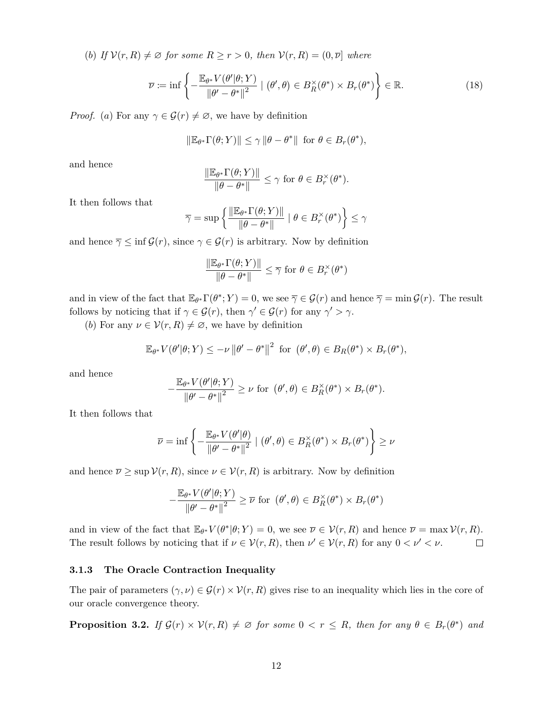(*b*) *If*  $\mathcal{V}(r, R) \neq \emptyset$  *for some*  $R \geq r > 0$ *, then*  $\mathcal{V}(r, R) = (0, \overline{\nu}]$  *where* 

<span id="page-11-1"></span>
$$
\overline{\nu} := \inf \left\{ -\frac{\mathbb{E}_{\theta^*} V(\theta' | \theta; Y)}{\|\theta' - \theta^*\|^2} \mid (\theta', \theta) \in B_R^\times(\theta^*) \times B_r(\theta^*) \right\} \in \mathbb{R}.
$$
 (18)

*Proof.* (*a*) For any  $\gamma \in \mathcal{G}(r) \neq \emptyset$ , we have by definition

$$
\|\mathbb{E}_{\theta^*}\Gamma(\theta;Y)\| \le \gamma \|\theta - \theta^*\| \text{ for } \theta \in B_r(\theta^*),
$$

and hence

$$
\frac{\|\mathbb{E}_{\theta^*}\Gamma(\theta;Y)\|}{\|\theta-\theta^*\|} \leq \gamma \text{ for } \theta \in B_r^{\times}(\theta^*).
$$

It then follows that

$$
\overline{\gamma} = \sup \left\{ \frac{\|\mathbb{E}_{\theta^*} \Gamma(\theta;Y)\|}{\|\theta - \theta^*\|} \mid \theta \in B_r^{\times}(\theta^*) \right\} \le \gamma
$$

and hence  $\overline{\gamma} \leq \inf \mathcal{G}(r)$ , since  $\gamma \in \mathcal{G}(r)$  is arbitrary. Now by definition

$$
\frac{\|\mathbb{E}_{\theta^*}\Gamma(\theta;Y)\|}{\|\theta-\theta^*\|}\leq \overline{\gamma}\text{ for }\theta\in B_r^\times(\theta^*)
$$

and in view of the fact that  $\mathbb{E}_{\theta^*} \Gamma(\theta^*; Y) = 0$ , we see  $\overline{\gamma} \in \mathcal{G}(r)$  and hence  $\overline{\gamma} = \min \mathcal{G}(r)$ . The result follows by noticing that if  $\gamma \in \mathcal{G}(r)$ , then  $\gamma' \in \mathcal{G}(r)$  for any  $\gamma' > \gamma$ .

(*b*) For any  $\nu \in \mathcal{V}(r, R) \neq \emptyset$ , we have by definition

$$
\mathbb{E}_{\theta^*} V(\theta'|\theta;Y) \leq -\nu \|\theta' - \theta^*\|^2 \text{ for } (\theta',\theta) \in B_R(\theta^*) \times B_r(\theta^*),
$$

and hence

$$
-\frac{\mathbb{E}_{\theta^*}V(\theta'|\theta;Y)}{\left\|\theta'-\theta^*\right\|^2} \geq \nu \text{ for } (\theta',\theta) \in B_R^{\times}(\theta^*) \times B_r(\theta^*).
$$

It then follows that

$$
\overline{\nu} = \inf \left\{ -\frac{\mathbb{E}_{\theta^*} V(\theta' | \theta)}{\|\theta' - \theta^*\|^2} \mid (\theta', \theta) \in B_R^\times(\theta^*) \times B_r(\theta^*) \right\} \ge \nu
$$

and hence  $\overline{\nu} \geq \sup \mathcal{V}(r, R)$ , since  $\nu \in \mathcal{V}(r, R)$  is arbitrary. Now by definition

$$
-\frac{\mathbb{E}_{\theta^*}V(\theta'|\theta;Y)}{\|\theta'-\theta^*\|^2} \geq \overline{\nu} \text{ for } (\theta',\theta) \in B_R^\times(\theta^*) \times B_r(\theta^*)
$$

and in view of the fact that  $\mathbb{E}_{\theta^*} V(\theta^* | \theta; Y) = 0$ , we see  $\overline{\nu} \in \mathcal{V}(r, R)$  and hence  $\overline{\nu} = \max \mathcal{V}(r, R)$ . The result follows by noticing that if  $\nu \in \mathcal{V}(r, R)$ , then  $\nu' \in \mathcal{V}(r, R)$  for any  $0 < \nu' < \nu$ .  $\Box$ 

#### **3.1.3 The Oracle Contraction Inequality**

The pair of parameters  $(\gamma, \nu) \in \mathcal{G}(r) \times \mathcal{V}(r, R)$  gives rise to an inequality which lies in the core of our oracle convergence theory.

<span id="page-11-0"></span>**Proposition 3.2.** *If*  $\mathcal{G}(r) \times \mathcal{V}(r, R) \neq \emptyset$  *for some*  $0 < r \leq R$ *, then for any*  $\theta \in B_r(\theta^*)$  *and*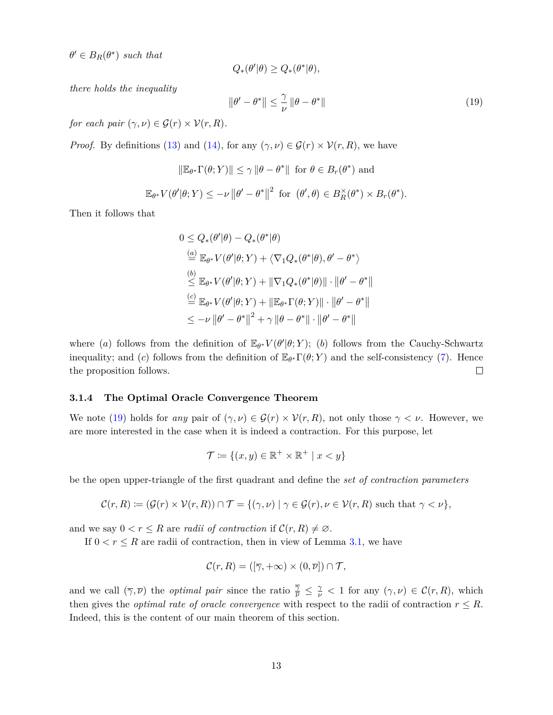$\theta' \in B_R(\theta^*)$  *such that* 

$$
Q_*(\theta'|\theta) \ge Q_*(\theta^*|\theta),
$$

*there holds the inequality*

<span id="page-12-0"></span>
$$
\|\theta' - \theta^*\| \le \frac{\gamma}{\nu} \|\theta - \theta^*\| \tag{19}
$$

*for each pair*  $(\gamma, \nu) \in \mathcal{G}(r) \times \mathcal{V}(r, R)$ .

*Proof.* By definitions [\(13\)](#page-10-1) and [\(14\)](#page-10-2), for any  $(\gamma, \nu) \in \mathcal{G}(r) \times \mathcal{V}(r, R)$ , we have

$$
\|\mathbb{E}_{\theta^*}\Gamma(\theta;Y)\| \le \gamma \|\theta - \theta^*\| \text{ for } \theta \in B_r(\theta^*) \text{ and}
$$
  

$$
\mathbb{E}_{\theta^*}V(\theta'|\theta;Y) \le -\nu \|\theta' - \theta^*\|^2 \text{ for } (\theta',\theta) \in B_R^\times(\theta^*) \times B_r(\theta^*).
$$

Then it follows that

$$
0 \le Q_*(\theta'|\theta) - Q_*(\theta^*|\theta)
$$
  
\n
$$
\stackrel{(a)}{=} \mathbb{E}_{\theta^*} V(\theta'|\theta;Y) + \langle \nabla_1 Q_*(\theta^*|\theta), \theta' - \theta^* \rangle
$$
  
\n
$$
\stackrel{(b)}{\le} \mathbb{E}_{\theta^*} V(\theta'|\theta;Y) + ||\nabla_1 Q_*(\theta^*|\theta)|| \cdot ||\theta' - \theta^*||
$$
  
\n
$$
\stackrel{(c)}{=} \mathbb{E}_{\theta^*} V(\theta'|\theta;Y) + ||\mathbb{E}_{\theta^*} \Gamma(\theta;Y)|| \cdot ||\theta' - \theta^*||
$$
  
\n
$$
\le -\nu ||\theta' - \theta^*||^2 + \gamma ||\theta - \theta^*|| \cdot ||\theta' - \theta^*||
$$

where (*a*) follows from the definition of  $\mathbb{E}_{\theta^*} V(\theta'|\theta;Y)$ ; (*b*) follows from the Cauchy-Schwartz inequality; and (*c*) follows from the definition of  $\mathbb{E}_{\theta^*} \Gamma(\theta; Y)$  and the self-consistency [\(7\)](#page-9-2). Hence the proposition follows.  $\Box$ 

#### **3.1.4 The Optimal Oracle Convergence Theorem**

We note [\(19\)](#page-12-0) holds for *any* pair of  $(\gamma, \nu) \in \mathcal{G}(r) \times \mathcal{V}(r, R)$ , not only those  $\gamma < \nu$ . However, we are more interested in the case when it is indeed a contraction. For this purpose, let

$$
\mathcal{T} \coloneqq \{(x, y) \in \mathbb{R}^+ \times \mathbb{R}^+ \mid x < y\}
$$

be the open upper-triangle of the first quadrant and define the *set of contraction parameters*

$$
\mathcal{C}(r,R) := (\mathcal{G}(r) \times \mathcal{V}(r,R)) \cap \mathcal{T} = \{(\gamma,\nu) \mid \gamma \in \mathcal{G}(r), \nu \in \mathcal{V}(r,R) \text{ such that } \gamma < \nu\},
$$

and we say  $0 < r \leq R$  are *radii of contraction* if  $\mathcal{C}(r, R) \neq \emptyset$ .

If  $0 < r \le R$  are radii of contraction, then in view of Lemma [3.1,](#page-10-3) we have

$$
\mathcal{C}(r,R) = ([\overline{\gamma}, +\infty) \times (0,\overline{\nu}]) \cap \mathcal{T},
$$

and we call  $(\overline{\gamma}, \overline{\nu})$  the *optimal pair* since the ratio  $\frac{\overline{\gamma}}{\overline{\nu}} \leq \frac{\gamma}{\nu} < 1$  for any  $(\gamma, \nu) \in C(r, R)$ , which then gives the *optimal rate of oracle convergence* with respect to the radii of contraction  $r \leq R$ . Indeed, this is the content of our main theorem of this section.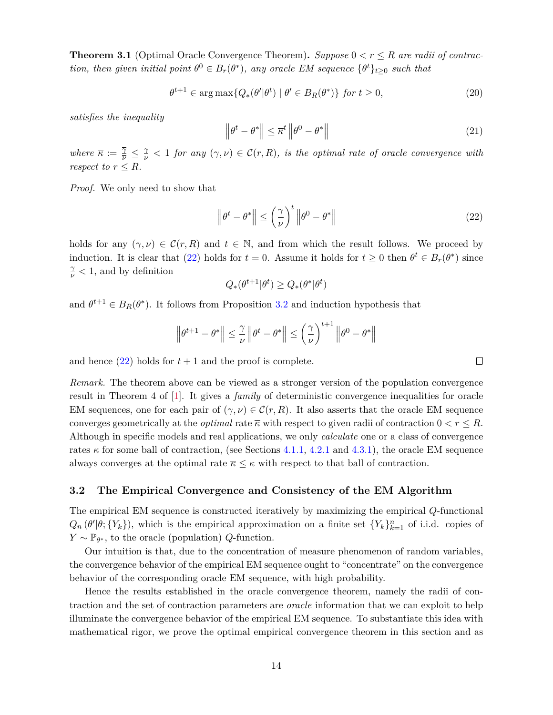<span id="page-13-1"></span>**Theorem 3.1** (Optimal Oracle Convergence Theorem). *Suppose*  $0 < r \leq R$  *are radii of contraction, then given initial point*  $\theta^0 \in B_r(\theta^*)$ *, any oracle EM sequence*  $\{\theta^t\}_{t\geq 0}$  *such that* 

$$
\theta^{t+1} \in \arg \max \{ Q_*(\theta' | \theta^t) \mid \theta' \in B_R(\theta^*) \} \text{ for } t \ge 0,
$$
\n
$$
(20)
$$

*satisfies the inequality*

<span id="page-13-3"></span>
$$
\left\|\theta^{t} - \theta^{*}\right\| \leq \overline{\kappa}^{t} \left\|\theta^{0} - \theta^{*}\right\| \tag{21}
$$

*where*  $\overline{\kappa} := \frac{\overline{\gamma}}{\overline{\nu}} \leq \frac{\gamma}{\nu} < 1$  *for any*  $(\gamma, \nu) \in C(r, R)$ *, is the optimal rate of oracle convergence with respect to*  $r \leq R$ *.* 

*Proof.* We only need to show that

<span id="page-13-2"></span>
$$
\left\|\theta^{t} - \theta^{*}\right\| \leq \left(\frac{\gamma}{\nu}\right)^{t} \left\|\theta^{0} - \theta^{*}\right\| \tag{22}
$$

holds for any  $(\gamma, \nu) \in \mathcal{C}(r, R)$  and  $t \in \mathbb{N}$ , and from which the result follows. We proceed by induction. It is clear that [\(22\)](#page-13-2) holds for  $t = 0$ . Assume it holds for  $t \ge 0$  then  $\theta^t \in B_r(\theta^*)$  since  $\frac{\gamma}{\nu}$  < 1, and by definition

$$
Q_*(\theta^{t+1}|\theta^t) \geq Q_*(\theta^*|\theta^t)
$$

and  $\theta^{t+1} \in B_R(\theta^*)$ . It follows from Proposition [3.2](#page-11-0) and induction hypothesis that

$$
\left\|\theta^{t+1}-\theta^*\right\| \leq \frac{\gamma}{\nu}\left\|\theta^t-\theta^*\right\| \leq \left(\frac{\gamma}{\nu}\right)^{t+1}\left\|\theta^0-\theta^*\right\|
$$

and hence  $(22)$  holds for  $t + 1$  and the proof is complete.

*Remark.* The theorem above can be viewed as a stronger version of the population convergence result in Theorem 4 of [\[1\]](#page-52-3). It gives a *family* of deterministic convergence inequalities for oracle EM sequences, one for each pair of  $(\gamma, \nu) \in C(r, R)$ . It also asserts that the oracle EM sequence converges geometrically at the *optimal* rate  $\overline{\kappa}$  with respect to given radii of contraction  $0 < r \leq R$ . Although in specific models and real applications, we only *calculate* one or a class of convergence rates  $\kappa$  for some ball of contraction, (see Sections [4.1.1,](#page-23-0) [4.2.1](#page-26-0) and [4.3.1\)](#page-30-0), the oracle EM sequence always converges at the optimal rate  $\overline{\kappa} \leq \kappa$  with respect to that ball of contraction.

#### <span id="page-13-0"></span>**3.2 The Empirical Convergence and Consistency of the EM Algorithm**

The empirical EM sequence is constructed iteratively by maximizing the empirical *Q*-functional  $Q_n(\theta'|\theta; \{Y_k\})$ , which is the empirical approximation on a finite set  $\{Y_k\}_{k=1}^n$  of i.i.d. copies of *Y* ∼  $\mathbb{P}_{\theta^*}$ , to the oracle (population) *Q*-function.

Our intuition is that, due to the concentration of measure phenomenon of random variables, the convergence behavior of the empirical EM sequence ought to "concentrate" on the convergence behavior of the corresponding oracle EM sequence, with high probability.

Hence the results established in the oracle convergence theorem, namely the radii of contraction and the set of contraction parameters are *oracle* information that we can exploit to help illuminate the convergence behavior of the empirical EM sequence. To substantiate this idea with mathematical rigor, we prove the optimal empirical convergence theorem in this section and as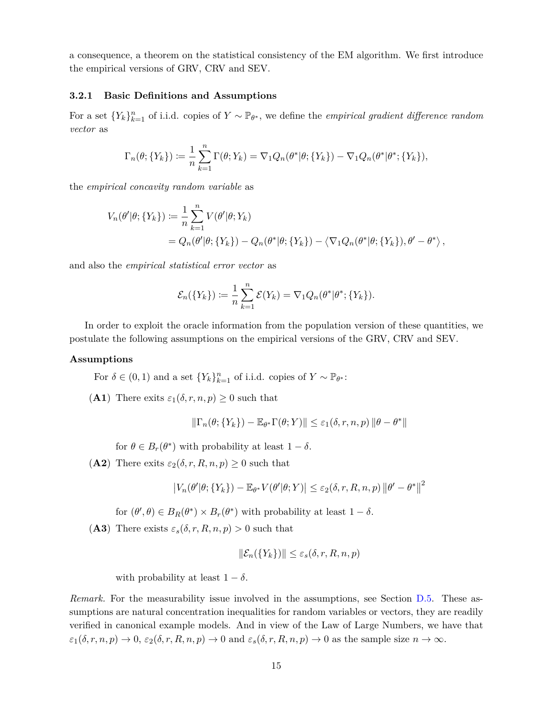a consequence, a theorem on the statistical consistency of the EM algorithm. We first introduce the empirical versions of GRV, CRV and SEV.

# **3.2.1 Basic Definitions and Assumptions**

For a set  ${Y_k}_{k=1}^n$  of i.i.d. copies of  $Y \sim \mathbb{P}_{\theta^*}$ , we define the *empirical gradient difference random vector* as

$$
\Gamma_n(\theta; \{Y_k\}) := \frac{1}{n} \sum_{k=1}^n \Gamma(\theta; Y_k) = \nabla_1 Q_n(\theta^* | \theta; \{Y_k\}) - \nabla_1 Q_n(\theta^* | \theta^*; \{Y_k\}),
$$

the *empirical concavity random variable* as

$$
V_n(\theta'|\theta; \{Y_k\}) := \frac{1}{n} \sum_{k=1}^n V(\theta'|\theta; Y_k)
$$
  
=  $Q_n(\theta'|\theta; \{Y_k\}) - Q_n(\theta^*|\theta; \{Y_k\}) - \langle \nabla_1 Q_n(\theta^*|\theta; \{Y_k\}), \theta' - \theta^* \rangle$ ,

and also the *empirical statistical error vector* as

$$
\mathcal{E}_n(\lbrace Y_k \rbrace) \coloneqq \frac{1}{n} \sum_{k=1}^n \mathcal{E}(Y_k) = \nabla_1 Q_n(\theta^* | \theta^*; \lbrace Y_k \rbrace).
$$

In order to exploit the oracle information from the population version of these quantities, we postulate the following assumptions on the empirical versions of the GRV, CRV and SEV.

#### **Assumptions**

For  $\delta \in (0,1)$  and a set  $\{Y_k\}_{k=1}^n$  of i.i.d. copies of  $Y \sim \mathbb{P}_{\theta^*}$ :

<span id="page-14-0"></span>(**A1**) There exits  $\varepsilon_1(\delta, r, n, p) \geq 0$  such that

$$
\|\Gamma_n(\theta;\{Y_k\}) - \mathbb{E}_{\theta^*}\Gamma(\theta;Y)\| \leq \varepsilon_1(\delta,r,n,p) \|\theta - \theta^*\|
$$

for  $\theta \in B_r(\theta^*)$  with probability at least  $1 - \delta$ .

<span id="page-14-1"></span>(**A2**) There exits  $\varepsilon_2(\delta, r, R, n, p) \geq 0$  such that

$$
\left|V_n(\theta'|\theta;\{Y_k\}) - \mathbb{E}_{\theta^*} V(\theta'|\theta;Y)\right| \leq \varepsilon_2(\delta,r,R,n,p) \left\|\theta' - \theta^*\right\|^2
$$

for  $(\theta', \theta) \in B_R(\theta^*) \times B_r(\theta^*)$  with probability at least  $1 - \delta$ .

<span id="page-14-2"></span>(A3) There exists  $\varepsilon_s(\delta, r, R, n, p) > 0$  such that

$$
\|\mathcal{E}_n(\{Y_k\})\| \le \varepsilon_s(\delta, r, R, n, p)
$$

with probability at least  $1 - \delta$ .

*Remark.* For the measurability issue involved in the assumptions, see Section [D.5.](#page-47-0) These assumptions are natural concentration inequalities for random variables or vectors, they are readily verified in canonical example models. And in view of the Law of Large Numbers, we have that  $\varepsilon_1(\delta, r, n, p) \to 0$ ,  $\varepsilon_2(\delta, r, R, n, p) \to 0$  and  $\varepsilon_s(\delta, r, R, n, p) \to 0$  as the sample size  $n \to \infty$ .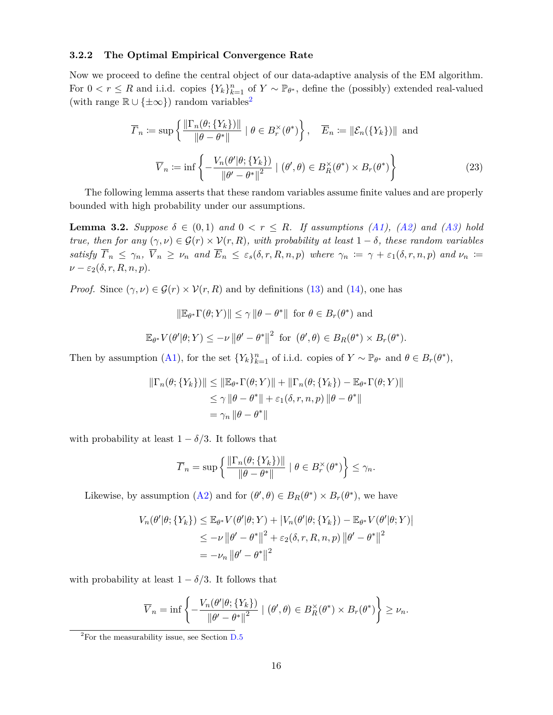## <span id="page-15-0"></span>**3.2.2 The Optimal Empirical Convergence Rate**

Now we proceed to define the central object of our data-adaptive analysis of the EM algorithm. For  $0 < r \leq R$  and i.i.d. copies  $\{Y_k\}_{k=1}^n$  of  $Y \sim \mathbb{P}_{\theta^*}$ , define the (possibly) extended real-valued (with range  $\mathbb{R} \cup \{ \pm \infty \}$ ) random variables<sup>[2](#page-15-1)</sup>

<span id="page-15-3"></span>
$$
\overline{\varGamma}_n := \sup \left\{ \frac{\|\Gamma_n(\theta; \{Y_k\})\|}{\|\theta - \theta^*\|} \mid \theta \in B_r^\times(\theta^*) \right\}, \quad \overline{E}_n := \|\mathcal{E}_n(\{Y_k\})\| \text{ and }
$$

$$
\overline{V}_n := \inf \left\{ -\frac{V_n(\theta'|\theta; \{Y_k\})}{\|\theta' - \theta^*\|^2} \mid (\theta', \theta) \in B_R^\times(\theta^*) \times B_r(\theta^*) \right\}
$$
(23)

∗ )*.*

The following lemma asserts that these random variables assume finite values and are properly bounded with high probability under our assumptions.

<span id="page-15-2"></span>**Lemma 3.2.** *Suppose*  $\delta \in (0,1)$  *and*  $0 < r \leq R$ *. If assumptions*  $(A1)$ *,*  $(A2)$  *and*  $(A3)$  *hold true, then for any*  $(\gamma, \nu) \in \mathcal{G}(r) \times \mathcal{V}(r, R)$ *, with probability at least*  $1 - \delta$ *, these random variables* satisfy  $\overline{\Gamma}_n \leq \gamma_n$ ,  $\overline{V}_n \geq \nu_n$  and  $\overline{E}_n \leq \varepsilon_s(\delta,r,R,n,p)$  where  $\gamma_n := \gamma + \varepsilon_1(\delta,r,n,p)$  and  $\nu_n :=$  $\nu - \varepsilon_2(\delta, r, R, n, p)$ .

*Proof.* Since  $(\gamma, \nu) \in \mathcal{G}(r) \times \mathcal{V}(r, R)$  and by definitions [\(13\)](#page-10-1) and [\(14\)](#page-10-2), one has

$$
\|\mathbb{E}_{\theta^*} \Gamma(\theta; Y)\| \le \gamma \|\theta - \theta^*\| \text{ for } \theta \in B_r(\theta^*) \text{ and}
$$
  

$$
\mathbb{E}_{\theta^*} V(\theta'|\theta; Y) \le -\nu \|\theta' - \theta^*\|^2 \text{ for } (\theta', \theta) \in B_R(\theta^*) \times B_r(\theta^*)
$$

Then by assumption [\(A1\)](#page-14-0), for the set  ${Y_k}_{k=1}^n$  of i.i.d. copies of  $Y \sim \mathbb{P}_{\theta^*}$  and  $\theta \in B_r(\theta^*),$ 

$$
\|\Gamma_n(\theta; \{Y_k\})\| \le \|\mathbb{E}_{\theta^*}\Gamma(\theta; Y)\| + \|\Gamma_n(\theta; \{Y_k\}) - \mathbb{E}_{\theta^*}\Gamma(\theta; Y)\|
$$
  

$$
\le \gamma \|\theta - \theta^*\| + \varepsilon_1(\delta, r, n, p) \|\theta - \theta^*\|
$$
  

$$
= \gamma_n \|\theta - \theta^*\|
$$

with probability at least  $1 - \delta/3$ . It follows that

$$
\overline{\varGamma}_n = \sup \left\{ \frac{\left\| \Gamma_n(\theta; \{Y_k\}) \right\|}{\left\| \theta - \theta^* \right\|} \mid \theta \in B_r^{\times}(\theta^*) \right\} \leq \gamma_n.
$$

Likewise, by assumption [\(A2\)](#page-14-1) and for  $(\theta', \theta) \in B_R(\theta^*) \times B_r(\theta^*)$ , we have

$$
V_n(\theta'|\theta; \{Y_k\}) \leq \mathbb{E}_{\theta^*} V(\theta'|\theta; Y) + |V_n(\theta'|\theta; \{Y_k\}) - \mathbb{E}_{\theta^*} V(\theta'|\theta; Y)|
$$
  
\n
$$
\leq -\nu ||\theta' - \theta^*||^2 + \varepsilon_2(\delta, r, R, n, p) ||\theta' - \theta^*||^2
$$
  
\n
$$
= -\nu_n ||\theta' - \theta^*||^2
$$

with probability at least  $1 - \delta/3$ . It follows that

$$
\overline{V}_n = \inf \left\{ -\frac{V_n(\theta'|\theta; \{Y_k\})}{\|\theta' - \theta^*\|^2} \mid (\theta', \theta) \in B_R^{\times}(\theta^*) \times B_r(\theta^*) \right\} \geq \nu_n.
$$

<span id="page-15-1"></span> ${}^{2}$ For the measurability issue, see Section [D.5](#page-47-0)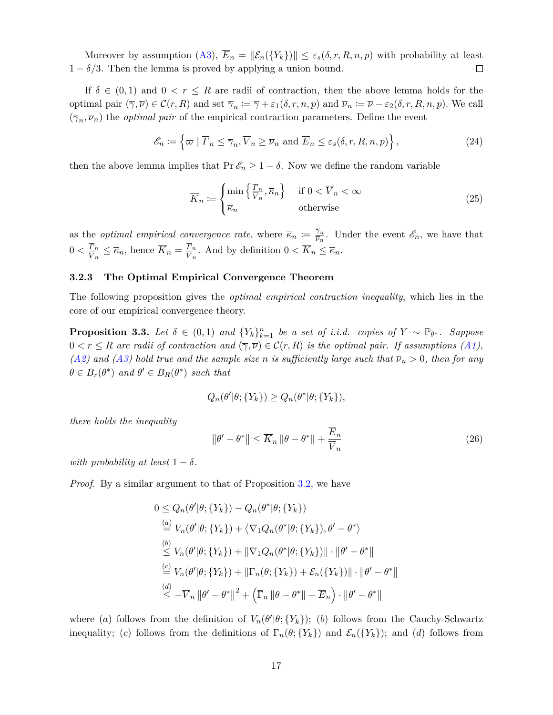Moreover by assumption  $(A3)$ ,  $\overline{E}_n = ||\mathcal{E}_n({Y_k})|| \leq \varepsilon_s(\delta, r, R, n, p)$  with probability at least  $1 - \delta/3$ . Then the lemma is proved by applying a union bound.  $\Box$ 

If  $\delta \in (0,1)$  and  $0 < r \leq R$  are radii of contraction, then the above lemma holds for the optimal pair  $(\overline{\gamma}, \overline{\nu}) \in \mathcal{C}(r, R)$  and set  $\overline{\gamma}_n := \overline{\gamma} + \varepsilon_1(\delta, r, n, p)$  and  $\overline{\nu}_n := \overline{\nu} - \varepsilon_2(\delta, r, R, n, p)$ . We call  $(\overline{\gamma}_n, \overline{\nu}_n)$  the *optimal pair* of the empirical contraction parameters. Define the event

<span id="page-16-0"></span>
$$
\mathcal{E}_n \coloneqq \left\{ \varpi \mid \overline{\varGamma}_n \le \overline{\gamma}_n, \overline{V}_n \ge \overline{\nu}_n \text{ and } \overline{E}_n \le \varepsilon_s(\delta, r, R, n, p) \right\},\tag{24}
$$

then the above lemma implies that  $Pr \mathscr{E}_n \geq 1 - \delta$ . Now we define the random variable

<span id="page-16-2"></span>
$$
\overline{K}_n := \begin{cases} \min\left\{ \frac{\overline{F}_n}{\overline{V}_n}, \overline{\kappa}_n \right\} & \text{if } 0 < \overline{V}_n < \infty \\ \overline{\kappa}_n & \text{otherwise} \end{cases} \tag{25}
$$

as the *optimal empirical convergence rate*, where  $\overline{\kappa}_n := \frac{\overline{\gamma}_n}{\overline{\nu}_n}$  $\frac{\gamma_n}{\overline{\nu}_n}$ . Under the event  $\mathscr{E}_n$ , we have that  $0 < \frac{\Gamma_n}{\overline{V}}$  $\frac{\Gamma_n}{\overline{V}_n} \leq \overline{\kappa}_n$ , hence  $\overline{K}_n = \frac{\Gamma_n}{\overline{V}_n}$  $\frac{U_n}{\overline{V}_n}$ . And by definition  $0 < \overline{K}_n \leq \overline{\kappa}_n$ .

#### **3.2.3 The Optimal Empirical Convergence Theorem**

The following proposition gives the *optimal empirical contraction inequality*, which lies in the core of our empirical convergence theory.

<span id="page-16-1"></span>**Proposition 3.3.** Let  $\delta \in (0,1)$  and  $\{Y_k\}_{k=1}^n$  be a set of i.i.d. copies of  $Y \sim \mathbb{P}_{\theta^*}$ . Suppose  $0 < r \leq R$  are radii of contraction and  $(\overline{\gamma}, \overline{\nu}) \in \mathcal{C}(r, R)$  is the optimal pair. If assumptions [\(A1\)](#page-14-0),  $(A2)$  *and*  $(A3)$  *hold true and the sample size n is sufficiently large such that*  $\overline{\nu}_n > 0$ *, then for any*  $\theta \in B_r(\theta^*)$  *and*  $\theta' \in B_R(\theta^*)$  *such that* 

$$
Q_n(\theta'|\theta; \{Y_k\}) \ge Q_n(\theta^*|\theta; \{Y_k\}),
$$

*there holds the inequality*

$$
\|\theta' - \theta^*\| \le \overline{K}_n \|\theta - \theta^*\| + \frac{\overline{E}_n}{\overline{V}_n}
$$
\n(26)

*with probability at least*  $1 - \delta$ *.* 

*Proof.* By a similar argument to that of Proposition [3.2,](#page-11-0) we have

$$
0 \leq Q_n(\theta'|\theta; \{Y_k\}) - Q_n(\theta^*|\theta; \{Y_k\})
$$
  
\n
$$
\stackrel{(a)}{=} V_n(\theta'|\theta; \{Y_k\}) + \langle \nabla_1 Q_n(\theta^*|\theta; \{Y_k\}), \theta' - \theta^* \rangle
$$
  
\n
$$
\stackrel{(b)}{\leq} V_n(\theta'|\theta; \{Y_k\}) + \|\nabla_1 Q_n(\theta^*|\theta; \{Y_k\})\| \cdot \|\theta' - \theta^*\|
$$
  
\n
$$
\stackrel{(c)}{=} V_n(\theta'|\theta; \{Y_k\}) + \|\Gamma_n(\theta; \{Y_k\}) + \mathcal{E}_n(\{Y_k\})\| \cdot \|\theta' - \theta^*\|
$$
  
\n
$$
\stackrel{(d)}{\leq} -\overline{V}_n \|\theta' - \theta^*\|^2 + \left(\overline{\Gamma}_n \|\theta - \theta^*\| + \overline{E}_n\right) \cdot \|\theta' - \theta^*\|
$$

where (*a*) follows from the definition of  $V_n(\theta'|\theta; \{Y_k\})$ ; (*b*) follows from the Cauchy-Schwartz inequality; (*c*) follows from the definitions of  $\Gamma_n(\theta; \{Y_k\})$  and  $\mathcal{E}_n(\{Y_k\})$ ; and (*d*) follows from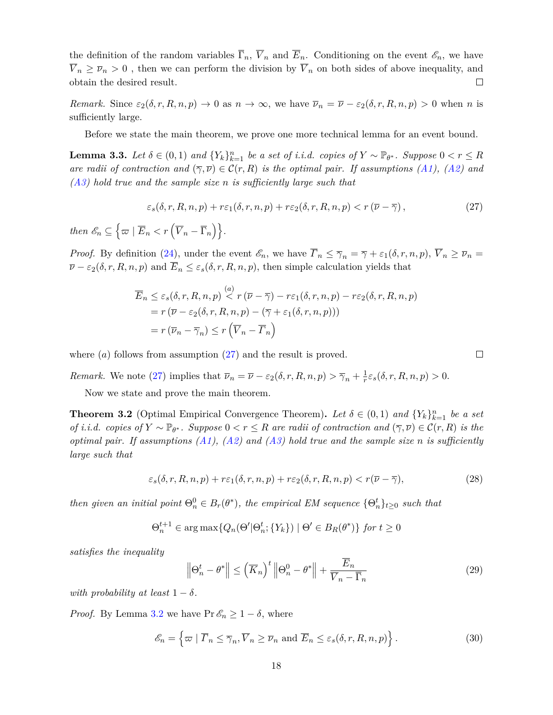the definition of the random variables  $\overline{\Gamma}_n$ ,  $\overline{V}_n$  and  $\overline{E}_n$ . Conditioning on the event  $\mathscr{E}_n$ , we have  $\overline{V}_n \geq \overline{\nu}_n > 0$ , then we can perform the division by  $\overline{V}_n$  on both sides of above inequality, and obtain the desired result. □

*Remark.* Since  $\varepsilon_2(\delta, r, R, n, p) \to 0$  as  $n \to \infty$ , we have  $\overline{\nu}_n = \overline{\nu} - \varepsilon_2(\delta, r, R, n, p) > 0$  when *n* is sufficiently large.

Before we state the main theorem, we prove one more technical lemma for an event bound.

<span id="page-17-2"></span>**Lemma 3.3.** Let  $\delta \in (0,1)$  and  $\{Y_k\}_{k=1}^n$  be a set of i.i.d. copies of  $Y \sim \mathbb{P}_{\theta^*}$ . Suppose  $0 < r \leq R$ *are radii of contraction and*  $(\overline{\gamma}, \overline{\nu}) \in \mathcal{C}(r, R)$  *is the optimal pair. If assumptions [\(A1\)](#page-14-0), [\(A2\)](#page-14-1) and [\(A3\)](#page-14-2) hold true and the sample size n is sufficiently large such that*

<span id="page-17-1"></span>
$$
\varepsilon_s(\delta, r, R, n, p) + r\varepsilon_1(\delta, r, n, p) + r\varepsilon_2(\delta, r, R, n, p) < r\left(\overline{\nu} - \overline{\gamma}\right),\tag{27}
$$

 $then \mathscr{E}_n \subseteq \left\{\varpi \mid \overline{E}_n < r\left(\overline{V}_n - \overline{\Gamma}_n\right)\right\}.$ 

*Proof.* By definition [\(24\)](#page-16-0), under the event  $\mathscr{E}_n$ , we have  $\overline{\Gamma}_n \leq \overline{\gamma}_n = \overline{\gamma} + \varepsilon_1(\delta, r, n, p), \ \overline{V}_n \geq \overline{\nu}_n =$  $\overline{\nu}$  −  $\varepsilon_2(\delta, r, R, n, p)$  and  $\overline{E}_n \leq \varepsilon_s(\delta, r, R, n, p)$ , then simple calculation yields that

$$
\overline{E}_n \leq \varepsilon_s(\delta, r, R, n, p) \stackrel{(a)}{<} r(\overline{\nu} - \overline{\gamma}) - r\varepsilon_1(\delta, r, n, p) - r\varepsilon_2(\delta, r, R, n, p) \n= r(\overline{\nu} - \varepsilon_2(\delta, r, R, n, p) - (\overline{\gamma} + \varepsilon_1(\delta, r, n, p))) \n= r(\overline{\nu}_n - \overline{\gamma}_n) \leq r(\overline{V}_n - \overline{\Gamma}_n)
$$

where (*a*) follows from assumption [\(27\)](#page-17-1) and the result is proved.

*Remark.* We note [\(27\)](#page-17-1) implies that  $\overline{\nu}_n = \overline{\nu} - \varepsilon_2(\delta, r, R, n, p) > \overline{\gamma}_n + \frac{1}{r}$  $\frac{1}{r}\varepsilon_s(\delta,r,R,n,p) > 0.$ 

Now we state and prove the main theorem.

<span id="page-17-0"></span>**Theorem 3.2** (Optimal Empirical Convergence Theorem). Let  $\delta \in (0,1)$  and  $\{Y_k\}_{k=1}^n$  be a set *of i.i.d. copies of*  $Y \sim \mathbb{P}_{\theta^*}$ *. Suppose*  $0 < r \leq R$  *are radii of contraction and*  $(\overline{\gamma}, \overline{\nu}) \in \mathcal{C}(r, R)$  *is the optimal pair. If assumptions [\(A1\)](#page-14-0), [\(A2\)](#page-14-1) and [\(A3\)](#page-14-2) hold true and the sample size n is sufficiently large such that*

<span id="page-17-4"></span>
$$
\varepsilon_s(\delta, r, R, n, p) + r \varepsilon_1(\delta, r, n, p) + r \varepsilon_2(\delta, r, R, n, p) < r(\overline{\nu} - \overline{\gamma}),\tag{28}
$$

 $\Box$ 

*then given an initial point*  $\Theta_n^0 \in B_r(\theta^*)$ , the empirical EM sequence  $\{\Theta_n^t\}_{t\geq 0}$  such that

$$
\Theta_n^{t+1} \in \arg \max \{ Q_n(\Theta' | \Theta_n^t; \{Y_k\}) \mid \Theta' \in B_R(\theta^*) \} \text{ for } t \ge 0
$$

*satisfies the inequality*

<span id="page-17-3"></span>
$$
\left\|\Theta_n^t - \theta^*\right\| \le \left(\overline{K}_n\right)^t \left\|\Theta_n^0 - \theta^*\right\| + \frac{E_n}{\overline{V}_n - \overline{\Gamma}_n}
$$
\n(29)

*with probability at least*  $1 - \delta$ *.* 

*Proof.* By Lemma [3.2](#page-15-2) we have  $Pr \mathscr{E}_n \geq 1 - \delta$ , where

$$
\mathcal{E}_n = \left\{ \varpi \mid \overline{\varGamma}_n \le \overline{\gamma}_n, \overline{V}_n \ge \overline{\nu}_n \text{ and } \overline{E}_n \le \varepsilon_s(\delta, r, R, n, p) \right\}. \tag{30}
$$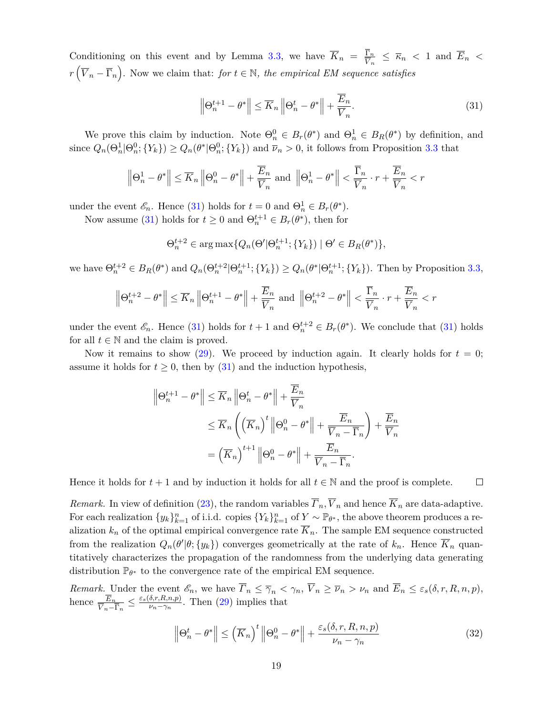Conditioning on this event and by Lemma [3.3,](#page-17-2) we have  $\overline{K}_n = \frac{\Gamma_n}{\overline{V}}$  $\frac{\Gamma_n}{\overline{V}_n} \leq \overline{\kappa}_n < 1$  and  $\overline{E}_n <$  $r(\overline{V}_n - \overline{\Gamma}_n)$ . Now we claim that: *for*  $t \in \mathbb{N}$ *, the empirical EM sequence satisfies* 

<span id="page-18-0"></span>
$$
\left\|\Theta_n^{t+1} - \theta^*\right\| \le \overline{K}_n \left\|\Theta_n^t - \theta^*\right\| + \frac{E_n}{\overline{V}_n}.\tag{31}
$$

We prove this claim by induction. Note  $\Theta_n^0 \in B_r(\theta^*)$  and  $\Theta_n^1 \in B_R(\theta^*)$  by definition, and since  $Q_n(\Theta_n^1 | \Theta_n^0; \{Y_k\}) \geq Q_n(\theta^* | \Theta_n^0; \{Y_k\})$  and  $\overline{\nu}_n > 0$ , it follows from Proposition [3.3](#page-16-1) that

$$
\left\|\Theta_n^1 - \theta^*\right\| \le \overline{K}_n \left\|\Theta_n^0 - \theta^*\right\| + \frac{\overline{E}_n}{\overline{V}_n} \text{ and } \left\|\Theta_n^1 - \theta^*\right\| < \frac{\overline{\Gamma}_n}{\overline{V}_n} \cdot r + \frac{\overline{E}_n}{\overline{V}_n} < r
$$

under the event  $\mathscr{E}_n$ . Hence [\(31\)](#page-18-0) holds for  $t = 0$  and  $\Theta_n^1 \in B_r(\theta^*).$ 

Now assume [\(31\)](#page-18-0) holds for  $t \geq 0$  and  $\Theta_n^{t+1} \in B_r(\theta^*)$ , then for

$$
\Theta_n^{t+2} \in \arg \max \{ Q_n(\Theta' | \Theta_n^{t+1}; \{ Y_k \}) \mid \Theta' \in B_R(\theta^*) \},
$$

we have  $\Theta_n^{t+2} \in B_R(\theta^*)$  and  $Q_n(\Theta_n^{t+2}|\Theta_n^{t+1}; \{Y_k\}) \geq Q_n(\theta^*|\Theta_n^{t+1}; \{Y_k\})$ . Then by Proposition [3.3,](#page-16-1)

$$
\left\|\Theta_n^{t+2} - \theta^*\right\| \le \overline{K}_n \left\|\Theta_n^{t+1} - \theta^*\right\| + \frac{\overline{E}_n}{\overline{V}_n} \text{ and } \left\|\Theta_n^{t+2} - \theta^*\right\| < \frac{\overline{\Gamma}_n}{\overline{V}_n} \cdot r + \frac{\overline{E}_n}{\overline{V}_n} < r
$$

under the event  $\mathscr{E}_n$ . Hence [\(31\)](#page-18-0) holds for  $t+1$  and  $\Theta_n^{t+2} \in B_r(\theta^*)$ . We conclude that (31) holds for all  $t \in \mathbb{N}$  and the claim is proved.

Now it remains to show  $(29)$ . We proceed by induction again. It clearly holds for  $t = 0$ ; assume it holds for  $t \geq 0$ , then by [\(31\)](#page-18-0) and the induction hypothesis,

$$
\|\Theta_n^{t+1} - \theta^*\| \le \overline{K}_n \|\Theta_n^t - \theta^*\| + \frac{\overline{E}_n}{\overline{V}_n}
$$
  

$$
\le \overline{K}_n \left( \left( \overline{K}_n \right)^t \|\Theta_n^0 - \theta^*\| + \frac{\overline{E}_n}{\overline{V}_n - \overline{\Gamma}_n} \right) + \frac{\overline{E}_n}{\overline{V}_n}
$$
  

$$
= \left( \overline{K}_n \right)^{t+1} \|\Theta_n^0 - \theta^*\| + \frac{\overline{E}_n}{\overline{V}_n - \overline{\Gamma}_n}.
$$

Hence it holds for  $t + 1$  and by induction it holds for all  $t \in \mathbb{N}$  and the proof is complete.  $\Box$ 

*Remark.* In view of definition [\(23\)](#page-15-3), the random variables  $\overline{r}_n, \overline{V}_n$  and hence  $\overline{K}_n$  are data-adaptive. For each realization  $\{y_k\}_{k=1}^n$  of i.i.d. copies  $\{Y_k\}_{k=1}^n$  of  $Y \sim \mathbb{P}_{\theta^*}$ , the above theorem produces a realization  $k_n$  of the optimal empirical convergence rate  $\overline{K}_n$ . The sample EM sequence constructed from the realization  $Q_n(\theta'|\theta; \{y_k\})$  converges geometrically at the rate of  $k_n$ . Hence  $\overline{K}_n$  quantitatively characterizes the propagation of the randomness from the underlying data generating distribution  $\mathbb{P}_{\theta^*}$  to the convergence rate of the empirical EM sequence.

*Remark.* Under the event  $\mathscr{E}_n$ , we have  $\overline{\Gamma}_n \leq \overline{\gamma}_n < \gamma_n$ ,  $\overline{V}_n \geq \overline{\nu}_n > \nu_n$  and  $\overline{E}_n \leq \varepsilon_s(\delta, r, R, n, p)$ , hence  $\frac{\overline{E}_n}{\overline{V}_n - \overline{\Gamma}_n} \leq \frac{\varepsilon_s(\delta, r, R, n, p)}{\nu_n - \gamma_n}$  $\frac{\partial \langle r, K, n, p \rangle}{\partial n - \gamma_n}$ . Then [\(29\)](#page-17-3) implies that

<span id="page-18-1"></span>
$$
\left\|\Theta_n^t - \theta^*\right\| \le \left(\overline{K}_n\right)^t \left\|\Theta_n^0 - \theta^*\right\| + \frac{\varepsilon_s(\delta, r, R, n, p)}{\nu_n - \gamma_n} \tag{32}
$$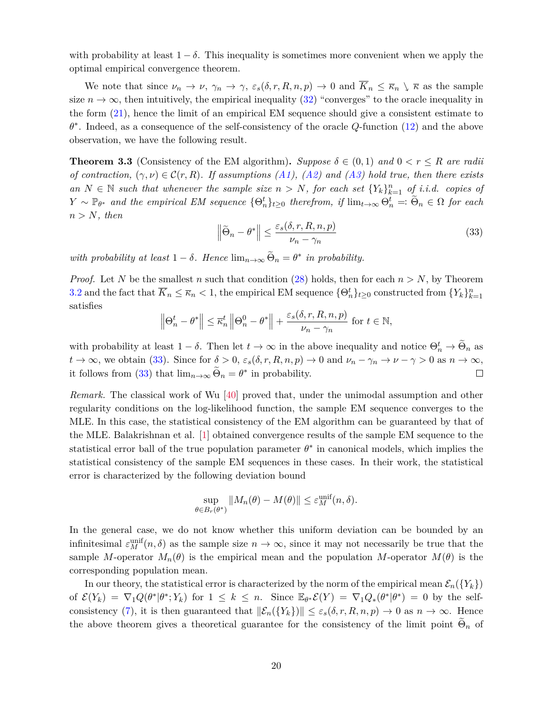with probability at least  $1 - \delta$ . This inequality is sometimes more convenient when we apply the optimal empirical convergence theorem.

We note that since  $\nu_n \to \nu$ ,  $\gamma_n \to \gamma$ ,  $\varepsilon_s(\delta, r, R, n, p) \to 0$  and  $\overline{K}_n \leq \overline{\kappa}_n \setminus \overline{\kappa}$  as the sample size  $n \to \infty$ , then intuitively, the empirical inequality [\(32\)](#page-18-1) "converges" to the oracle inequality in the form [\(21\)](#page-13-3), hence the limit of an empirical EM sequence should give a consistent estimate to *θ* ∗ . Indeed, as a consequence of the self-consistency of the oracle *Q*-function [\(12\)](#page-9-3) and the above observation, we have the following result.

<span id="page-19-0"></span>**Theorem 3.3** (Consistency of the EM algorithm). *Suppose*  $\delta \in (0,1)$  *and*  $0 < r \leq R$  *are radii of contraction,*  $(\gamma, \nu) \in \mathcal{C}(r, R)$ *. If assumptions [\(A1\)](#page-14-0), [\(A2\)](#page-14-1)* and [\(A3\)](#page-14-2) hold true, then there exists *an N* ∈ N *such that whenever the sample size*  $n > N$ *, for each set*  ${Y_k}_{k=1}^n$  *of i.i.d. copies of*  $Y \sim \mathbb{P}_{\theta^*}$  *and the empirical EM sequence*  $\{\Theta_n^t\}_{t\geq 0}$  *therefrom, if*  $\lim_{t\to\infty} \Theta_n^t =: \widetilde{\Theta}_n \in \Omega$  *for each*  $n > N$ *, then* 

<span id="page-19-1"></span>
$$
\left\|\widetilde{\Theta}_n - \theta^*\right\| \le \frac{\varepsilon_s(\delta, r, R, n, p)}{\nu_n - \gamma_n} \tag{33}
$$

*with probability at least*  $1 - \delta$ *. Hence*  $\lim_{n \to \infty} \widetilde{\Theta}_n = \theta^*$  *in probability.* 

*Proof.* Let N be the smallest n such that condition [\(28\)](#page-17-4) holds, then for each  $n > N$ , by Theorem [3.2](#page-17-0) and the fact that  $\overline{K}_n \leq \overline{\kappa}_n < 1$ , the empirical EM sequence  $\{\Theta_n^t\}_{t \geq 0}$  constructed from  $\{Y_k\}_{k=1}^n$ satisfies

$$
\left\|\Theta_n^t - \theta^*\right\| \le \overline{\kappa}_n^t \left\|\Theta_n^0 - \theta^*\right\| + \frac{\varepsilon_s(\delta, r, R, n, p)}{\nu_n - \gamma_n} \text{ for } t \in \mathbb{N},
$$

with probability at least  $1 - \delta$ . Then let  $t \to \infty$  in the above inequality and notice  $\Theta_n^t \to \widetilde{\Theta}_n$  as  $t \to \infty$ , we obtain [\(33\)](#page-19-1). Since for  $\delta > 0$ ,  $\varepsilon_s(\delta, r, R, n, p) \to 0$  and  $\nu_n - \gamma_n \to \nu - \gamma > 0$  as  $n \to \infty$ , it follows from [\(33\)](#page-19-1) that  $\lim_{n\to\infty} \tilde{\Theta}_n = \theta^*$  in probability. □

*Remark.* The classical work of Wu [\[40\]](#page-54-0) proved that, under the unimodal assumption and other regularity conditions on the log-likelihood function, the sample EM sequence converges to the MLE. In this case, the statistical consistency of the EM algorithm can be guaranteed by that of the MLE. Balakrishnan et al. [\[1\]](#page-52-3) obtained convergence results of the sample EM sequence to the statistical error ball of the true population parameter  $\theta^*$  in canonical models, which implies the statistical consistency of the sample EM sequences in these cases. In their work, the statistical error is characterized by the following deviation bound

$$
\sup_{\theta \in B_r(\theta^*)} \|M_n(\theta) - M(\theta)\| \le \varepsilon_M^{\text{unif}}(n, \delta).
$$

In the general case, we do not know whether this uniform deviation can be bounded by an infinitesimal  $\varepsilon_M^{\text{unif}}(n,\delta)$  as the sample size  $n \to \infty$ , since it may not necessarily be true that the sample *M*-operator  $M_n(\theta)$  is the empirical mean and the population *M*-operator  $M(\theta)$  is the corresponding population mean.

In our theory, the statistical error is characterized by the norm of the empirical mean  $\mathcal{E}_n({Y_k})$ of  $\mathcal{E}(Y_k) = \nabla_1 Q(\theta^* | \theta^*; Y_k)$  for  $1 \leq k \leq n$ . Since  $\mathbb{E}_{\theta^*} \mathcal{E}(Y) = \nabla_1 Q_*(\theta^* | \theta^*) = 0$  by the self-consistency [\(7\)](#page-9-2), it is then guaranteed that  $\|\mathcal{E}_n({Y_k})\| \leq \varepsilon_s(\delta, r, R, n, p) \to 0$  as  $n \to \infty$ . Hence the above theorem gives a theoretical guarantee for the consistency of the limit point  $\Theta_n$  of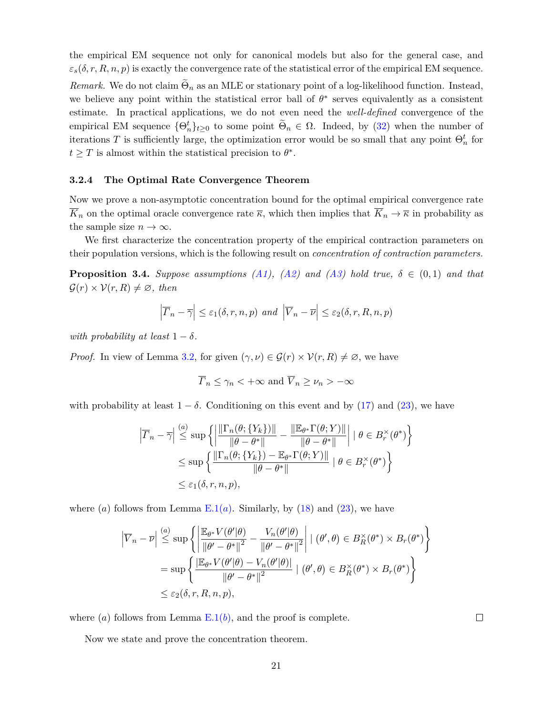the empirical EM sequence not only for canonical models but also for the general case, and  $\varepsilon_s(\delta, r, R, n, p)$  is exactly the convergence rate of the statistical error of the empirical EM sequence.

*Remark.* We do not claim  $\Theta_n$  as an MLE or stationary point of a log-likelihood function. Instead, we believe any point within the statistical error ball of  $\theta^*$  serves equivalently as a consistent estimate. In practical applications, we do not even need the *well-defined* convergence of the empirical EM sequence  $\{\Theta_n^t\}_{t\geq 0}$  to some point  $\widetilde{\Theta}_n \in \Omega$ . Indeed, by [\(32\)](#page-18-1) when the number of iterations *T* is sufficiently large, the optimization error would be so small that any point  $\Theta_n^t$  for  $t \geq T$  is almost within the statistical precision to  $\theta^*$ .

#### **3.2.4 The Optimal Rate Convergence Theorem**

Now we prove a non-asymptotic concentration bound for the optimal empirical convergence rate  $\overline{K}_n$  on the optimal oracle convergence rate  $\overline{\kappa}$ , which then implies that  $\overline{K}_n \to \overline{\kappa}$  in probability as the sample size  $n \to \infty$ .

We first characterize the concentration property of the empirical contraction parameters on their population versions, which is the following result on *concentration of contraction parameters.*

<span id="page-20-0"></span>**Proposition 3.4.** *Suppose assumptions [\(A1\)](#page-14-0), [\(A2\)](#page-14-1) and [\(A3\)](#page-14-2) hold true,*  $\delta \in (0,1)$  *and that*  $\mathcal{G}(r) \times \mathcal{V}(r,R) \neq \emptyset$ , then

$$
\left|\overline{r}_n - \overline{\gamma}\right| \leq \varepsilon_1(\delta, r, n, p) \text{ and } \left|\overline{V}_n - \overline{\nu}\right| \leq \varepsilon_2(\delta, r, R, n, p)
$$

*with probability at least*  $1 - \delta$ *.* 

*Proof.* In view of Lemma [3.2,](#page-15-2) for given  $(\gamma, \nu) \in \mathcal{G}(r) \times \mathcal{V}(r, R) \neq \emptyset$ , we have

$$
\overline{\Gamma}_n \le \gamma_n < +\infty
$$
 and  $\overline{V}_n \ge \nu_n > -\infty$ 

with probability at least  $1 - \delta$ . Conditioning on this event and by [\(17\)](#page-10-4) and [\(23\)](#page-15-3), we have

$$
\left| \overline{\Gamma}_n - \overline{\gamma} \right| \stackrel{(a)}{\leq} \sup \left\{ \left| \frac{\left\| \Gamma_n(\theta; \{Y_k\}) \right\|}{\left\| \theta - \theta^* \right\|} - \frac{\left\| \mathbb{E}_{\theta^*} \Gamma(\theta; Y) \right\|}{\left\| \theta - \theta^* \right\|} \right| \mid \theta \in B_r^{\times}(\theta^*) \right\}
$$
  

$$
\leq \sup \left\{ \frac{\left\| \Gamma_n(\theta; \{Y_k\}) - \mathbb{E}_{\theta^*} \Gamma(\theta; Y) \right\|}{\left\| \theta - \theta^* \right\|} \mid \theta \in B_r^{\times}(\theta^*) \right\}
$$
  

$$
\leq \varepsilon_1(\delta, r, n, p),
$$

where  $(a)$  $(a)$  $(a)$  follows from Lemma  $E.1(a)$  $E.1(a)$ . Similarly, by  $(18)$  and  $(23)$ , we have

$$
\left| \overline{V}_{n} - \overline{\nu} \right| \stackrel{(a)}{\leq} \sup \left\{ \left| \frac{\mathbb{E}_{\theta^{*}} V(\theta' | \theta)}{\|\theta' - \theta^{*}\|^{2}} - \frac{V_{n}(\theta' | \theta)}{\|\theta' - \theta^{*}\|^{2}} \right| \mid (\theta', \theta) \in B_{R}^{\times}(\theta^{*}) \times B_{r}(\theta^{*}) \right\}
$$

$$
= \sup \left\{ \frac{\left| \mathbb{E}_{\theta^{*}} V(\theta' | \theta) - V_{n}(\theta' | \theta) \right|}{\|\theta' - \theta^{*}\|^{2}} \mid (\theta', \theta) \in B_{R}^{\times}(\theta^{*}) \times B_{r}(\theta^{*}) \right\}
$$

$$
\leq \varepsilon_{2}(\delta, r, R, n, p),
$$

where  $(a)$  follows from Lemma  $E(1(b))$ , and the proof is complete.

Now we state and prove the concentration theorem.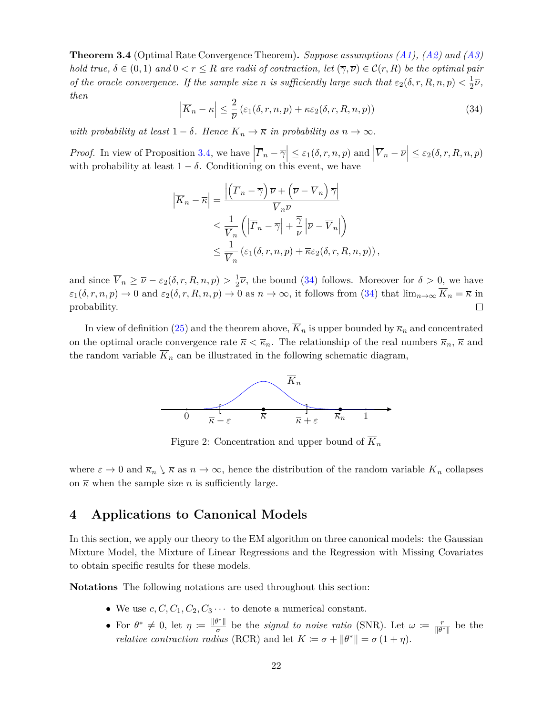<span id="page-21-0"></span>**Theorem 3.4** (Optimal Rate Convergence Theorem)**.** *Suppose assumptions [\(A1\)](#page-14-0), [\(A2\)](#page-14-1) and [\(A3\)](#page-14-2) hold true,*  $\delta \in (0,1)$  *and*  $0 < r \leq R$  *are radii of contraction, let*  $(\overline{\gamma}, \overline{\nu}) \in C(r, R)$  *be the optimal pair of the oracle convergence. If the sample size n is sufficiently large such that*  $\varepsilon_2(\delta, r, R, n, p) < \frac{1}{2}$  $rac{1}{2}\overline{\nu}$ , *then*

<span id="page-21-2"></span>
$$
\left|\overline{K}_n - \overline{\kappa}\right| \le \frac{2}{\overline{\nu}}\left(\varepsilon_1(\delta, r, n, p) + \overline{\kappa}\varepsilon_2(\delta, r, R, n, p)\right) \tag{34}
$$

*with probability at least*  $1 - \delta$ *. Hence*  $\overline{K}_n \to \overline{\kappa}$  *in probability as*  $n \to \infty$ *.* 

*Proof.* In view of Proposition [3.4,](#page-20-0) we have  $|\overline{T}_n - \overline{\gamma}| \leq \varepsilon_1(\delta, r, n, p)$  and  $|\overline{V}_n - \overline{\nu}| \leq \varepsilon_2(\delta, r, R, n, p)$ with probability at least  $1 - \delta$ . Conditioning on this event, we have

$$
\left| \overline{K}_n - \overline{\kappa} \right| = \frac{\left| \left( \overline{\Gamma}_n - \overline{\gamma} \right) \overline{\nu} + \left( \overline{\nu} - \overline{V}_n \right) \overline{\gamma} \right|}{\overline{V}_n \overline{\nu}} \le \frac{1}{\overline{V}_n} \left( \left| \overline{\Gamma}_n - \overline{\gamma} \right| + \frac{\overline{\gamma}}{\overline{\nu}} \left| \overline{\nu} - \overline{V}_n \right| \right) \le \frac{1}{\overline{V}_n} \left( \varepsilon_1(\delta, r, n, p) + \overline{\kappa} \varepsilon_2(\delta, r, R, n, p) \right),
$$

and since  $\overline{V}_n \geq \overline{\nu} - \varepsilon_2(\delta, r, R, n, p) > \frac{1}{2}$  $\frac{1}{2}\overline{\nu}$ , the bound [\(34\)](#page-21-2) follows. Moreover for  $\delta > 0$ , we have  $\varepsilon_1(\delta, r, n, p) \to 0$  and  $\varepsilon_2(\delta, r, R, n, p) \to 0$  as  $n \to \infty$ , it follows from [\(34\)](#page-21-2) that  $\lim_{n \to \infty} \overline{K}_n = \overline{\kappa}$  in probability.  $\Box$ 

<span id="page-21-3"></span>In view of definition [\(25\)](#page-16-2) and the theorem above,  $\overline{K}_n$  is upper bounded by  $\overline{\kappa}_n$  and concentrated on the optimal oracle convergence rate  $\bar{\kappa} < \bar{\kappa}_n$ . The relationship of the real numbers  $\bar{\kappa}_n$ ,  $\bar{\kappa}$  and the random variable  $\overline{K}_n$  can be illustrated in the following schematic diagram,



Figure 2: Concentration and upper bound of  $\overline{K}_n$ 

where  $\varepsilon \to 0$  and  $\overline{\kappa}_n \setminus \overline{\kappa}$  as  $n \to \infty$ , hence the distribution of the random variable  $\overline{K}_n$  collapses on  $\bar{\kappa}$  when the sample size *n* is sufficiently large.

# <span id="page-21-1"></span>**4 Applications to Canonical Models**

In this section, we apply our theory to the EM algorithm on three canonical models: the Gaussian Mixture Model, the Mixture of Linear Regressions and the Regression with Missing Covariates to obtain specific results for these models.

**Notations** The following notations are used throughout this section:

- We use  $c, C, C_1, C_2, C_3 \cdots$  to denote a numerical constant.
- For  $\theta^* \neq 0$ , let  $\eta \coloneqq \frac{\|\theta^*\|}{\sigma}$ *σ*<sup> $\frac{g^{*}}{\sigma}$  be the *signal to noise ratio* (SNR). Let  $\omega := \frac{r}{\|\theta\|}$ </sup>  $\frac{r}{\|\theta^*\|}$  be the *relative contraction radius* (RCR) and let  $K \coloneqq \sigma + ||\theta^*|| = \sigma(1 + \eta)$ .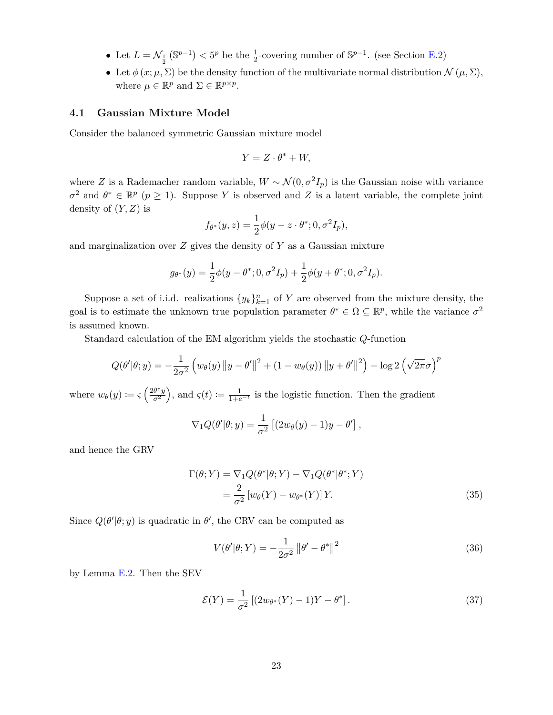- Let  $L = \mathcal{N}_{\frac{1}{2}} (\mathbb{S}^{p-1}) < 5^p$  be the  $\frac{1}{2}$ -covering number of  $\mathbb{S}^{p-1}$ . (see Section [E.2\)](#page-49-0)
- Let  $\phi(x; \mu, \Sigma)$  be the density function of the multivariate normal distribution  $\mathcal{N}(\mu, \Sigma)$ , where  $\mu \in \mathbb{R}^p$  and  $\Sigma \in \mathbb{R}^{p \times p}$ .

#### <span id="page-22-0"></span>**4.1 Gaussian Mixture Model**

Consider the balanced symmetric Gaussian mixture model

$$
Y = Z \cdot \theta^* + W,
$$

where *Z* is a Rademacher random variable,  $W \sim \mathcal{N}(0, \sigma^2 I_p)$  is the Gaussian noise with variance  $\sigma^2$  and  $\theta^* \in \mathbb{R}^p$  ( $p \geq 1$ ). Suppose *Y* is observed and *Z* is a latent variable, the complete joint density of (*Y, Z*) is

$$
f_{\theta^*}(y, z) = \frac{1}{2}\phi(y - z \cdot \theta^*; 0, \sigma^2 I_p),
$$

and marginalization over *Z* gives the density of *Y* as a Gaussian mixture

$$
g_{\theta^*}(y) = \frac{1}{2}\phi(y - \theta^*; 0, \sigma^2 I_p) + \frac{1}{2}\phi(y + \theta^*; 0, \sigma^2 I_p).
$$

Suppose a set of i.i.d. realizations  $\{y_k\}_{k=1}^n$  of *Y* are observed from the mixture density, the goal is to estimate the unknown true population parameter  $\theta^* \in \Omega \subseteq \mathbb{R}^p$ , while the variance  $\sigma^2$ is assumed known.

Standard calculation of the EM algorithm yields the stochastic *Q*-function

$$
Q(\theta'|\theta; y) = -\frac{1}{2\sigma^2} \left( w_{\theta}(y) \|y - \theta'\|^2 + (1 - w_{\theta}(y)) \|y + \theta'\|^2 \right) - \log 2 \left( \sqrt{2\pi} \sigma \right)^p
$$

where  $w_{\theta}(y) \coloneqq \varsigma \left( \frac{2\theta^{\intercal} y}{\sigma^2} \right)$  $\left(\frac{\partial \tau y}{\partial \sigma^2}\right)$ , and  $\varsigma(t) \coloneqq \frac{1}{1+e^{-t}}$  is the logistic function. Then the gradient

$$
\nabla_1 Q(\theta'|\theta; y) = \frac{1}{\sigma^2} \left[ (2w_\theta(y) - 1)y - \theta' \right],
$$

and hence the GRV

$$
\Gamma(\theta;Y) = \nabla_1 Q(\theta^*|\theta;Y) - \nabla_1 Q(\theta^*|\theta^*;Y)
$$
  
= 
$$
\frac{2}{\sigma^2} \left[ w_\theta(Y) - w_{\theta^*}(Y) \right] Y.
$$
 (35)

Since  $Q(\theta'|\theta; y)$  is quadratic in  $\theta'$ , the CRV can be computed as

<span id="page-22-2"></span><span id="page-22-1"></span>
$$
V(\theta'|\theta;Y) = -\frac{1}{2\sigma^2} \left\|\theta' - \theta^*\right\|^2
$$
\n(36)

by Lemma [E.2.](#page-48-3) Then the SEV

$$
\mathcal{E}(Y) = \frac{1}{\sigma^2} \left[ (2w_{\theta^*}(Y) - 1)Y - \theta^* \right]. \tag{37}
$$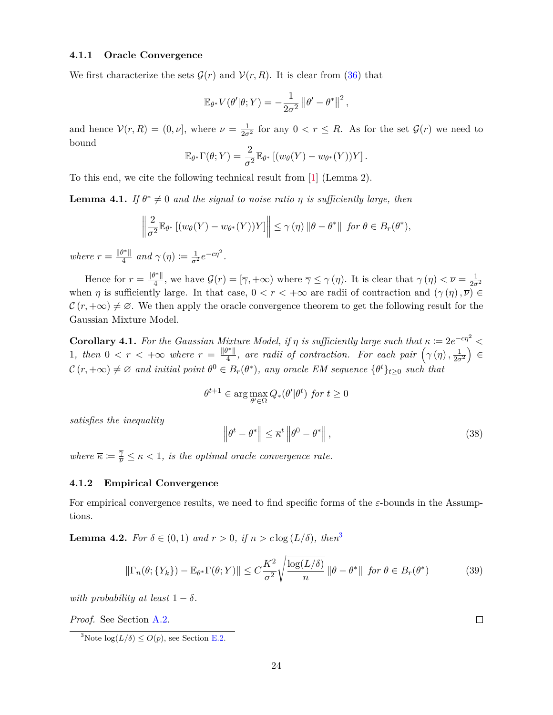## <span id="page-23-0"></span>**4.1.1 Oracle Convergence**

We first characterize the sets  $\mathcal{G}(r)$  and  $\mathcal{V}(r, R)$ . It is clear from [\(36\)](#page-22-1) that

$$
\mathbb{E}_{\theta^*} V(\theta'|\theta;Y) = -\frac{1}{2\sigma^2} ||\theta' - \theta^*||^2,
$$

and hence  $V(r, R) = (0, \overline{\nu}]$ , where  $\overline{\nu} = \frac{1}{2\sigma^2}$  for any  $0 < r \le R$ . As for the set  $\mathcal{G}(r)$  we need to bound

$$
\mathbb{E}_{\theta^*} \Gamma(\theta;Y) = \frac{2}{\sigma^2} \mathbb{E}_{\theta^*} [(w_{\theta}(Y) - w_{\theta^*}(Y))Y].
$$

To this end, we cite the following technical result from [\[1\]](#page-52-3) (Lemma 2).

**Lemma 4.1.** *If*  $\theta^* \neq 0$  *and the signal to noise ratio*  $\eta$  *is sufficiently large, then* 

$$
\left\|\frac{2}{\sigma^2}\mathbb{E}_{\theta^*}\left[(w_{\theta}(Y)-w_{\theta^*}(Y))Y\right]\right\|\leq \gamma(\eta)\left\|\theta-\theta^*\right\| \text{ for } \theta\in B_r(\theta^*),
$$

*where*  $r = \frac{\|\theta^*\|}{4}$  $\frac{\partial^* \mathbb{I}}{4}$  and  $\gamma(\eta) \coloneqq \frac{1}{\sigma^2} e^{-c\eta^2}$ .

Hence for  $r = \frac{\|\theta^*\|}{4}$  $\frac{f^{*}}{4}$ , we have  $\mathcal{G}(r) = [\overline{\gamma}, +\infty)$  where  $\overline{\gamma} \leq \gamma(\eta)$ . It is clear that  $\gamma(\eta) < \overline{\nu} = \frac{1}{2\sigma^2}$ when *η* is sufficiently large. In that case,  $0 < r < +\infty$  are radii of contraction and  $(\gamma(\eta), \overline{\nu}) \in$  $\mathcal{C}(r, +\infty) \neq \emptyset$ . We then apply the oracle convergence theorem to get the following result for the Gaussian Mixture Model.

**Corollary 4.1.** For the Gaussian Mixture Model, if  $\eta$  is sufficiently large such that  $\kappa := 2e^{-c\eta^2}$ 1, then  $0 < r < +\infty$  where  $r = \frac{\|\theta^*\|}{4}$  $\frac{f^{*} \parallel}{4}$ , are radii of contraction. For each pair  $(\gamma(\eta), \frac{1}{2\sigma^2}) \in$  $\mathcal{C}(r, +\infty) \neq \emptyset$  and initial point  $\theta^0 \in B_r(\theta^*)$ , any oracle EM sequence  $\{\theta^t\}_{t \geq 0}$  such that

$$
\theta^{t+1} \in \arg\max_{\theta' \in \Omega} Q_*(\theta'|\theta^t) \text{ for } t \ge 0
$$

*satisfies the inequality*

$$
\left\|\theta^{t} - \theta^{*}\right\| \leq \overline{\kappa}^{t} \left\|\theta^{0} - \theta^{*}\right\|,
$$
\n(38)

*where*  $\overline{\kappa} := \frac{\overline{\gamma}}{\nu} \leq \kappa < 1$ , *is the optimal oracle convergence rate.* 

#### **4.1.2 Empirical Convergence**

For empirical convergence results, we need to find specific forms of the *ε*-bounds in the Assumptions.

<span id="page-23-3"></span>**Lemma 4.2.** *For*  $\delta \in (0,1)$  *and*  $r > 0$ *, if*  $n > c \log(L/\delta)$ *, then*<sup>[3](#page-23-1)</sup>

<span id="page-23-2"></span>
$$
\|\Gamma_n(\theta;\{Y_k\}) - \mathbb{E}_{\theta^*}\Gamma(\theta;Y)\| \le C\frac{K^2}{\sigma^2} \sqrt{\frac{\log(L/\delta)}{n}} \|\theta - \theta^*\| \text{ for } \theta \in B_r(\theta^*)
$$
 (39)

*with probability at least*  $1 - \delta$ *.* 

*Proof.* See Section [A.2.](#page-34-0)

<span id="page-23-1"></span><sup>3</sup>Note  $\log(L/\delta) \leq O(p)$ , see Section [E.2.](#page-49-0)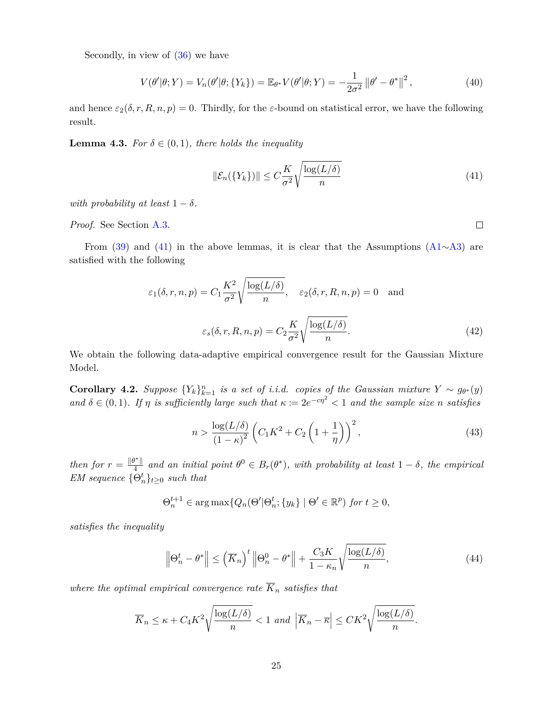Secondly, in view of [\(36\)](#page-22-1) we have

$$
V(\theta'|\theta;Y) = V_n(\theta'|\theta; \{Y_k\}) = \mathbb{E}_{\theta^*} V(\theta'|\theta;Y) = -\frac{1}{2\sigma^2} ||\theta' - \theta^*||^2,
$$
\n(40)

and hence  $\varepsilon_2(\delta, r, R, n, p) = 0$ . Thirdly, for the *ε*-bound on statistical error, we have the following result.

<span id="page-24-2"></span>**Lemma 4.3.** *For*  $\delta \in (0,1)$ *, there holds the inequality* 

<span id="page-24-0"></span>
$$
\|\mathcal{E}_n(\{Y_k\})\| \le C \frac{K}{\sigma^2} \sqrt{\frac{\log(L/\delta)}{n}}\tag{41}
$$

*with probability at least*  $1 - \delta$ *.* 

*Proof.* See Section [A.3.](#page-35-0)

From [\(39\)](#page-23-2) and [\(41\)](#page-24-0) in the above lemmas, it is clear that the Assumptions [\(A1](#page-14-0)∼[A3\)](#page-14-2) are satisfied with the following

$$
\varepsilon_1(\delta, r, n, p) = C_1 \frac{K^2}{\sigma^2} \sqrt{\frac{\log(L/\delta)}{n}}, \quad \varepsilon_2(\delta, r, R, n, p) = 0 \quad \text{and}
$$

$$
\varepsilon_s(\delta, r, R, n, p) = C_2 \frac{K}{\sigma^2} \sqrt{\frac{\log(L/\delta)}{n}}.
$$
(42)

We obtain the following data-adaptive empirical convergence result for the Gaussian Mixture Model.

**Corollary 4.2.** *Suppose*  ${Y_k}_{k=1}^n$  *is a set of i.i.d. copies of the Gaussian mixture*  $Y \sim g_{\theta^*}(y)$ *and*  $\delta \in (0,1)$ *. If*  $\eta$  *is sufficiently large such that*  $\kappa := 2e^{-c\eta^2} < 1$  *and the sample size n satisfies* 

<span id="page-24-1"></span>
$$
n > \frac{\log(L/\delta)}{\left(1 - \kappa\right)^2} \left(C_1 K^2 + C_2 \left(1 + \frac{1}{\eta}\right)\right)^2,\tag{43}
$$

*then for*  $r = \frac{\|\theta^*\|}{4}$  $\frac{d^*}{4}$  and an initial point  $\theta^0 \in B_r(\theta^*)$ , with probability at least  $1 - \delta$ , the empirical *EM sequence*  ${\Theta_n^t}_{t \geq 0}$  *such that* 

$$
\Theta_n^{t+1} \in \arg \max \{ Q_n(\Theta' | \Theta_n^t; \{y_k\} \mid \Theta' \in \mathbb{R}^p) \text{ for } t \ge 0,
$$

*satisfies the inequality*

$$
\left\|\Theta_n^t - \theta^*\right\| \le \left(\overline{K}_n\right)^t \left\|\Theta_n^0 - \theta^*\right\| + \frac{C_3 K}{1 - \kappa_n} \sqrt{\frac{\log(L/\delta)}{n}},\tag{44}
$$

*where the optimal empirical convergence rate*  $\overline{K}_n$  *satisfies that* 

$$
\overline{K}_n \le \kappa + C_4 K^2 \sqrt{\frac{\log(L/\delta)}{n}} < 1 \text{ and } \left| \overline{K}_n - \overline{\kappa} \right| \le C K^2 \sqrt{\frac{\log(L/\delta)}{n}}.
$$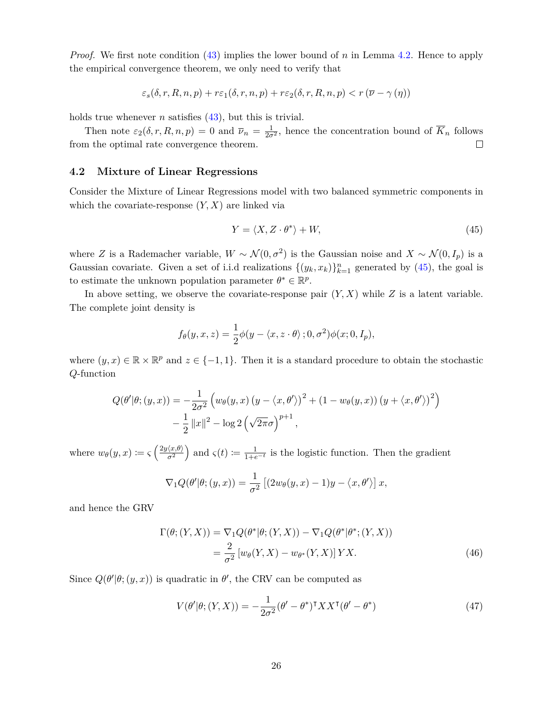*Proof.* We first note condition [\(43\)](#page-24-1) implies the lower bound of *n* in Lemma [4.2.](#page-23-3) Hence to apply the empirical convergence theorem, we only need to verify that

$$
\varepsilon_s(\delta,r,R,n,p) + r \varepsilon_1(\delta,r,n,p) + r \varepsilon_2(\delta,r,R,n,p) < r \left( \overline{\nu} - \gamma(\eta) \right)
$$

holds true whenever *n* satisfies  $(43)$ , but this is trivial.

Then note  $\varepsilon_2(\delta, r, R, n, p) = 0$  and  $\overline{\nu}_n = \frac{1}{2\sigma^2}$ , hence the concentration bound of  $\overline{K}_n$  follows from the optimal rate convergence theorem.  $\Box$ 

#### <span id="page-25-0"></span>**4.2 Mixture of Linear Regressions**

Consider the Mixture of Linear Regressions model with two balanced symmetric components in which the covariate-response  $(Y, X)$  are linked via

<span id="page-25-1"></span>
$$
Y = \langle X, Z \cdot \theta^* \rangle + W,\tag{45}
$$

where *Z* is a Rademacher variable,  $W \sim \mathcal{N}(0, \sigma^2)$  is the Gaussian noise and  $X \sim \mathcal{N}(0, I_p)$  is a Gaussian covariate. Given a set of i.i.d realizations  $\{(y_k, x_k)\}_{k=1}^n$  generated by [\(45\)](#page-25-1), the goal is to estimate the unknown population parameter  $\theta^* \in \mathbb{R}^p$ .

In above setting, we observe the covariate-response pair  $(Y, X)$  while  $Z$  is a latent variable. The complete joint density is

$$
f_{\theta}(y, x, z) = \frac{1}{2}\phi(y - \langle x, z \cdot \theta \rangle; 0, \sigma^2)\phi(x; 0, I_p),
$$

where  $(y, x) \in \mathbb{R} \times \mathbb{R}^p$  and  $z \in \{-1, 1\}$ . Then it is a standard procedure to obtain the stochastic *Q*-function

$$
Q(\theta'|\theta; (y, x)) = -\frac{1}{2\sigma^2} \left( w_{\theta}(y, x) (y - \langle x, \theta' \rangle)^2 + (1 - w_{\theta}(y, x)) (y + \langle x, \theta' \rangle)^2 \right) - \frac{1}{2} ||x||^2 - \log 2 (\sqrt{2\pi}\sigma)^{p+1},
$$

where  $w_{\theta}(y, x) \coloneqq \varsigma \left( \frac{2y \langle x, \theta \rangle}{\sigma^2} \right)$  $\left(\frac{\langle x,\theta\rangle}{\sigma^2}\right)$  and  $\varsigma(t) := \frac{1}{1+e^{-t}}$  is the logistic function. Then the gradient

$$
\nabla_1 Q(\theta'|\theta; (y, x)) = \frac{1}{\sigma^2} \left[ (2w_{\theta}(y, x) - 1)y - \langle x, \theta' \rangle \right] x,
$$

and hence the GRV

$$
\Gamma(\theta; (Y, X)) = \nabla_1 Q(\theta^* | \theta; (Y, X)) - \nabla_1 Q(\theta^* | \theta^*; (Y, X))
$$
  
= 
$$
\frac{2}{\sigma^2} [w_{\theta}(Y, X) - w_{\theta^*}(Y, X)] Y X.
$$
 (46)

Since  $Q(\theta'|\theta; (y, x))$  is quadratic in  $\theta'$ , the CRV can be computed as

<span id="page-25-3"></span><span id="page-25-2"></span>
$$
V(\theta'|\theta; (Y, X)) = -\frac{1}{2\sigma^2}(\theta' - \theta^*)^{\mathsf{T}} XX^{\mathsf{T}}(\theta' - \theta^*)
$$
\n(47)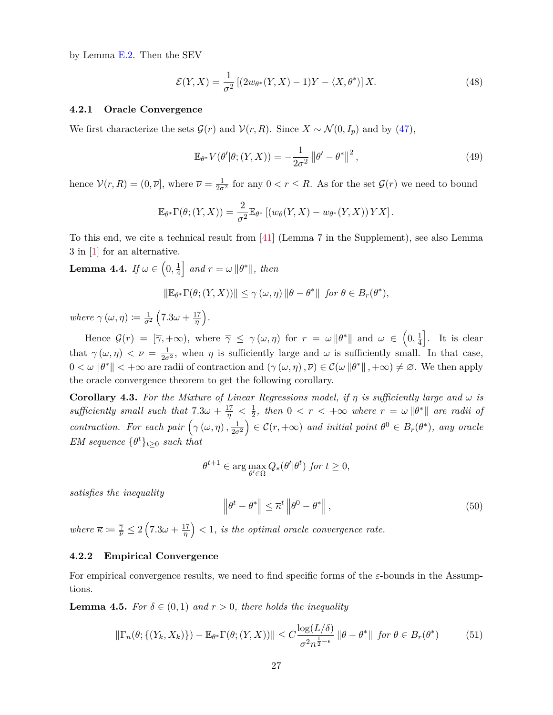by Lemma [E.2.](#page-48-3) Then the SEV

<span id="page-26-3"></span>
$$
\mathcal{E}(Y,X) = \frac{1}{\sigma^2} \left[ (2w_{\theta^*}(Y,X) - 1)Y - \langle X, \theta^* \rangle \right] X. \tag{48}
$$

#### <span id="page-26-0"></span>**4.2.1 Oracle Convergence**

We first characterize the sets  $\mathcal{G}(r)$  and  $\mathcal{V}(r, R)$ . Since  $X \sim \mathcal{N}(0, I_p)$  and by [\(47\)](#page-25-2),

$$
\mathbb{E}_{\theta^*} V(\theta'|\theta; (Y, X)) = -\frac{1}{2\sigma^2} ||\theta' - \theta^*||^2,
$$
\n(49)

hence  $V(r, R) = (0, \overline{\nu}]$ , where  $\overline{\nu} = \frac{1}{2\sigma^2}$  for any  $0 < r \le R$ . As for the set  $\mathcal{G}(r)$  we need to bound

$$
\mathbb{E}_{\theta^*} \Gamma(\theta; (Y, X)) = \frac{2}{\sigma^2} \mathbb{E}_{\theta^*} \left[ \left( w_{\theta}(Y, X) - w_{\theta^*}(Y, X) \right) Y X \right].
$$

To this end, we cite a technical result from [\[41\]](#page-54-2) (Lemma 7 in the Supplement), see also Lemma 3 in [\[1\]](#page-52-3) for an alternative.

 $\textbf{Lemma 4.4.} \ \textit{If} \ \omega \in \left(0, \frac{1}{4}\right)$  $\frac{1}{4}$  and  $r = \omega ||\theta^*||$ , then

$$
\|\mathbb{E}_{\theta^*}\Gamma(\theta;(Y,X))\| \leq \gamma(\omega,\eta) \|\theta - \theta^*\| \text{ for } \theta \in B_r(\theta^*),
$$

*where*  $\gamma(\omega, \eta) \coloneqq \frac{1}{\sigma^2} \left(7.3\omega + \frac{17}{\eta}\right)$  $\frac{17}{\eta}$ ).

Hence  $\mathcal{G}(r) = [\overline{\gamma}, +\infty)$ , where  $\overline{\gamma} \leq \gamma(\omega, \eta)$  for  $r = \omega \|\theta^*\|$  and  $\omega \in (0, \frac{1}{4})$  $\frac{1}{4}$ . It is clear that  $\gamma(\omega, \eta) < \overline{\nu} = \frac{1}{2\sigma^2}$ , when  $\eta$  is sufficiently large and  $\omega$  is sufficiently small. In that case,  $0 < \omega \|\theta^*\| < +\infty$  are radii of contraction and  $(\gamma(\omega, \eta), \overline{\nu}) \in C(\omega \|\theta^*\|, +\infty) \neq \emptyset$ . We then apply the oracle convergence theorem to get the following corollary.

**Corollary 4.3.** For the Mixture of Linear Regressions model, if  $\eta$  is sufficiently large and  $\omega$  is *sufficiently small such that*  $7.3\omega + \frac{17}{\eta} < \frac{1}{2}$  $\frac{1}{2}$ *, then*  $0 < r < +\infty$  where  $r = \omega \|\theta^*\|$  are radii of *contraction. For each pair*  $(\gamma(\omega, \eta), \frac{1}{2\sigma^2}) \in C(r, +\infty)$  *and initial point*  $\theta^0 \in B_r(\theta^*)$ *, any oracle EM sequence*  $\{\theta^t\}_{t\geq 0}$  *such that* 

$$
\theta^{t+1} \in \arg\max_{\theta' \in \Omega} Q_*(\theta'|\theta^t) \text{ for } t \ge 0,
$$

*satisfies the inequality*

$$
\left\|\theta^{t} - \theta^{*}\right\| \leq \overline{\kappa}^{t} \left\|\theta^{0} - \theta^{*}\right\|,
$$
\n(50)

*where*  $\overline{\kappa} := \frac{\overline{\gamma}}{\overline{\nu}} \leq 2\left(7.3\omega + \frac{17}{\eta}\right)$  $\left(\frac{17}{\eta}\right)$  < 1*, is the optimal oracle convergence rate.* 

# **4.2.2 Empirical Convergence**

For empirical convergence results, we need to find specific forms of the *ε*-bounds in the Assumptions.

<span id="page-26-2"></span>**Lemma 4.5.** *For*  $\delta \in (0,1)$  *and*  $r > 0$ *, there holds the inequality* 

<span id="page-26-1"></span>
$$
\|\Gamma_n(\theta;\{(Y_k,X_k)\}) - \mathbb{E}_{\theta^*}\Gamma(\theta;(Y,X))\| \le C \frac{\log(L/\delta)}{\sigma^2 n^{\frac{1}{2}-\epsilon}} \|\theta - \theta^*\| \text{ for } \theta \in B_r(\theta^*)
$$
 (51)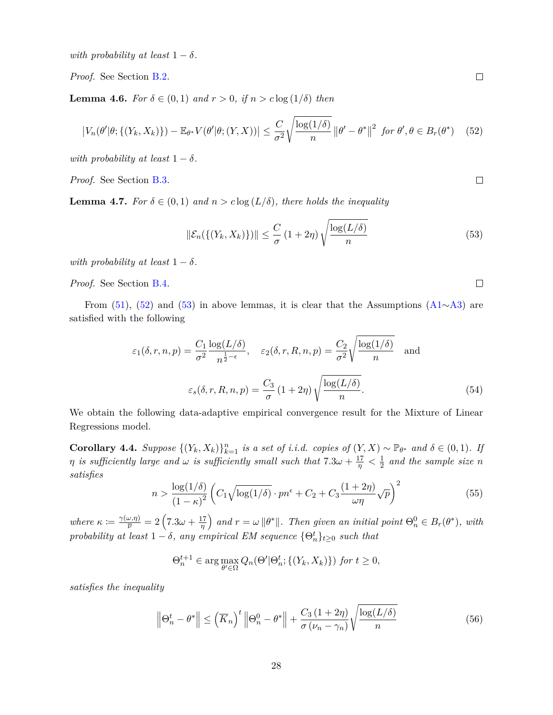*with probability at least*  $1 - \delta$ *.* 

*Proof.* See Section [B.2.](#page-36-0)

<span id="page-27-3"></span>**Lemma 4.6.** *For*  $\delta \in (0,1)$  *and*  $r > 0$ *, if*  $n > c \log(1/\delta)$  *then* 

<span id="page-27-0"></span>
$$
\left|V_n(\theta'|\theta;\{(Y_k,X_k)\}) - \mathbb{E}_{\theta^*}V(\theta'|\theta;(Y,X))\right| \le \frac{C}{\sigma^2} \sqrt{\frac{\log(1/\delta)}{n}} \left\|\theta' - \theta^*\right\|^2 \text{ for } \theta', \theta \in B_r(\theta^*) \quad (52)
$$

*with probability at least*  $1 - \delta$ *.* 

*Proof.* See Section [B.3.](#page-36-1)

<span id="page-27-4"></span>**Lemma 4.7.** *For*  $\delta \in (0,1)$  *and*  $n > c \log(L/\delta)$ *, there holds the inequality* 

<span id="page-27-1"></span>
$$
\|\mathcal{E}_n(\{(Y_k, X_k)\})\| \leq \frac{C}{\sigma} (1+2\eta) \sqrt{\frac{\log(L/\delta)}{n}}
$$
\n(53)

*with probability at least*  $1 - \delta$ *.* 

*Proof.* See Section [B.4.](#page-37-0)

From [\(51\)](#page-26-1), [\(52\)](#page-27-0) and [\(53\)](#page-27-1) in above lemmas, it is clear that the Assumptions [\(A1](#page-14-0)∼[A3\)](#page-14-2) are satisfied with the following

$$
\varepsilon_1(\delta, r, n, p) = \frac{C_1}{\sigma^2} \frac{\log(L/\delta)}{n^{\frac{1}{2} - \epsilon}}, \quad \varepsilon_2(\delta, r, R, n, p) = \frac{C_2}{\sigma^2} \sqrt{\frac{\log(1/\delta)}{n}} \quad \text{and}
$$

$$
\varepsilon_s(\delta, r, R, n, p) = \frac{C_3}{\sigma} (1 + 2\eta) \sqrt{\frac{\log(L/\delta)}{n}}.
$$
(54)

We obtain the following data-adaptive empirical convergence result for the Mixture of Linear Regressions model.

**Corollary 4.4.** *Suppose*  $\{(Y_k, X_k)\}_{k=1}^n$  *is a set of i.i.d. copies of*  $(Y, X) \sim \mathbb{P}_{\theta^*}$  *and*  $\delta \in (0, 1)$ *. If η is sufficiently large and*  $\omega$  *is sufficiently small such that*  $7.3\omega + \frac{17}{\eta} < \frac{1}{2}$  $\frac{1}{2}$  and the sample size *n satisfies*

<span id="page-27-2"></span>
$$
n > \frac{\log(1/\delta)}{(1-\kappa)^2} \left( C_1 \sqrt{\log(1/\delta)} \cdot pn^{\epsilon} + C_2 + C_3 \frac{(1+2\eta)}{\omega \eta} \sqrt{p} \right)^2 \tag{55}
$$

*where*  $\kappa := \frac{\gamma(\omega, \eta)}{\overline{\nu}} = 2\left(7.3\omega + \frac{17}{\eta}\right)$  $\left(\frac{d^2}{\eta}\right)$  and  $r = \omega \|\theta^*\|$ . Then given an initial point  $\Theta_n^0 \in B_r(\theta^*)$ , with *probability at least*  $1 - \delta$ *, any empirical EM sequence*  $\{\Theta_n^t\}_{t \geq 0}$  *such that* 

$$
\Theta_n^{t+1} \in \arg\max_{\theta' \in \Omega} Q_n(\Theta' | \Theta_n^t; \{(Y_k, X_k)\}) \text{ for } t \ge 0,
$$

*satisfies the inequality*

$$
\left\|\Theta_n^t - \theta^*\right\| \le \left(\overline{K}_n\right)^t \left\|\Theta_n^0 - \theta^*\right\| + \frac{C_3\left(1 + 2\eta\right)}{\sigma\left(\nu_n - \gamma_n\right)} \sqrt{\frac{\log(L/\delta)}{n}}\tag{56}
$$

 $\Box$ 

 $\Box$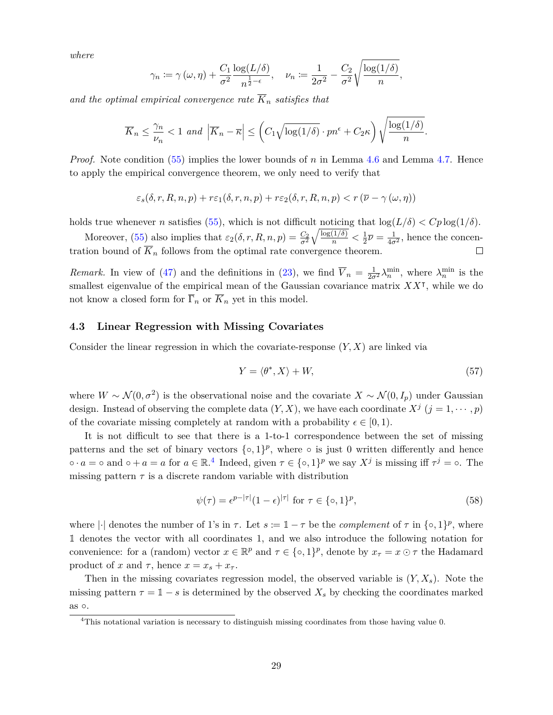*where*

$$
\gamma_n \coloneqq \gamma(\omega, \eta) + \frac{C_1}{\sigma^2} \frac{\log(L/\delta)}{n^{\frac{1}{2}-\epsilon}}, \quad \nu_n \coloneqq \frac{1}{2\sigma^2} - \frac{C_2}{\sigma^2} \sqrt{\frac{\log(1/\delta)}{n}},
$$

*and the optimal empirical convergence rate*  $\overline{K}_n$  *satisfies that* 

$$
\overline{K}_n \le \frac{\gamma_n}{\nu_n} < 1 \text{ and } \left| \overline{K}_n - \overline{\kappa} \right| \le \left( C_1 \sqrt{\log(1/\delta)} \cdot pn^{\epsilon} + C_2 \kappa \right) \sqrt{\frac{\log(1/\delta)}{n}}.
$$

*Proof.* Note condition [\(55\)](#page-27-2) implies the lower bounds of *n* in Lemma [4.6](#page-27-3) and Lemma [4.7.](#page-27-4) Hence to apply the empirical convergence theorem, we only need to verify that

$$
\varepsilon_s(\delta, r, R, n, p) + r \varepsilon_1(\delta, r, n, p) + r \varepsilon_2(\delta, r, R, n, p) < r \left( \overline{\nu} - \gamma(\omega, \eta) \right)
$$

holds true whenever *n* satisfies [\(55\)](#page-27-2), which is not difficult noticing that  $\log(L/\delta) < Cp \log(1/\delta)$ .

 $\sqrt{\frac{\log(1/\delta)}{n}} < \frac{1}{2}$ Moreover, [\(55\)](#page-27-2) also implies that  $\varepsilon_2(\delta, r, R, n, p) = \frac{C_2}{\sigma^2}$  $\frac{1}{2}\overline{\nu} = \frac{1}{4\sigma^2}$ , hence the concentration bound of  $\overline{K}_n$  follows from the optimal rate convergence theorem.  $\Box$ 

*Remark.* In view of [\(47\)](#page-25-2) and the definitions in [\(23\)](#page-15-3), we find  $\overline{V}_n = \frac{1}{2\sigma^2} \lambda_n^{\min}$ , where  $\lambda_n^{\min}$  is the smallest eigenvalue of the empirical mean of the Gaussian covariance matrix  $XX^{\dagger}$ , while we do not know a closed form for  $\overline{\Gamma}_n$  or  $\overline{K}_n$  yet in this model.

# <span id="page-28-0"></span>**4.3 Linear Regression with Missing Covariates**

Consider the linear regression in which the covariate-response (*Y, X*) are linked via

<span id="page-28-2"></span>
$$
Y = \langle \theta^*, X \rangle + W,\tag{57}
$$

where  $W \sim \mathcal{N}(0, \sigma^2)$  is the observational noise and the covariate  $X \sim \mathcal{N}(0, I_p)$  under Gaussian design. Instead of observing the complete data  $(Y, X)$ , we have each coordinate  $X^j$   $(j = 1, \dots, p)$ of the covariate missing completely at random with a probability  $\epsilon \in [0, 1)$ .

It is not difficult to see that there is a 1-to-1 correspondence between the set of missing patterns and the set of binary vectors  $\{\circ, 1\}^p$ , where  $\circ$  is just 0 written differently and hence  $\circ \cdot a = \circ$  and  $\circ + a = a$  for  $a \in \mathbb{R}^4$  $a \in \mathbb{R}^4$ . Indeed, given  $\tau \in \{\circ, 1\}^p$  we say  $X^j$  is missing iff  $\tau^j = \circ$ . The missing pattern  $\tau$  is a discrete random variable with distribution

<span id="page-28-3"></span>
$$
\psi(\tau) = e^{p-|\tau|}(1-\epsilon)^{|\tau|} \text{ for } \tau \in \{\infty, 1\}^p,\tag{58}
$$

where  $|\cdot|$  denotes the number of 1's in  $\tau$ . Let  $s := \mathbb{1} - \tau$  be the *complement* of  $\tau$  in  $\{\circ, 1\}^p$ , where 1 denotes the vector with all coordinates 1, and we also introduce the following notation for convenience: for a (random) vector  $x \in \mathbb{R}^p$  and  $\tau \in \{\infty, 1\}^p$ , denote by  $x_{\tau} = x \odot \tau$  the Hadamard product of *x* and  $\tau$ , hence  $x = x_s + x_\tau$ .

Then in the missing covariates regression model, the observed variable is  $(Y, X_s)$ . Note the missing pattern  $\tau = \mathbb{1} - s$  is determined by the observed  $X_s$  by checking the coordinates marked as  $\circ$ .

<span id="page-28-1"></span><sup>&</sup>lt;sup>4</sup>This notational variation is necessary to distinguish missing coordinates from those having value 0.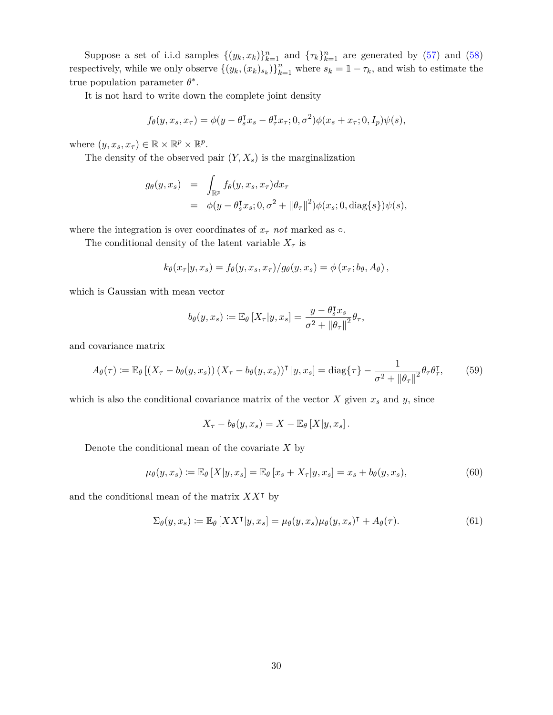Suppose a set of i.i.d samples  $\{(y_k, x_k)\}_{k=1}^n$  and  $\{\tau_k\}_{k=1}^n$  are generated by [\(57\)](#page-28-2) and [\(58\)](#page-28-3) respectively, while we only observe  $\{(y_k,(x_k)_{s_k})\}_{k=1}^n$  where  $s_k = 1 - \tau_k$ , and wish to estimate the true population parameter  $\theta^*$ .

It is not hard to write down the complete joint density

$$
f_{\theta}(y, x_s, x_{\tau}) = \phi(y - \theta_s^{\intercal} x_s - \theta_\tau^{\intercal} x_\tau; 0, \sigma^2) \phi(x_s + x_\tau; 0, I_p) \psi(s),
$$

where  $(y, x_s, x_\tau) \in \mathbb{R} \times \mathbb{R}^p \times \mathbb{R}^p$ .

The density of the observed pair  $(Y, X_s)$  is the marginalization

$$
g_{\theta}(y,x_s) = \int_{\mathbb{R}^p} f_{\theta}(y,x_s,x_\tau) dx_\tau
$$
  
=  $\phi(y-\theta_s^{\mathsf{T}} x_s; 0, \sigma^2 + ||\theta_\tau||^2) \phi(x_s; 0, \text{diag}\{s\}) \psi(s),$ 

where the integration is over coordinates of  $x<sub>\tau</sub>$  *not* marked as  $\circ$ .

The conditional density of the latent variable  $X_{\tau}$  is

$$
k_{\theta}(x_{\tau}|y,x_s) = f_{\theta}(y,x_s,x_{\tau})/g_{\theta}(y,x_s) = \phi(x_{\tau};b_{\theta},A_{\theta}),
$$

which is Gaussian with mean vector

$$
b_{\theta}(y,x_s) \coloneqq \mathbb{E}_{\theta}\left[X_{\tau}|y,x_s\right] = \frac{y - \theta_s^{\intercal}x_s}{\sigma^2 + ||\theta_{\tau}||^2} \theta_{\tau},
$$

and covariance matrix

<span id="page-29-0"></span>
$$
A_{\theta}(\tau) := \mathbb{E}_{\theta} \left[ \left( X_{\tau} - b_{\theta}(y, x_s) \right) \left( X_{\tau} - b_{\theta}(y, x_s) \right)^\intercal \left[ y, x_s \right] = \text{diag}\{\tau\} - \frac{1}{\sigma^2 + \left\| \theta_{\tau} \right\|^2} \theta_{\tau} \theta_{\tau}^\intercal, \tag{59}
$$

which is also the conditional covariance matrix of the vector  $X$  given  $x_s$  and  $y$ , since

$$
X_{\tau}-b_{\theta}(y,x_s)=X-\mathbb{E}_{\theta}\left[X|y,x_s\right].
$$

Denote the conditional mean of the covariate *X* by

<span id="page-29-1"></span>
$$
\mu_{\theta}(y, x_s) \coloneqq \mathbb{E}_{\theta}\left[X|y, x_s\right] = \mathbb{E}_{\theta}\left[x_s + X_{\tau}|y, x_s\right] = x_s + b_{\theta}(y, x_s),\tag{60}
$$

and the conditional mean of the matrix  $XX<sup>T</sup>$  by

$$
\Sigma_{\theta}(y, x_s) := \mathbb{E}_{\theta}\left[XX^{\mathsf{T}}|y, x_s\right] = \mu_{\theta}(y, x_s)\mu_{\theta}(y, x_s)^{\mathsf{T}} + A_{\theta}(\tau). \tag{61}
$$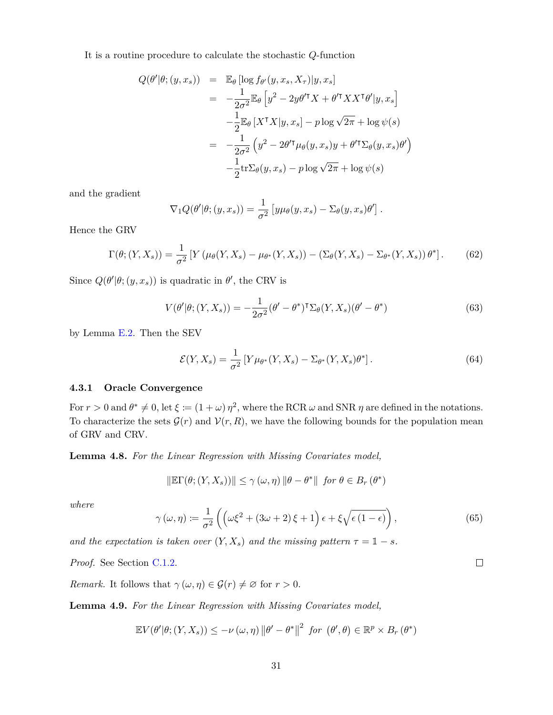It is a routine procedure to calculate the stochastic *Q*-function

$$
Q(\theta'|\theta; (y, x_s)) = \mathbb{E}_{\theta} [\log f_{\theta'}(y, x_s, X_{\tau})|y, x_s]
$$
  
\n
$$
= -\frac{1}{2\sigma^2} \mathbb{E}_{\theta} [y^2 - 2y\theta'^{\mathsf{T}} X + \theta'^{\mathsf{T}} X X^{\mathsf{T}} \theta'|y, x_s]
$$
  
\n
$$
- \frac{1}{2} \mathbb{E}_{\theta} [X^{\mathsf{T}} X|y, x_s] - p \log \sqrt{2\pi} + \log \psi(s)
$$
  
\n
$$
= -\frac{1}{2\sigma^2} (y^2 - 2\theta'^{\mathsf{T}} \mu_{\theta}(y, x_s) y + \theta'^{\mathsf{T}} \Sigma_{\theta}(y, x_s) \theta')
$$
  
\n
$$
- \frac{1}{2} \text{tr} \Sigma_{\theta}(y, x_s) - p \log \sqrt{2\pi} + \log \psi(s)
$$

and the gradient

$$
\nabla_1 Q(\theta'|\theta; (y, x_s)) = \frac{1}{\sigma^2} \left[ y \mu_{\theta}(y, x_s) - \Sigma_{\theta}(y, x_s) \theta' \right].
$$

Hence the GRV

<span id="page-30-4"></span>
$$
\Gamma(\theta; (Y, X_s)) = \frac{1}{\sigma^2} \left[ Y \left( \mu_\theta(Y, X_s) - \mu_{\theta^*}(Y, X_s) \right) - \left( \Sigma_\theta(Y, X_s) - \Sigma_{\theta^*}(Y, X_s) \right) \theta^* \right]. \tag{62}
$$

Since  $Q(\theta'|\theta; (y, x_s))$  is quadratic in  $\theta'$ , the CRV is

<span id="page-30-3"></span>
$$
V(\theta'|\theta; (Y, X_s)) = -\frac{1}{2\sigma^2}(\theta' - \theta^*)^{\mathsf{T}}\Sigma_{\theta}(Y, X_s)(\theta' - \theta^*)
$$
\n(63)

by Lemma [E.2.](#page-48-3) Then the SEV

<span id="page-30-5"></span>
$$
\mathcal{E}(Y, X_s) = \frac{1}{\sigma^2} \left[ Y \mu_{\theta^*}(Y, X_s) - \Sigma_{\theta^*}(Y, X_s) \theta^* \right]. \tag{64}
$$

## <span id="page-30-0"></span>**4.3.1 Oracle Convergence**

For  $r > 0$  and  $\theta^* \neq 0$ , let  $\xi := (1 + \omega) \eta^2$ , where the RCR  $\omega$  and SNR  $\eta$  are defined in the notations. To characterize the sets  $\mathcal{G}(r)$  and  $\mathcal{V}(r, R)$ , we have the following bounds for the population mean of GRV and CRV.

<span id="page-30-1"></span>**Lemma 4.8.** *For the Linear Regression with Missing Covariates model,*

$$
\|\mathbb{E}\Gamma(\theta; (Y, X_s))\| \leq \gamma(\omega, \eta) \|\theta - \theta^*\| \text{ for } \theta \in B_r(\theta^*)
$$

*where*

$$
\gamma(\omega,\eta) \coloneqq \frac{1}{\sigma^2} \left( \left( \omega \xi^2 + (3\omega + 2)\xi + 1 \right) \epsilon + \xi \sqrt{\epsilon (1 - \epsilon)} \right),\tag{65}
$$

*and the expectation is taken over*  $(Y, X_s)$  *and the missing pattern*  $\tau = 1 - s$ *.* 

*Proof.* See Section [C.1.2.](#page-38-0)

*Remark.* It follows that  $\gamma(\omega, \eta) \in \mathcal{G}(r) \neq \emptyset$  for  $r > 0$ .

<span id="page-30-2"></span>**Lemma 4.9.** *For the Linear Regression with Missing Covariates model,*

$$
\mathbb{E}V(\theta'|\theta; (Y, X_s)) \leq -\nu(\omega, \eta) \|\theta' - \theta^*\|^2 \text{ for } (\theta', \theta) \in \mathbb{R}^p \times B_r(\theta^*)
$$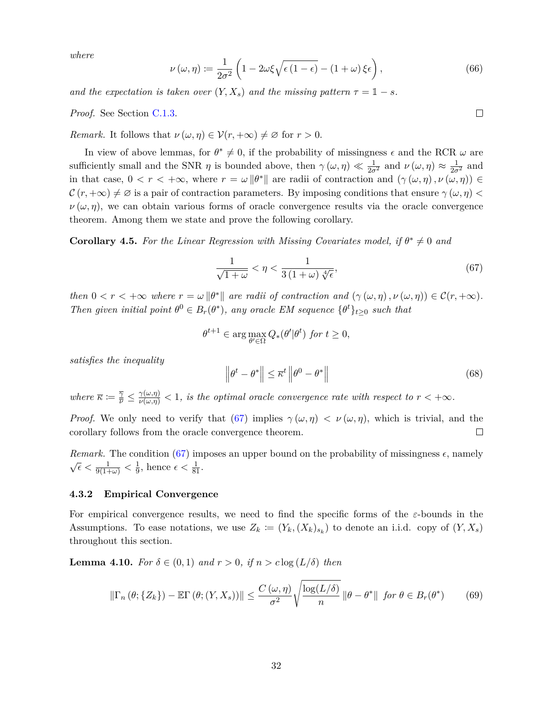*where*

$$
\nu(\omega,\eta) := \frac{1}{2\sigma^2} \left( 1 - 2\omega\xi \sqrt{\epsilon (1 - \epsilon)} - (1 + \omega)\xi\epsilon \right),\tag{66}
$$

*and the expectation is taken over*  $(Y, X_s)$  *and the missing pattern*  $\tau = 1 - s$ *.* 

*Proof.* See Section [C.1.3.](#page-39-0)

*Remark.* It follows that  $\nu(\omega, \eta) \in \mathcal{V}(r, +\infty) \neq \emptyset$  for  $r > 0$ .

In view of above lemmas, for  $\theta^* \neq 0$ , if the probability of missingness  $\epsilon$  and the RCR  $\omega$  are sufficiently small and the SNR *η* is bounded above, then  $\gamma(\omega, \eta) \ll \frac{1}{2\sigma^2}$  and  $\nu(\omega, \eta) \approx \frac{1}{2\sigma^2}$  and in that case,  $0 < r < +\infty$ , where  $r = \omega ||\theta^*||$  are radii of contraction and  $(\gamma(\omega, \eta), \nu(\omega, \eta)) \in$  $\mathcal{C}(r, +\infty) \neq \emptyset$  is a pair of contraction parameters. By imposing conditions that ensure  $\gamma(\omega, \eta)$  $\nu(\omega, \eta)$ , we can obtain various forms of oracle convergence results via the oracle convergence theorem. Among them we state and prove the following corollary.

**Corollary 4.5.** For the Linear Regression with Missing Covariates model, if  $\theta^* \neq 0$  and

<span id="page-31-0"></span>
$$
\frac{1}{\sqrt{1+\omega}} < \eta < \frac{1}{3\left(1+\omega\right)\sqrt[4]{\epsilon}},\tag{67}
$$

*then*  $0 < r < +\infty$  *where*  $r = \omega \|\theta^*\|$  *are radii of contraction and*  $(\gamma(\omega, \eta), \nu(\omega, \eta)) \in C(r, +\infty)$ *. Then given initial point*  $\theta^0 \in B_r(\theta^*)$ , any oracle EM sequence  $\{\theta^t\}_{t\geq 0}$  *such that* 

$$
\theta^{t+1} \in \arg\max_{\theta' \in \Omega} Q_*(\theta'|\theta^t) \text{ for } t \ge 0,
$$

*satisfies the inequality*

$$
\left\|\theta^{t} - \theta^{*}\right\| \leq \overline{\kappa}^{t} \left\|\theta^{0} - \theta^{*}\right\| \tag{68}
$$

*where*  $\overline{\kappa} := \frac{\overline{\gamma}}{\nu} \leq \frac{\gamma(\omega,\eta)}{\nu(\omega,\eta)} < 1$ , is the optimal oracle convergence rate with respect to  $r < +\infty$ .

*Proof.* We only need to verify that [\(67\)](#page-31-0) implies  $\gamma(\omega, \eta) < \nu(\omega, \eta)$ , which is trivial, and the corollary follows from the oracle convergence theorem.  $\Box$ 

*Remark.* The condition [\(67\)](#page-31-0) imposes an upper bound on the probability of missingness  $\epsilon$ , namely  $\sqrt{\epsilon} < \frac{1}{9(1+\omega)} < \frac{1}{9}$  $\frac{1}{9}$ , hence  $\epsilon < \frac{1}{81}$ .

#### **4.3.2 Empirical Convergence**

For empirical convergence results, we need to find the specific forms of the *ε*-bounds in the Assumptions. To ease notations, we use  $Z_k := (Y_k, (X_k)_{s_k})$  to denote an i.i.d. copy of  $(Y, X_s)$ throughout this section.

<span id="page-31-2"></span>**Lemma 4.10.** *For*  $\delta \in (0,1)$  *and*  $r > 0$ *,* if  $n > c \log(L/\delta)$  *then* 

<span id="page-31-1"></span>
$$
\|\Gamma_n(\theta;\{Z_k\}) - \mathbb{E}\Gamma(\theta;\{Y,X_s\})\| \le \frac{C(\omega,\eta)}{\sigma^2} \sqrt{\frac{\log(L/\delta)}{n}} \|\theta - \theta^*\| \text{ for } \theta \in B_r(\theta^*)
$$
 (69)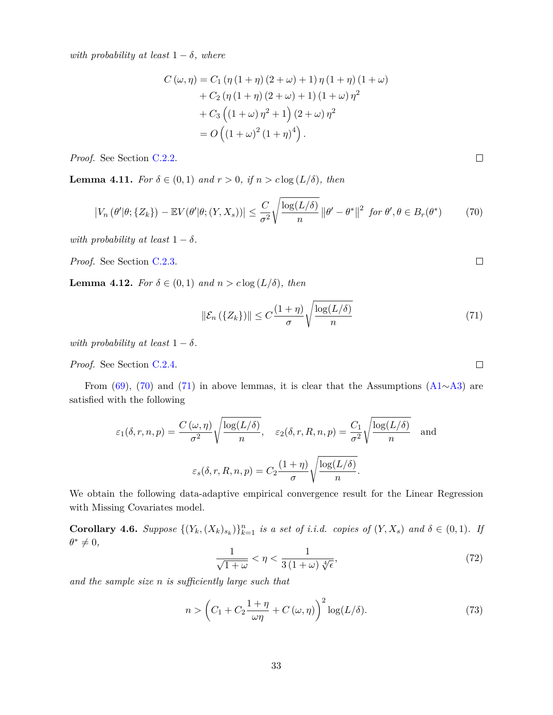*with probability at least*  $1 - \delta$ *, where* 

$$
C(\omega, \eta) = C_1 (\eta (1 + \eta) (2 + \omega) + 1) \eta (1 + \eta) (1 + \omega) + C_2 (\eta (1 + \eta) (2 + \omega) + 1) (1 + \omega) \eta^2 + C_3 ((1 + \omega) \eta^2 + 1) (2 + \omega) \eta^2 = O((1 + \omega)^2 (1 + \eta)^4).
$$

*Proof.* See Section [C.2.2.](#page-43-0)

<span id="page-32-3"></span>**Lemma 4.11.** *For*  $\delta \in (0,1)$  *and*  $r > 0$ *, if*  $n > c \log(L/\delta)$ *, then* 

<span id="page-32-0"></span>
$$
\left|V_n\left(\theta'|\theta;\{Z_k\}\right) - \mathbb{E}V(\theta'|\theta;\{Y,X_s\})\right| \leq \frac{C}{\sigma^2} \sqrt{\frac{\log(L/\delta)}{n}} \left\|\theta' - \theta^*\right\|^2 \text{ for } \theta', \theta \in B_r(\theta^*)\tag{70}
$$

*with probability at least*  $1 - \delta$ *.* 

*Proof.* See Section [C.2.3.](#page-44-1)

<span id="page-32-4"></span>**Lemma 4.12.** *For*  $\delta \in (0,1)$  *and*  $n > c \log(L/\delta)$ *, then* 

<span id="page-32-1"></span>
$$
\|\mathcal{E}_n(\{Z_k\})\| \le C\frac{(1+\eta)}{\sigma} \sqrt{\frac{\log(L/\delta)}{n}}\tag{71}
$$

*with probability at least*  $1 - \delta$ *.* 

*Proof.* See Section [C.2.4.](#page-44-2)

From [\(69\)](#page-31-1), [\(70\)](#page-32-0) and [\(71\)](#page-32-1) in above lemmas, it is clear that the Assumptions [\(A1](#page-14-0)∼[A3\)](#page-14-2) are satisfied with the following

$$
\varepsilon_1(\delta, r, n, p) = \frac{C(\omega, \eta)}{\sigma^2} \sqrt{\frac{\log(L/\delta)}{n}}, \quad \varepsilon_2(\delta, r, R, n, p) = \frac{C_1}{\sigma^2} \sqrt{\frac{\log(L/\delta)}{n}} \quad \text{and}
$$

$$
\varepsilon_s(\delta, r, R, n, p) = C_2 \frac{(1 + \eta)}{\sigma} \sqrt{\frac{\log(L/\delta)}{n}}.
$$

We obtain the following data-adaptive empirical convergence result for the Linear Regression with Missing Covariates model.

**Corollary 4.6.** Suppose  $\{(Y_k, (X_k)_{s_k})\}_{k=1}^n$  is a set of i.i.d. copies of  $(Y, X_s)$  and  $\delta \in (0,1)$ . If  $\theta^* \neq 0$ ,

<span id="page-32-5"></span>
$$
\frac{1}{\sqrt{1+\omega}} < \eta < \frac{1}{3\left(1+\omega\right)\sqrt[4]{\epsilon}},\tag{72}
$$

*and the sample size n is sufficiently large such that*

<span id="page-32-2"></span>
$$
n > \left(C_1 + C_2 \frac{1+\eta}{\omega \eta} + C(\omega, \eta)\right)^2 \log(L/\delta). \tag{73}
$$

 $\Box$ 

 $\Box$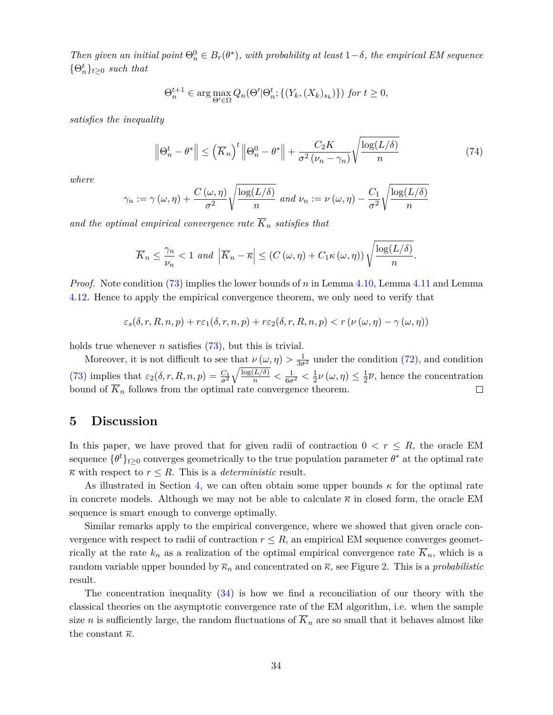*Then given an initial point*  $\Theta_n^0 \in B_r(\theta^*)$ *, with probability at least*  $1-\delta$ *, the empirical EM sequence*  ${\Theta}_n^t\}_{t\geq 0}$  *such that* 

$$
\Theta_n^{t+1} \in \arg\max_{\Theta' \in \Omega} Q_n(\Theta' | \Theta_n^t; \{(Y_k, (X_k)_{s_k})\}) \text{ for } t \ge 0,
$$

*satisfies the inequality*

$$
\left\|\Theta_n^t - \theta^*\right\| \le \left(\overline{K}_n\right)^t \left\|\Theta_n^0 - \theta^*\right\| + \frac{C_2 K}{\sigma^2 \left(\nu_n - \gamma_n\right)} \sqrt{\frac{\log(L/\delta)}{n}}\tag{74}
$$

*where*

$$
\gamma_n := \gamma(\omega, \eta) + \frac{C(\omega, \eta)}{\sigma^2} \sqrt{\frac{\log(L/\delta)}{n}} \text{ and } \nu_n := \nu(\omega, \eta) - \frac{C_1}{\sigma^2} \sqrt{\frac{\log(L/\delta)}{n}}
$$

*and the optimal empirical convergence rate*  $\overline{K}_n$  *satisfies that* 

$$
\overline{K}_n \leq \frac{\gamma_n}{\nu_n} < 1 \text{ and } \left| \overline{K}_n - \overline{\kappa} \right| \leq \left( C(\omega, \eta) + C_1 \kappa(\omega, \eta) \right) \sqrt{\frac{\log(L/\delta)}{n}}.
$$

*Proof.* Note condition [\(73\)](#page-32-2) implies the lower bounds of *n* in Lemma [4.10,](#page-31-2) Lemma [4.11](#page-32-3) and Lemma [4.12.](#page-32-4) Hence to apply the empirical convergence theorem, we only need to verify that

$$
\varepsilon_s(\delta,r,R,n,p) + r \varepsilon_1(\delta,r,n,p) + r \varepsilon_2(\delta,r,R,n,p) < r \left( \nu(\omega,\eta) - \gamma(\omega,\eta) \right)
$$

holds true whenever *n* satisfies [\(73\)](#page-32-2), but this is trivial.

Moreover, it is not difficult to see that  $\nu(\omega, \eta) > \frac{1}{3\sigma^2}$  under the condition [\(72\)](#page-32-5), and condition  $\sqrt{\frac{\log(L/\delta)}{n}} < \frac{1}{6\sigma^2} < \frac{1}{2}$ [\(73\)](#page-32-2) implies that  $\varepsilon_2(\delta, r, R, n, p) = \frac{C_1}{\sigma^2}$  $\frac{1}{2}\nu(\omega,\eta)\leq\frac{1}{2}$  $\frac{1}{2}\overline{\nu}$ , hence the concentration bound of  $\overline{K}_n$  follows from the optimal rate convergence theorem. □

# <span id="page-33-0"></span>**5 Discussion**

In this paper, we have proved that for given radii of contraction  $0 < r \leq R$ , the oracle EM sequence  $\{\theta^t\}_{t\geq 0}$  converges geometrically to the true population parameter  $\theta^*$  at the optimal rate  $\overline{\kappa}$  with respect to  $r \leq R$ . This is a *deterministic* result.

As illustrated in Section [4,](#page-21-1) we can often obtain some upper bounds *κ* for the optimal rate in concrete models. Although we may not be able to calculate  $\overline{\kappa}$  in closed form, the oracle EM sequence is smart enough to converge optimally.

Similar remarks apply to the empirical convergence, where we showed that given oracle convergence with respect to radii of contraction  $r \leq R$ , an empirical EM sequence converges geometrically at the rate  $k_n$  as a realization of the optimal empirical convergence rate  $\overline{K}_n$ , which is a random variable upper bounded by  $\overline{\kappa}_n$  and concentrated on  $\overline{\kappa}$ , see Figure [2.](#page-21-3) This is a *probabilistic* result.

The concentration inequality [\(34\)](#page-21-2) is how we find a reconciliation of our theory with the classical theories on the asymptotic convergence rate of the EM algorithm, i.e. when the sample size *n* is sufficiently large, the random fluctuations of  $\overline{K}_n$  are so small that it behaves almost like the constant  $\bar{\kappa}$ .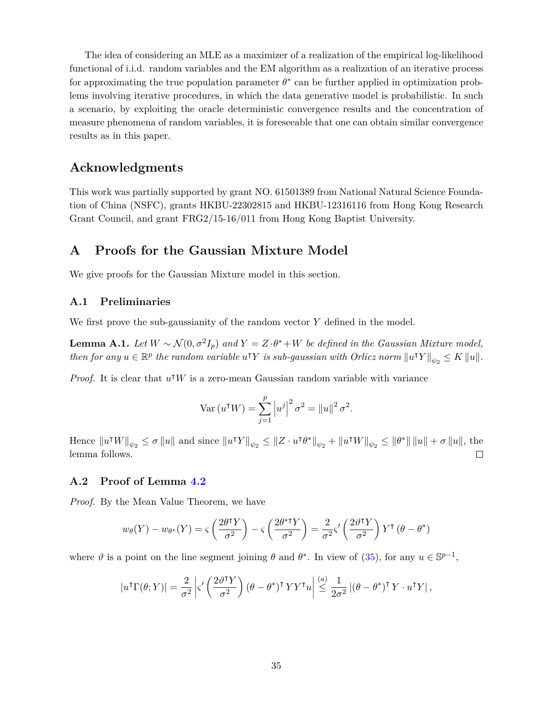The idea of considering an MLE as a maximizer of a realization of the empirical log-likelihood functional of i.i.d. random variables and the EM algorithm as a realization of an iterative process for approximating the true population parameter  $\theta^*$  can be further applied in optimization problems involving iterative procedures, in which the data generative model is probabilistic. In such a scenario, by exploiting the oracle deterministic convergence results and the concentration of measure phenomena of random variables, it is foreseeable that one can obtain similar convergence results as in this paper.

# **Acknowledgments**

This work was partially supported by grant NO. 61501389 from National Natural Science Foundation of China (NSFC), grants HKBU-22302815 and HKBU-12316116 from Hong Kong Research Grant Council, and grant FRG2/15-16/011 from Hong Kong Baptist University.

# **A Proofs for the Gaussian Mixture Model**

We give proofs for the Gaussian Mixture model in this section.

# **A.1 Preliminaries**

We first prove the sub-gaussianity of the random vector *Y* defined in the model.

<span id="page-34-1"></span>**Lemma A.1.** *Let*  $W \sim \mathcal{N}(0, \sigma^2 I_p)$  *and*  $Y = Z \cdot \theta^* + W$  *be defined in the Gaussian Mixture model,*  $\mathbb{R}^p$  *the random variable*  $u^T Y$  *is sub-gaussian with Orlicz norm*  $||u^T Y||_{\psi_2} \leq K ||u||$ .

*Proof.* It is clear that  $u^{\dagger}W$  is a zero-mean Gaussian random variable with variance

Var 
$$
(u^{\mathsf{T}} W) = \sum_{j=1}^{p} |u^j|^2 \sigma^2 = ||u||^2 \sigma^2
$$
.

Hence  $||u^{\dagger}W||_{\psi_2} \le \sigma ||u||$  and since  $||u^{\dagger}Y||_{\psi_2} \le ||Z \cdot u^{\dagger} \theta^*||_{\psi_2} + ||u^{\dagger}W||_{\psi_2} \le ||\theta^*|| ||u|| + \sigma ||u||$ , the lemma follows.  $\Box$ 

## <span id="page-34-0"></span>**A.2 Proof of Lemma [4.2](#page-23-3)**

*Proof.* By the Mean Value Theorem, we have

$$
w_{\theta}(Y) - w_{\theta^*}(Y) = \varsigma \left(\frac{2\theta^{\dagger}Y}{\sigma^2}\right) - \varsigma \left(\frac{2\theta^{\dagger}Y}{\sigma^2}\right) = \frac{2}{\sigma^2} \varsigma' \left(\frac{2\theta^{\dagger}Y}{\sigma^2}\right) Y^{\dagger} (\theta - \theta^*)
$$

where  $\vartheta$  is a point on the line segment joining  $\theta$  and  $\theta^*$ . In view of [\(35\)](#page-22-2), for any  $u \in \mathbb{S}^{p-1}$ ,

$$
|u^{T}\Gamma(\theta;Y)| = \frac{2}{\sigma^{2}} \left| \varsigma' \left( \frac{2\vartheta^{T}Y}{\sigma^{2}} \right) (\theta - \theta^{*})^{T} YY^{T} u \right| \stackrel{(a)}{\leq} \frac{1}{2\sigma^{2}} |(\theta - \theta^{*})^{T} Y \cdot u^{T} Y|,
$$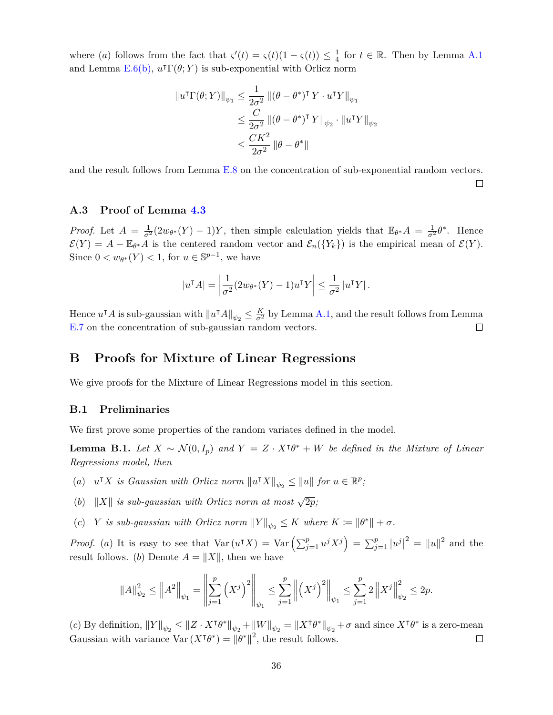where (*a*) follows from the fact that  $\zeta'(t) = \zeta(t)(1 - \zeta(t)) \leq \frac{1}{4}$  $\frac{1}{4}$  for  $t \in \mathbb{R}$ . Then by Lemma [A.1](#page-34-1) and Lemma  $E.6(b)$  $E.6(b)$ ,  $u<sup>T</sup> \Gamma(\theta;Y)$  is sub-exponential with Orlicz norm

$$
\|u^{\mathsf{T}}\Gamma(\theta;Y)\|_{\psi_1} \leq \frac{1}{2\sigma^2} \|(\theta - \theta^*)^{\mathsf{T}} Y \cdot u^{\mathsf{T}} Y\|_{\psi_1}
$$
  

$$
\leq \frac{C}{2\sigma^2} \|(\theta - \theta^*)^{\mathsf{T}} Y\|_{\psi_2} \cdot \|u^{\mathsf{T}} Y\|_{\psi_2}
$$
  

$$
\leq \frac{CK^2}{2\sigma^2} \|\theta - \theta^*\|
$$

and the result follows from Lemma [E.8](#page-50-0) on the concentration of sub-exponential random vectors.

□

# <span id="page-35-0"></span>**A.3 Proof of Lemma [4.3](#page-24-2)**

*Proof.* Let  $A = \frac{1}{\sigma^2} (2w_{\theta^*}(Y) - 1)Y$ , then simple calculation yields that  $\mathbb{E}_{\theta^*} A = \frac{1}{\sigma^2} \theta^*$ . Hence  $\mathcal{E}(Y) = A - \mathbb{E}_{\theta^*} A$  is the centered random vector and  $\mathcal{E}_n({Y_k})$  is the empirical mean of  $\mathcal{E}(Y)$ . Since  $0 < w_{\theta^*}(Y) < 1$ , for  $u \in \mathbb{S}^{p-1}$ , we have

$$
|uT A| = \left| \frac{1}{\sigma^2} (2w_{\theta^*}(Y) - 1) u^{\mathsf{T}} Y \right| \le \frac{1}{\sigma^2} |u^{\mathsf{T}} Y|.
$$

Hence  $u^{\dagger}A$  is sub-gaussian with  $||u^{\dagger}A||_{\psi_2} \leq \frac{K}{\sigma^2}$  by Lemma [A.1,](#page-34-1) and the result follows from Lemma [E.7](#page-50-1) on the concentration of sub-gaussian random vectors.  $\Box$ 

# **B Proofs for Mixture of Linear Regressions**

We give proofs for the Mixture of Linear Regressions model in this section.

## **B.1 Preliminaries**

We first prove some properties of the random variates defined in the model.

<span id="page-35-1"></span>**Lemma B.1.** *Let*  $X \sim \mathcal{N}(0, I_p)$  *and*  $Y = Z \cdot X^{\dagger} \theta^* + W$  *be defined in the Mixture of Linear Regressions model, then*

- (*a*)  $u^{\mathsf{T}} X$  *is Gaussian with Orlicz norm*  $||u^{\mathsf{T}} X||_{\psi_2} \le ||u||$  *for*  $u \in \mathbb{R}^p$ ;
- (*b*)  $||X||$  *is sub-gaussian with Orlicz norm at most*  $\sqrt{2p}$ ;
- (*c*) *Y is sub-gaussian with Orlicz norm*  $||Y||_{\psi_2} \leq K$  where  $K := ||\theta^*|| + \sigma$ .

*Proof.* (a) It is easy to see that  $Var(u^{\mathsf{T}}X) = Var\left(\sum_{j=1}^{p} u^j X^j\right) = \sum_{j=1}^{p} |u^j|^2 = ||u||^2$  and the result follows. (*b*) Denote  $A = ||X||$ , then we have

$$
||A||_{\psi_2}^2 \le ||A^2||_{\psi_1} = \left\| \sum_{j=1}^p \left(X^j\right)^2 \right\|_{\psi_1} \le \sum_{j=1}^p \left\| \left(X^j\right)^2 \right\|_{\psi_1} \le \sum_{j=1}^p 2 \left\| X^j \right\|_{\psi_2}^2 \le 2p.
$$

 $f(c)$  By definition,  $||Y||_{\psi_2} \le ||Z \cdot X^{\dagger} \theta^*||_{\psi_2} + ||W||_{\psi_2} = ||X^{\dagger} \theta^*||_{\psi_2} + \sigma$  and since  $X^{\dagger} \theta^*$  is a zero-mean Gaussian with variance  $\text{Var}(X^{\dagger}\theta^*) = ||\theta^*||^2$ , the result follows.  $\Box$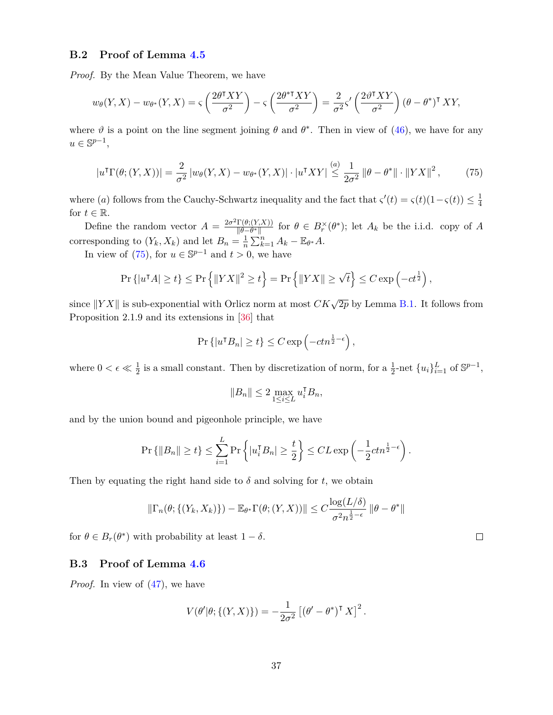# <span id="page-36-0"></span>**B.2 Proof of Lemma [4.5](#page-26-2)**

*Proof.* By the Mean Value Theorem, we have

$$
w_{\theta}(Y,X) - w_{\theta^*}(Y,X) = \varsigma \left(\frac{2\theta^{\dagger}XY}{\sigma^2}\right) - \varsigma \left(\frac{2\theta^{\dagger}XY}{\sigma^2}\right) = \frac{2}{\sigma^2} \varsigma' \left(\frac{2\theta^{\dagger}XY}{\sigma^2}\right) (\theta - \theta^*)^{\dagger} XY,
$$

where  $\vartheta$  is a point on the line segment joining  $\theta$  and  $\theta^*$ . Then in view of [\(46\)](#page-25-3), we have for any  $u \in \mathbb{S}^{p-1}$ ,

<span id="page-36-2"></span>
$$
|u^{\mathsf{T}}\Gamma(\theta;(Y,X))| = \frac{2}{\sigma^2} |w_{\theta}(Y,X) - w_{\theta^*}(Y,X)| \cdot |u^{\mathsf{T}}XY| \stackrel{(a)}{\leq} \frac{1}{2\sigma^2} \left\|\theta - \theta^*\right\| \cdot \left\|YX\right\|^2, \tag{75}
$$

where (*a*) follows from the Cauchy-Schwartz inequality and the fact that  $\zeta'(t) = \zeta(t)(1-\zeta(t)) \leq \frac{1}{4}$ 4 for  $t \in \mathbb{R}$ .

Define the random vector  $A = \frac{2\sigma^2 \Gamma(\theta; (Y,X))}{\|\theta - \theta^*\|}$  $\frac{\Gamma(\theta; (Y, X))}{\|\theta - \theta^*\|}$  for  $\theta \in B_r^\times(\theta^*)$ ; let  $A_k$  be the i.i.d. copy of *A* corresponding to  $(Y_k, X_k)$  and let  $B_n = \frac{1}{n}$  $\frac{1}{n}\sum_{k=1}^{n}A_k - \mathbb{E}_{\theta^*}A.$ 

In view of  $(75)$ , for  $u \in \mathbb{S}^{p-1}$  and  $t > 0$ , we have

$$
\Pr\left\{|u^{\intercal}A| \geq t\right\} \leq \Pr\left\{\|YX\|^2 \geq t\right\} = \Pr\left\{\|YX\| \geq \sqrt{t}\right\} \leq C \exp\left(-ct^{\frac{1}{2}}\right),
$$

since  $||YX||$  is sub-exponential with Orlicz norm at most  $CK\sqrt{2p}$  by Lemma [B.1.](#page-35-1) It follows from Proposition 2.1.9 and its extensions in [\[36\]](#page-54-3) that

$$
\Pr\left\{|u^{\intercal}B_n|\geq t\right\}\leq C\exp\left(-ctn^{\frac{1}{2}-\epsilon}\right),\,
$$

where  $0 < \epsilon \ll \frac{1}{2}$  is a small constant. Then by discretization of norm, for a  $\frac{1}{2}$ -net  $\{u_i\}_{i=1}^L$  of  $\mathbb{S}^{p-1}$ ,

$$
||B_n|| \le 2 \max_{1 \le i \le L} u_i^{\mathsf{T}} B_n,
$$

and by the union bound and pigeonhole principle, we have

$$
\Pr\left\{\|B_n\| \ge t\right\} \le \sum_{i=1}^L \Pr\left\{|u_i^{\mathsf{T}} B_n| \ge \frac{t}{2}\right\} \le CL \exp\left(-\frac{1}{2}ctn^{\frac{1}{2}-\epsilon}\right).
$$

Then by equating the right hand side to  $\delta$  and solving for  $t$ , we obtain

$$
\|\Gamma_n(\theta;\{(Y_k,X_k)\}) - \mathbb{E}_{\theta^*}\Gamma(\theta;(Y,X))\| \leq C \frac{\log(L/\delta)}{\sigma^2 n^{\frac{1}{2}-\epsilon}} \|\theta - \theta^*\|
$$

for  $\theta \in B_r(\theta^*)$  with probability at least  $1 - \delta$ .

# <span id="page-36-1"></span>**B.3 Proof of Lemma [4.6](#page-27-3)**

*Proof.* In view of [\(47\)](#page-25-2), we have

$$
V(\theta'|\theta; \{(Y,X)\}) = -\frac{1}{2\sigma^2} \left[ (\theta' - \theta^*)^\mathsf{T} X \right]^2.
$$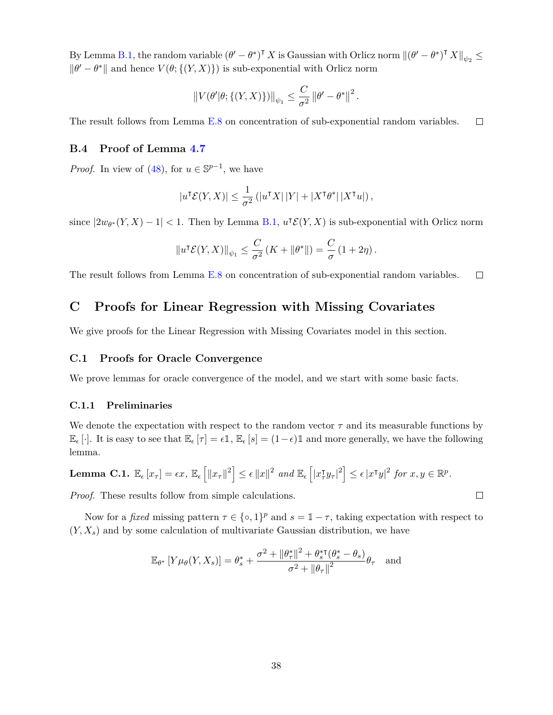By Lemma [B.1,](#page-35-1) the random variable  $(\theta' - \theta^*)^{\mathsf{T}} X$  is Gaussian with Orlicz norm  $\|(\theta' - \theta^*)^{\mathsf{T}} X\|_{\psi_2} \le$  $\|\theta' - \theta^*\|$  and hence  $V(\theta; \{(Y, X)\})$  is sub-exponential with Orlicz norm

$$
||V(\theta'|\theta; \{(Y,X)\})||_{\psi_1} \leq \frac{C}{\sigma^2} ||\theta' - \theta^*||^2.
$$

The result follows from Lemma [E.8](#page-50-0) on concentration of sub-exponential random variables.  $\Box$ 

# <span id="page-37-0"></span>**B.4 Proof of Lemma [4.7](#page-27-4)**

*Proof.* In view of [\(48\)](#page-26-3), for  $u \in \mathbb{S}^{p-1}$ , we have

$$
|u^{\intercal} \mathcal{E}(Y, X)| \leq \frac{1}{\sigma^2} \left( |u^{\intercal} X| |Y| + |X^{\intercal} \theta^*| |X^{\intercal} u| \right),
$$

since  $|2w_{\theta^*}(Y,X)-1| < 1$ . Then by Lemma [B.1,](#page-35-1)  $u^T \mathcal{E}(Y,X)$  is sub-exponential with Orlicz norm

$$
||u^{\intercal} \mathcal{E}(Y,X)||_{\psi_1} \leq \frac{C}{\sigma^2} \left( K + ||\theta^*|| \right) = \frac{C}{\sigma} \left( 1 + 2\eta \right).
$$

The result follows from Lemma [E.8](#page-50-0) on concentration of sub-exponential random variables.  $\Box$ 

# **C Proofs for Linear Regression with Missing Covariates**

We give proofs for the Linear Regression with Missing Covariates model in this section.

## **C.1 Proofs for Oracle Convergence**

We prove lemmas for oracle convergence of the model, and we start with some basic facts.

#### **C.1.1 Preliminaries**

We denote the expectation with respect to the random vector  $\tau$  and its measurable functions by  $\mathbb{E}_{\epsilon}[\cdot]$ . It is easy to see that  $\mathbb{E}_{\epsilon}[\tau] = \epsilon \mathbb{1}, \mathbb{E}_{\epsilon}[s] = (1 - \epsilon) \mathbb{1}$  and more generally, we have the following lemma.

<span id="page-37-1"></span>**Lemma C.1.** 
$$
\mathbb{E}_{\epsilon}[x_{\tau}] = \epsilon x, \mathbb{E}_{\epsilon} [||x_{\tau}||^2] \leq \epsilon ||x||^2
$$
 and  $\mathbb{E}_{\epsilon} [||x_{\tau}^{\intercal}y_{\tau}||^2] \leq \epsilon |x^{\intercal}y||^2$  for  $x, y \in \mathbb{R}^p$ .

*Proof.* These results follow from simple calculations.

Now for a *fixed* missing pattern  $\tau \in \{\infty, 1\}^p$  and  $s = \mathbb{1} - \tau$ , taking expectation with respect to  $(Y, X_s)$  and by some calculation of multivariate Gaussian distribution, we have

$$
\mathbb{E}_{\theta^*}\left[Y\mu_{\theta}(Y,X_s)\right] = \theta_s^* + \frac{\sigma^2 + \|\theta_\tau^*\|^2 + \theta_s^*(\theta_s^* - \theta_s)}{\sigma^2 + \|\theta_\tau\|^2}\theta_\tau \quad \text{and}
$$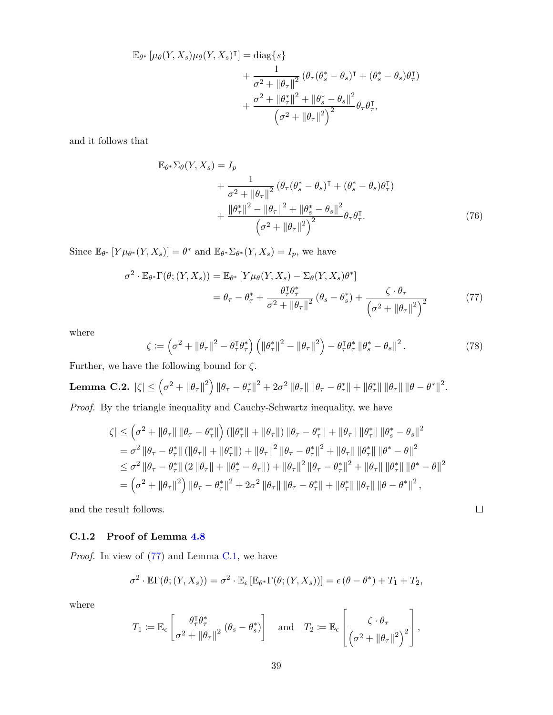$$
\mathbb{E}_{\theta^*} \left[ \mu_{\theta}(Y, X_s) \mu_{\theta}(Y, X_s)^{\mathsf{T}} \right] = \text{diag}\{s\} \n+ \frac{1}{\sigma^2 + \|\theta_\tau\|^2} \left( \theta_\tau (\theta^*_s - \theta_s)^\mathsf{T} + (\theta^*_s - \theta_s) \theta^\mathsf{T}_\tau \right) \n+ \frac{\sigma^2 + \|\theta^*_\tau\|^2 + \|\theta^*_s - \theta_s\|^2}{\left(\sigma^2 + \|\theta_\tau\|^2\right)^2} \theta_\tau \theta^\mathsf{T}_\tau,
$$

and it follows that

$$
\mathbb{E}_{\theta^*} \Sigma_{\theta}(Y, X_s) = I_p
$$
  
+ 
$$
\frac{1}{\sigma^2 + ||\theta_{\tau}||^2} (\theta_{\tau} (\theta_s^* - \theta_s)^{\mathsf{T}} + (\theta_s^* - \theta_s) \theta_{\tau}^{\mathsf{T}})
$$
  
+ 
$$
\frac{||\theta_{\tau}^*||^2 - ||\theta_{\tau}||^2 + ||\theta_s^* - \theta_s||^2}{(\sigma^2 + ||\theta_{\tau}||^2)^2} \theta_{\tau} \theta_{\tau}^{\mathsf{T}}.
$$
(76)

Since  $\mathbb{E}_{\theta^*}[Y\mu_{\theta^*}(Y,X_s)] = \theta^*$  and  $\mathbb{E}_{\theta^*}\Sigma_{\theta^*}(Y,X_s) = I_p$ , we have

$$
\sigma^{2} \cdot \mathbb{E}_{\theta^{*}} \Gamma(\theta; (Y, X_{s})) = \mathbb{E}_{\theta^{*}} \left[ Y \mu_{\theta}(Y, X_{s}) - \Sigma_{\theta}(Y, X_{s}) \theta^{*} \right]
$$
  

$$
= \theta_{\tau} - \theta_{\tau}^{*} + \frac{\theta_{\tau}^{T} \theta_{\tau}^{*}}{\sigma^{2} + ||\theta_{\tau}||^{2}} (\theta_{s} - \theta_{s}^{*}) + \frac{\zeta \cdot \theta_{\tau}}{\left(\sigma^{2} + ||\theta_{\tau}||^{2}\right)^{2}}
$$
(77)

where

$$
\zeta := \left(\sigma^2 + \|\theta_\tau\|^2 - \theta_\tau^{\sf T} \theta_\tau^*\right) \left(\|\theta_\tau^*\|^2 - \|\theta_\tau\|^2\right) - \theta_\tau^{\sf T} \theta_\tau^* \|\theta_s^* - \theta_s\|^2. \tag{78}
$$

<span id="page-38-2"></span><span id="page-38-1"></span> $\Box$ 

Further, we have the following bound for  $\zeta$ .

 $\textbf{Lemma C.2.}\hspace{0.2cm} \hspace{0.2cm} |\zeta|\leq \left(\sigma^2+\left\|\theta_\tau\right\|^2\right) \|\theta_\tau-\theta_\tau^*\|^2+2\sigma^2\left\|\theta_\tau\right\|\|\theta_\tau-\theta_\tau^*\|+\|\theta_\tau^*\|\left\|\theta_\tau\right\|\|\theta-\theta^*\|^2.$ *Proof.* By the triangle inequality and Cauchy-Schwartz inequality, we have

$$
\begin{split}\n|\zeta| &\leq \left(\sigma^2 + \|\theta_\tau\| \|\theta_\tau - \theta_\tau^*\| \right) \left( \|\theta_\tau^*\| + \|\theta_\tau\| \right) \|\theta_\tau - \theta_\tau^*\| + \|\theta_\tau\| \|\theta_\tau^*\| \|\theta_s^* - \theta_s\|^2 \\
&= \sigma^2 \|\theta_\tau - \theta_\tau^*\| \left( \|\theta_\tau\| + \|\theta_\tau^*\| \right) + \|\theta_\tau\|^2 \|\theta_\tau - \theta_\tau^*\|^2 + \|\theta_\tau\| \|\theta_\tau^*\| \|\theta^* - \theta\|^2 \\
&\leq \sigma^2 \|\theta_\tau - \theta_\tau^*\| \left( 2 \|\theta_\tau\| + \|\theta_\tau^* - \theta_\tau\| \right) + \|\theta_\tau\|^2 \|\theta_\tau - \theta_\tau^*\|^2 + \|\theta_\tau\| \|\theta_\tau^*\| \|\theta^* - \theta\|^2 \\
&= \left(\sigma^2 + \|\theta_\tau\|^2\right) \|\theta_\tau - \theta_\tau^*\|^2 + 2\sigma^2 \|\theta_\tau\| \|\theta_\tau - \theta_\tau^*\| + \|\theta_\tau^*\| \|\theta_\tau\| \|\theta - \theta^*\|^2,\n\end{split}
$$

and the result follows.

## <span id="page-38-0"></span>**C.1.2 Proof of Lemma [4.8](#page-30-1)**

*Proof.* In view of [\(77\)](#page-38-1) and Lemma [C.1,](#page-37-1) we have

$$
\sigma^2 \cdot \mathbb{E}\Gamma(\theta; (Y, X_s)) = \sigma^2 \cdot \mathbb{E}_{\epsilon} [\mathbb{E}_{\theta^*} \Gamma(\theta; (Y, X_s))] = \epsilon (\theta - \theta^*) + T_1 + T_2,
$$

where

$$
T_1 \coloneqq \mathbb{E}_{\epsilon} \left[ \frac{\theta_\tau^{\intercal} \theta_\tau^*}{\sigma^2 + \|\theta_\tau\|^2} \left( \theta_s - \theta_s^* \right) \right] \quad \text{and} \quad T_2 \coloneqq \mathbb{E}_{\epsilon} \left[ \frac{\zeta \cdot \theta_\tau}{\left( \sigma^2 + \|\theta_\tau\|^2 \right)^2} \right],
$$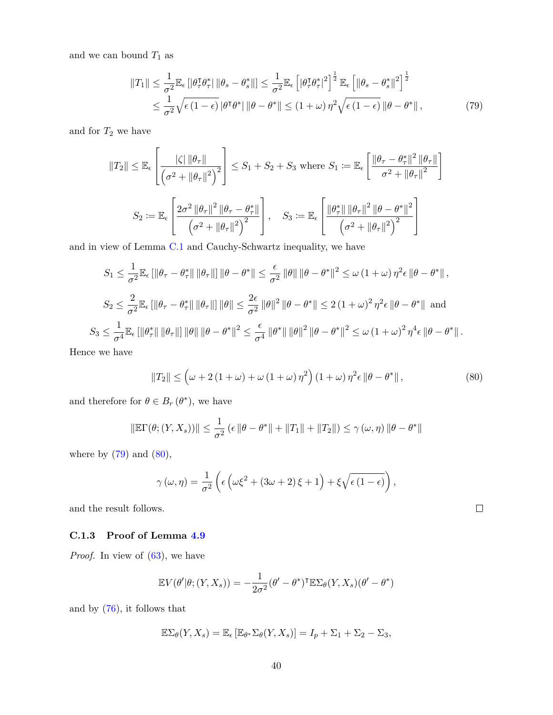and we can bound  $T_{\rm 1}$  as

<span id="page-39-1"></span>
$$
||T_1|| \leq \frac{1}{\sigma^2} \mathbb{E}_{\epsilon} \left[ |\theta_\tau^{\tau} \theta_\tau^*| \, ||\theta_s - \theta_s^*|| \right] \leq \frac{1}{\sigma^2} \mathbb{E}_{\epsilon} \left[ |\theta_\tau^{\tau} \theta_\tau^*|^2 \right]^{\frac{1}{2}} \mathbb{E}_{\epsilon} \left[ ||\theta_s - \theta_s^*||^2 \right]^{\frac{1}{2}} \leq \frac{1}{\sigma^2} \sqrt{\epsilon (1 - \epsilon)} |\theta^{\tau} \theta^*| ||\theta - \theta^*|| \leq (1 + \omega) \eta^2 \sqrt{\epsilon (1 - \epsilon)} ||\theta - \theta^*||,
$$
\n(79)

and for  $T_2$  we have

$$
||T_2|| \le \mathbb{E}_{\epsilon} \left[ \frac{|\zeta| \left\|\theta_{\tau}\right\|}{\left(\sigma^2 + \|\theta_{\tau}\|^2\right)^2} \right] \le S_1 + S_2 + S_3 \text{ where } S_1 := \mathbb{E}_{\epsilon} \left[ \frac{\left\|\theta_{\tau} - \theta_{\tau}^*\right\|^2 \left\|\theta_{\tau}\right\|}{\sigma^2 + \left\|\theta_{\tau}\right\|^2} \right]
$$
  

$$
S_2 := \mathbb{E}_{\epsilon} \left[ \frac{2\sigma^2 \left\|\theta_{\tau}\right\|^2 \left\|\theta_{\tau} - \theta_{\tau}^*\right\|}{\left(\sigma^2 + \left\|\theta_{\tau}\right\|^2\right)^2} \right], \quad S_3 := \mathbb{E}_{\epsilon} \left[ \frac{\left\|\theta_{\tau}^*\right\| \left\|\theta_{\tau}\right\|^2 \left\|\theta - \theta^*\right\|^2}{\left(\sigma^2 + \left\|\theta_{\tau}\right\|^2\right)^2} \right]
$$

and in view of Lemma [C.1](#page-37-1) and Cauchy-Schwartz inequality, we have

$$
S_1 \leq \frac{1}{\sigma^2} \mathbb{E}_{\epsilon} \left[ \|\theta_{\tau} - \theta_{\tau}^*\| \|\theta_{\tau}\| \right] \|\theta - \theta^*\| \leq \frac{\epsilon}{\sigma^2} \|\theta\| \|\theta - \theta^*\|^2 \leq \omega \left(1 + \omega\right) \eta^2 \epsilon \|\theta - \theta^*\|,
$$
  

$$
S_2 \leq \frac{2}{\sigma^2} \mathbb{E}_{\epsilon} \left[ \|\theta_{\tau} - \theta_{\tau}^*\| \|\theta_{\tau}\| \right] \|\theta\| \leq \frac{2\epsilon}{\sigma^2} \|\theta\|^2 \|\theta - \theta^*\| \leq 2 \left(1 + \omega\right)^2 \eta^2 \epsilon \|\theta - \theta^*\|
$$
and  

$$
S_3 \leq \frac{1}{\sigma^4} \mathbb{E}_{\epsilon} \left[ \|\theta_{\tau}^*\| \|\theta_{\tau}\| \right] \|\theta\| \|\theta - \theta^*\|^2 \leq \frac{\epsilon}{\sigma^4} \|\theta^*\| \|\theta\|^2 \|\theta - \theta^*\|^2 \leq \omega \left(1 + \omega\right)^2 \eta^4 \epsilon \|\theta - \theta^*\|.
$$

Hence we have

<span id="page-39-2"></span>
$$
||T_2|| \le \left(\omega + 2\left(1 + \omega\right) + \omega\left(1 + \omega\right)\eta^2\right)\left(1 + \omega\right)\eta^2\epsilon \left\|\theta - \theta^*\right\|,\tag{80}
$$

 $\Box$ 

and therefore for  $\theta \in B_r$  ( $\theta^*$ ), we have

$$
\|\mathbb{E}\Gamma(\theta; (Y, X_s))\| \le \frac{1}{\sigma^2} \left(\epsilon \|\theta - \theta^*\| + \|T_1\| + \|T_2\|\right) \le \gamma(\omega, \eta) \|\theta - \theta^*\|
$$

where by  $(79)$  and  $(80)$ ,

$$
\gamma(\omega,\eta) = \frac{1}{\sigma^2} \left( \epsilon \left( \omega \xi^2 + (3\omega + 2)\xi + 1 \right) + \xi \sqrt{\epsilon (1 - \epsilon)} \right),
$$

and the result follows.

# <span id="page-39-0"></span>**C.1.3 Proof of Lemma [4.9](#page-30-2)**

*Proof.* In view of  $(63)$ , we have

$$
\mathbb{E}V(\theta'|\theta; (Y, X_s)) = -\frac{1}{2\sigma^2}(\theta' - \theta^*)^{\mathsf{T}} \mathbb{E}\Sigma_{\theta}(Y, X_s)(\theta' - \theta^*)
$$

and by [\(76\)](#page-38-2), it follows that

$$
\mathbb{E}\Sigma_{\theta}(Y,X_s) = \mathbb{E}_{\epsilon}\left[\mathbb{E}_{\theta^*}\Sigma_{\theta}(Y,X_s)\right] = I_p + \Sigma_1 + \Sigma_2 - \Sigma_3,
$$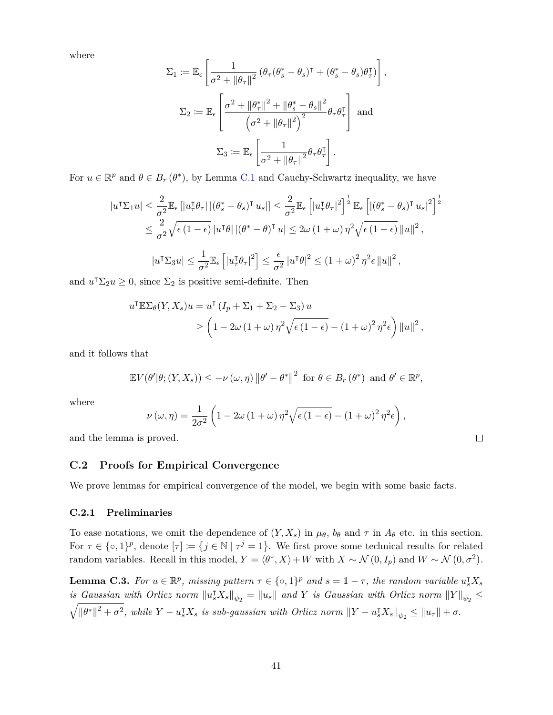where

$$
\Sigma_1 \coloneqq \mathbb{E}_{\epsilon} \left[ \frac{1}{\sigma^2 + \|\theta_\tau\|^2} \left( \theta_\tau (\theta_s^* - \theta_s)^\mathsf{T} + (\theta_s^* - \theta_s) \theta_\tau^\mathsf{T} \right) \right],
$$
\n
$$
\Sigma_2 \coloneqq \mathbb{E}_{\epsilon} \left[ \frac{\sigma^2 + \|\theta_\tau^*\|^2 + \|\theta_s^* - \theta_s\|^2}{\left(\sigma^2 + \|\theta_\tau\|^2\right)^2} \theta_\tau \theta_\tau^\mathsf{T} \right] \text{ and }
$$
\n
$$
\Sigma_3 \coloneqq \mathbb{E}_{\epsilon} \left[ \frac{1}{\sigma^2 + \|\theta_\tau\|^2} \theta_\tau \theta_\tau^\mathsf{T} \right].
$$

For  $u \in \mathbb{R}^p$  and  $\theta \in B_r$  ( $\theta^*$ ), by Lemma [C.1](#page-37-1) and Cauchy-Schwartz inequality, we have

$$
|u^{\dagger}\Sigma_{1}u| \leq \frac{2}{\sigma^{2}}\mathbb{E}_{\epsilon}\left[|u_{\tau}^{\dagger}\theta_{\tau}|\left|(\theta_{s}^{*}-\theta_{s})^{\dagger}u_{s}|\right|\right] \leq \frac{2}{\sigma^{2}}\mathbb{E}_{\epsilon}\left[|u_{\tau}^{\dagger}\theta_{\tau}|^{2}\right]^{\frac{1}{2}}\mathbb{E}_{\epsilon}\left[\left|(\theta_{s}^{*}-\theta_{s})^{\dagger}u_{s}|^{2}\right]^{\frac{1}{2}}\right] \leq \frac{2}{\sigma^{2}}\sqrt{\epsilon\left(1-\epsilon\right)}|u^{\dagger}\theta|\left|(\theta^{*}-\theta)^{\dagger}u\right| \leq 2\omega\left(1+\omega\right)\eta^{2}\sqrt{\epsilon\left(1-\epsilon\right)}\|u\|^{2},
$$

$$
|u^{\dagger}\Sigma_{3}u| \leq \frac{1}{\sigma^{2}}\mathbb{E}_{\epsilon}\left[|u_{\tau}^{\dagger}\theta_{\tau}|^{2}\right] \leq \frac{\epsilon}{\sigma^{2}}|u^{\dagger}\theta|^{2} \leq (1+\omega)^{2}\eta^{2}\epsilon\|u\|^{2},
$$

and  $u^{\dagger} \Sigma_2 u \geq 0$ , since  $\Sigma_2$  is positive semi-definite. Then

$$
u^{\dagger} \mathbb{E} \Sigma_{\theta}(Y, X_s) u = u^{\dagger} (I_p + \Sigma_1 + \Sigma_2 - \Sigma_3) u
$$
  
\n
$$
\geq \left(1 - 2\omega (1 + \omega) \eta^2 \sqrt{\epsilon (1 - \epsilon)} - (1 + \omega)^2 \eta^2 \epsilon \right) ||u||^2,
$$

and it follows that

$$
\mathbb{E}V(\theta'|\theta; (Y, X_s)) \leq -\nu(\omega, \eta) \left\|\theta' - \theta^*\right\|^2 \text{ for } \theta \in B_r(\theta^*) \text{ and } \theta' \in \mathbb{R}^p,
$$

where

$$
\nu(\omega,\eta) = \frac{1}{2\sigma^2} \left( 1 - 2\omega \left( 1 + \omega \right) \eta^2 \sqrt{\epsilon \left( 1 - \epsilon \right)} - \left( 1 + \omega \right)^2 \eta^2 \epsilon \right),\,
$$

 $\Box$ 

and the lemma is proved.

#### **C.2 Proofs for Empirical Convergence**

We prove lemmas for empirical convergence of the model, we begin with some basic facts.

#### **C.2.1 Preliminaries**

To ease notations, we omit the dependence of  $(Y, X_s)$  in  $\mu_{\theta}$ ,  $b_{\theta}$  and  $\tau$  in  $A_{\theta}$  etc. in this section. For  $\tau \in \{\infty, 1\}^p$ , denote  $[\tau] := \{j \in \mathbb{N} \mid \tau^j = 1\}$ . We first prove some technical results for related random variables. Recall in this model,  $Y = \langle \theta^*, X \rangle + W$  with  $X \sim \mathcal{N}(0, I_p)$  and  $W \sim \mathcal{N}(0, \sigma^2)$ .

<span id="page-40-0"></span>**Lemma C.3.** For  $u \in \mathbb{R}^p$ , missing pattern  $\tau \in \{\infty, 1\}^p$  and  $s = 1 - \tau$ , the random variable  $u_s^{\intercal} X_s$ *is Gaussian with Orlicz norm*  $||u_s^{\mathsf{T}}X_s||_{\psi_2} = ||u_s||$  and *Y is Gaussian with Orlicz norm*  $||Y||_{\psi_2} \leq$  $\sqrt{\|\theta^*\|^2 + \sigma^2}$ , while  $Y - u_s^{\intercal}X_s$  is sub-gaussian with Orlicz norm  $||Y - u_s^{\intercal}X_s||_{\psi_2} \le ||u_\tau|| + \sigma$ .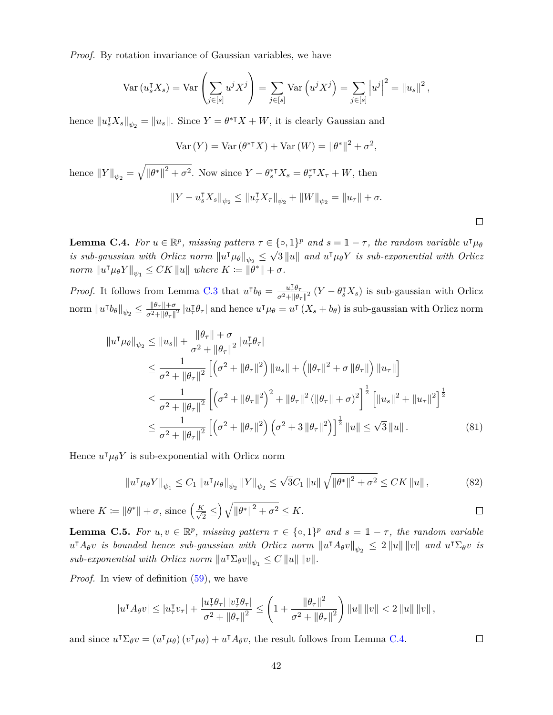*Proof.* By rotation invariance of Gaussian variables, we have

$$
\operatorname{Var}\left(u_s^{\mathsf{T}}X_s\right) = \operatorname{Var}\left(\sum_{j\in[s]} u^j X^j\right) = \sum_{j\in[s]} \operatorname{Var}\left(u^j X^j\right) = \sum_{j\in[s]} \left|u^j\right|^2 = \left\|u_s\right\|^2,
$$

hence  $||u_s^{\dagger}X_s||_{\psi_2} = ||u_s||$ . Since  $Y = \theta^{*T}X + W$ , it is clearly Gaussian and

$$
Var(Y) = Var(\theta^*^{\mathsf{T}} X) + Var(W) = ||\theta^*||^2 + \sigma^2,
$$

hence  $||Y||_{\psi_2} = \sqrt{||\theta^*||^2 + \sigma^2}$ . Now since  $Y - \theta_s^* Y_s = \theta_\tau^* Y_\tau + W$ , then

$$
||Y - u_s^{\mathsf{T}} X_s||_{\psi_2} \le ||u_\tau^{\mathsf{T}} X_\tau||_{\psi_2} + ||W||_{\psi_2} = ||u_\tau|| + \sigma.
$$

<span id="page-41-0"></span>**Lemma C.4.** For  $u \in \mathbb{R}^p$ , missing pattern  $\tau \in \{\infty, 1\}^p$  and  $s = 1 - \tau$ , the random variable  $u^{\intercal} \mu_{\theta}$ *is sub-gaussian with Orlicz norm*  $||u^{\dagger} \mu_{\theta}||_{\psi_2} \leq \sqrt{3} ||u||$  and  $u^{\dagger} \mu_{\theta} Y$  *is sub-exponential with Orlicz*  $\|u^{\dagger}\mu_{\theta}Y\|_{\psi_{1}} \leq CK \, \|u\|$  where  $K \coloneqq \|\theta^*\| + \sigma$ .

*Proof.* It follows from Lemma [C.3](#page-40-0) that  $u^{\dagger}b_{\theta} = \frac{u^{\dagger}_{\tau}\theta_{\tau}}{\tau^2 + \theta_{\theta}}$  $\frac{u_{\tau}^{\text{T}}\theta_{\tau}}{\sigma^2 + ||\theta_{\tau}||^2}$  (*Y* −  $\theta_s^{\text{T}}X_s$ ) is sub-gaussian with Orlicz  $\|\hat{u} \cdot \hat{b}_{\theta}\|_{\psi_2} \leq \frac{\|\theta_{\tau}\| + \sigma}{\sigma^2 + \|\theta_{\tau}\|}$  $\frac{\|\theta_\tau\|+\sigma}{\sigma^2+\|\theta_\tau\|^2}\|u_\tau^\intercal$ *τ*<sup> $\theta$ </sup><sup>*τ*</sub></sub> $\theta$ <sup>*γ*</sup> and hence *u*<sup> $\tau$ </sup> $\mu$ <sup>*θ*</sup> = *u*<sup> $\tau$ </sup> (*X<sub><i>s*</sub> + *b*<sup>*θ*</sup>) is sub-gaussian with Orlicz norm</sup>

$$
\|u^{\mathsf{T}}\mu_{\theta}\|_{\psi_{2}} \leq \|u_{s}\| + \frac{\|\theta_{\tau}\| + \sigma}{\sigma^{2} + \|\theta_{\tau}\|^{2}} |u_{\tau}^{\mathsf{T}}\theta_{\tau}|
$$
  
\n
$$
\leq \frac{1}{\sigma^{2} + \|\theta_{\tau}\|^{2}} \left[ \left(\sigma^{2} + \|\theta_{\tau}\|^{2}\right) \|u_{s}\| + \left(\|\theta_{\tau}\|^{2} + \sigma \|\theta_{\tau}\|\right) \|u_{\tau}\|\right]
$$
  
\n
$$
\leq \frac{1}{\sigma^{2} + \|\theta_{\tau}\|^{2}} \left[ \left(\sigma^{2} + \|\theta_{\tau}\|^{2}\right)^{2} + \|\theta_{\tau}\|^{2} \left(\|\theta_{\tau}\| + \sigma\right)^{2}\right]^{\frac{1}{2}} \left[ \|u_{s}\|^{2} + \|u_{\tau}\|^{2}\right]^{\frac{1}{2}}
$$
  
\n
$$
\leq \frac{1}{\sigma^{2} + \|\theta_{\tau}\|^{2}} \left[ \left(\sigma^{2} + \|\theta_{\tau}\|^{2}\right) \left(\sigma^{2} + 3\|\theta_{\tau}\|^{2}\right) \right]^{\frac{1}{2}} \|u\| \leq \sqrt{3} \|u\|.
$$
 (81)

Hence  $u^{\dagger} \mu_{\theta} Y$  is sub-exponential with Orlicz norm

$$
||u^{\mathsf{T}} \mu_{\theta} Y||_{\psi_{1}} \leq C_{1} ||u^{\mathsf{T}} \mu_{\theta}||_{\psi_{2}} ||Y||_{\psi_{2}} \leq \sqrt{3} C_{1} ||u|| \sqrt{||\theta^{*}||^{2} + \sigma^{2}} \leq C K ||u||,
$$
\n(82)

where  $K \coloneqq ||\theta^*|| + \sigma$ , since  $\left(\frac{K}{\sqrt{2\pi}}\right)$  $\left(\frac{\epsilon}{2} \leq \right) \sqrt{\left\|\theta^*\right\|^2 + \sigma^2} \leq K.$ 

<span id="page-41-1"></span>**Lemma C.5.** For  $u, v \in \mathbb{R}^p$ , missing pattern  $\tau \in \{\infty, 1\}^p$  and  $s = 1 - \tau$ , the random variable  $u^{\dagger} A_{\theta} v$  *is bounded hence sub-gaussian with Orlicz norm*  $||u^{\dagger} A_{\theta} v||_{\psi_2} \leq 2 ||u|| ||v||$  *and*  $u^{\dagger} \Sigma_{\theta} v$  *is sub-exponential with Orlicz norm*  $||u^{\mathsf{T}}\Sigma_{\theta}v||_{\psi_1} \leq C ||u|| ||v||.$ 

*Proof.* In view of definition [\(59\)](#page-29-0), we have

$$
|u^{\mathsf{T}} A_{\theta} v| \le |u_{\tau}^{\mathsf{T}} v_{\tau}| + \frac{|u_{\tau}^{\mathsf{T}} \theta_{\tau}| |v_{\tau}^{\mathsf{T}} \theta_{\tau}|}{\sigma^2 + ||\theta_{\tau}||^2} \le \left(1 + \frac{||\theta_{\tau}||^2}{\sigma^2 + ||\theta_{\tau}||^2}\right) ||u|| \, ||v|| < 2 ||u|| \, ||v||,
$$

42

and since  $u^{\dagger} \Sigma_{\theta} v = (u^{\dagger} \mu_{\theta}) (v^{\dagger} \mu_{\theta}) + u^{\dagger} A_{\theta} v$ , the result follows from Lemma [C.4.](#page-41-0)

 $\Box$ 

 $\Box$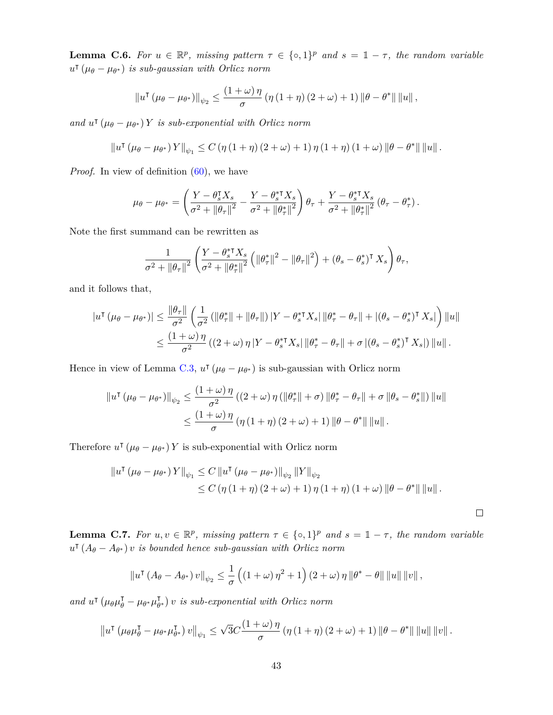<span id="page-42-0"></span>**Lemma C.6.** For  $u \in \mathbb{R}^p$ , missing pattern  $\tau \in \{\infty, 1\}^p$  and  $s = 1 - \tau$ , the random variable  $u^{\dagger}$  ( $\mu_{\theta} - \mu_{\theta^*}$ ) *is sub-gaussian with Orlicz norm* 

$$
\|u^{\mathsf{T}}\left(\mu_{\theta}-\mu_{\theta^*}\right)\|_{\psi_2} \leq \frac{\left(1+\omega\right)\eta}{\sigma}\left(\eta\left(1+\eta\right)\left(2+\omega\right)+1\right)\|\theta-\theta^*\| \|u\|,
$$

*and*  $u^{\dagger}$  ( $\mu_{\theta} - \mu_{\theta^*}$ ) *Y is sub-exponential with Orlicz norm* 

$$
\|u^{\intercal}(\mu_{\theta}-\mu_{\theta^*})Y\|_{\psi_1} \leq C \left(\eta\left(1+\eta\right)\left(2+\omega\right)+1\right)\eta\left(1+\eta\right)\left(1+\omega\right)\|\theta-\theta^*\| \left\|u\right\|.
$$

*Proof.* In view of definition  $(60)$ , we have

$$
\mu_{\theta} - \mu_{\theta^*} = \left(\frac{Y - \theta_s^{\mathsf{T}} X_s}{\sigma^2 + \|\theta_{\tau}\|^2} - \frac{Y - \theta_s^{\mathsf{T}} X_s}{\sigma^2 + \|\theta_{\tau}^*\|^2}\right) \theta_{\tau} + \frac{Y - \theta_s^{\mathsf{T}} X_s}{\sigma^2 + \|\theta_{\tau}^*\|^2} (\theta_{\tau} - \theta_{\tau}^*).
$$

Note the first summand can be rewritten as

$$
\frac{1}{\sigma^2+\left\|\theta_\tau\right\|^2}\left(\frac{Y-\theta_s^{*} \mathsf{T} X_s}{\sigma^2+\left\|\theta_\tau^*\right\|^2}\left(\left\|\theta_\tau^*\right\|^2-\left\|\theta_\tau\right\|^2\right)+(\theta_s-\theta_s^{*})^{\mathsf{T}} X_s\right)\theta_\tau,
$$

and it follows that,

$$
|u^{\mathsf{T}}(\mu_{\theta}-\mu_{\theta^*})| \leq \frac{\|\theta_{\tau}\|}{\sigma^2} \left(\frac{1}{\sigma^2} \left(\|\theta_{\tau}^*\|+\|\theta_{\tau}\|\right) |Y-\theta_{s}^{* \mathsf{T}} X_{s}| \|\theta_{\tau}^*-\theta_{\tau}\| + |(\theta_{s}-\theta_{s}^{*})^{\mathsf{T}} X_{s}| \right) \|u\|
$$
  

$$
\leq \frac{(1+\omega)\eta}{\sigma^2} \left((2+\omega)\eta |Y-\theta_{s}^{* \mathsf{T}} X_{s}| \|\theta_{\tau}^*-\theta_{\tau}\| + \sigma |(\theta_{s}-\theta_{s}^{*})^{\mathsf{T}} X_{s}| \right) \|u\|.
$$

Hence in view of Lemma [C.3,](#page-40-0)  $u^{\dagger}(\mu_{\theta} - \mu_{\theta^*})$  is sub-gaussian with Orlicz norm

$$
\|u^{\mathsf{T}}(\mu_{\theta}-\mu_{\theta^*})\|_{\psi_2} \leq \frac{(1+\omega)\eta}{\sigma^2} \left( (2+\omega)\eta\left( \|\theta^*_{\tau}\| + \sigma \right) \|\theta^*_{\tau} - \theta_{\tau}\| + \sigma \|\theta_s - \theta^*_{s}\| \right) \|u\|
$$
  

$$
\leq \frac{(1+\omega)\eta}{\sigma} \left( \eta\left(1+\eta\right) \left(2+\omega\right) + 1 \right) \|\theta - \theta^*\| \|u\|.
$$

Therefore  $u^{\dagger}$  ( $\mu_{\theta} - \mu_{\theta^*}$ ) *Y* is sub-exponential with Orlicz norm

$$
||u^{\dagger}(\mu_{\theta} - \mu_{\theta^*}) Y||_{\psi_1} \leq C ||u^{\dagger}(\mu_{\theta} - \mu_{\theta^*})||_{\psi_2} ||Y||_{\psi_2}
$$
  
 
$$
\leq C (\eta (1 + \eta) (2 + \omega) + 1) \eta (1 + \eta) (1 + \omega) ||\theta - \theta^*|| ||u||.
$$

 $\Box$ 

<span id="page-42-1"></span>**Lemma C.7.** For  $u, v \in \mathbb{R}^p$ , missing pattern  $\tau \in \{\infty, 1\}^p$  and  $s = 1 - \tau$ , the random variable  $u^{\dagger}$  ( $A_{\theta} - A_{\theta^*}$ ) *v is bounded hence sub-gaussian with Orlicz norm* 

$$
\|u^{\mathsf{T}}\left(A_{\theta}-A_{\theta^{*}}\right)v\|_{\psi_{2}} \leq \frac{1}{\sigma}\left(\left(1+\omega\right)\eta^{2}+1\right)\left(2+\omega\right)\eta\left\|\theta^{*}-\theta\right\|\left\|u\right\|\left\|v\right\|,
$$

 $and \; u^{\dagger} (\mu_{\theta} \mu_{\theta}^{\dagger} - \mu_{\theta^*} \mu_{\theta}^{\dagger})$ *θ* ∗ *v is sub-exponential with Orlicz norm*

$$
\left\|u^{\intercal}\left(\mu_{\theta}\mu_{\theta}^{\intercal}-\mu_{\theta^{*}}\mu_{\theta^{*}}^{\intercal}\right)v\right\|_{\psi_{1}}\leq\sqrt{3}C\frac{\left(1+\omega\right)\eta}{\sigma}\left(\eta\left(1+\eta\right)\left(2+\omega\right)+1\right)\left\|\theta-\theta^{*}\right\|\left\|u\right\|\left\|v\right\|.
$$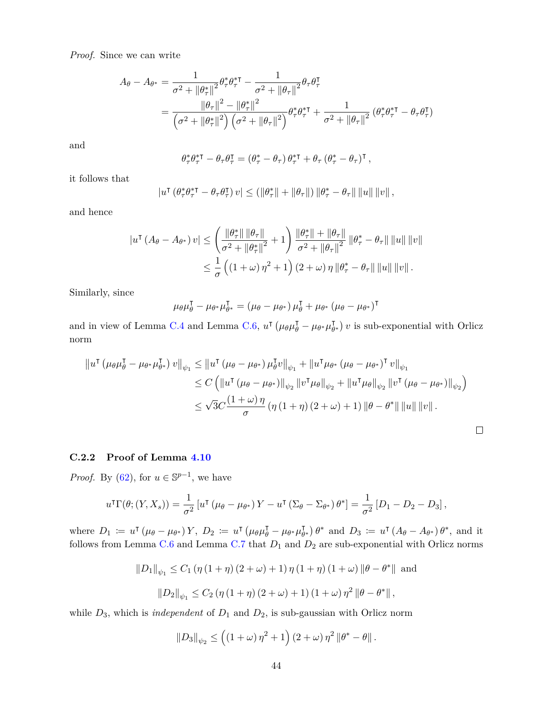*Proof.* Since we can write

$$
A_{\theta} - A_{\theta^*} = \frac{1}{\sigma^2 + ||\theta_{\tau}^*||^2} \theta_{\tau}^* \theta_{\tau}^* - \frac{1}{\sigma^2 + ||\theta_{\tau}||^2} \theta_{\tau} \theta_{\tau}^{\mathsf{T}}
$$
  
= 
$$
\frac{||\theta_{\tau}||^2 - ||\theta_{\tau}^*||^2}{\left(\sigma^2 + ||\theta_{\tau}^*||^2\right) \left(\sigma^2 + ||\theta_{\tau}||^2\right)} \theta_{\tau}^* \theta_{\tau}^* + \frac{1}{\sigma^2 + ||\theta_{\tau}||^2} \left(\theta_{\tau}^* \theta_{\tau}^* - \theta_{\tau} \theta_{\tau}^{\mathsf{T}}\right) \end{aligned}
$$

and

$$
\theta_\tau^* \theta_\tau^{*\intercal}-\theta_\tau \theta_\tau^{\intercal}=\left(\theta_\tau^*-\theta_\tau\right)\theta_\tau^{*\intercal}+\theta_\tau\left(\theta_\tau^*-\theta_\tau\right)^{\intercal},
$$

it follows that

$$
|u^{\intercal}(\theta_{\tau}^{*}\theta_{\tau}^{*\intercal}-\theta_{\tau}\theta_{\tau}^{\intercal})v|\leq ( \|\theta_{\tau}^{*}\|+\|\theta_{\tau}\|)\|\theta_{\tau}^{*}-\theta_{\tau}\|\,\|u\|\,\|v\|\,,
$$

and hence

$$
\begin{split} |u^{\mathsf{T}}\left(A_{\theta}-A_{\theta^{*}}\right)v| &\leq \left(\frac{\|\theta_{\tau}^{*}\| \|\theta_{\tau}\|}{\sigma^{2}+\|\theta_{\tau}^{*}\|^{2}}+1\right) \frac{\|\theta_{\tau}^{*}\|+\|\theta_{\tau}\|}{\sigma^{2}+\|\theta_{\tau}\|^{2}} \left\|\theta_{\tau}^{*}-\theta_{\tau}\right\|\left\|u\right\|\left\|v\right\|\\ &\leq \frac{1}{\sigma}\left(\left(1+\omega\right)\eta^{2}+1\right)\left(2+\omega\right)\eta\left\|\theta_{\tau}^{*}-\theta_{\tau}\right\|\left\|u\right\|\left\|v\right\|.\end{split}
$$

Similarly, since

$$
\mu_{\theta}\mu_{\theta}^{\mathsf{T}} - \mu_{\theta^*}\mu_{\theta^*}^{\mathsf{T}} = (\mu_{\theta} - \mu_{\theta^*})\mu_{\theta}^{\mathsf{T}} + \mu_{\theta^*}(\mu_{\theta} - \mu_{\theta^*})^{\mathsf{T}}
$$

and in view of Lemma [C.4](#page-41-0) and Lemma [C.6,](#page-42-0)  $u^{\dagger} (\mu_{\theta} \mu_{\theta}^{\dagger} - \mu_{\theta^*} \mu_{\theta}^{\dagger})$  $\left(\begin{smallmatrix} \mathsf{T} \\ \theta^* \end{smallmatrix}\right)v$  is sub-exponential with Orlicz norm

$$
\|u^{\dagger}(\mu_{\theta}\mu_{\theta}^{\dagger} - \mu_{\theta^*}\mu_{\theta^*}^{\dagger}) v\|_{\psi_1} \leq \|u^{\dagger}(\mu_{\theta} - \mu_{\theta^*})\mu_{\theta}^{\dagger}v\|_{\psi_1} + \|u^{\dagger}\mu_{\theta^*}(\mu_{\theta} - \mu_{\theta^*})^{\dagger} v\|_{\psi_1}
$$
  
\n
$$
\leq C \left( \|u^{\dagger}(\mu_{\theta} - \mu_{\theta^*})\|_{\psi_2} \|v^{\dagger}\mu_{\theta}\|_{\psi_2} + \|u^{\dagger}\mu_{\theta}\|_{\psi_2} \|v^{\dagger}(\mu_{\theta} - \mu_{\theta^*})\|_{\psi_2} \right)
$$
  
\n
$$
\leq \sqrt{3}C \frac{(1+\omega)\eta}{\sigma} (\eta(1+\eta)(2+\omega)+1) \|\theta - \theta^*\| \|u\| \|v\|.
$$

# <span id="page-43-0"></span>**C.2.2 Proof of Lemma [4.10](#page-31-2)**

*Proof.* By [\(62\)](#page-30-4), for  $u \in \mathbb{S}^{p-1}$ , we have

$$
u^{\mathsf{T}}\Gamma(\theta; (Y, X_s)) = \frac{1}{\sigma^2} \left[ u^{\mathsf{T}} \left( \mu_{\theta} - \mu_{\theta^*} \right) Y - u^{\mathsf{T}} \left( \Sigma_{\theta} - \Sigma_{\theta^*} \right) \theta^* \right] = \frac{1}{\sigma^2} \left[ D_1 - D_2 - D_3 \right],
$$

where  $D_1 := u^{\dagger} (\mu_{\theta} - \mu_{\theta^*}) Y$ ,  $D_2 := u^{\dagger} (\mu_{\theta} \mu_{\theta}^{\dagger} - \mu_{\theta^*} \mu_{\theta}^{\dagger}$  $\left(\begin{array}{c} \n\overline{f} \\
\overline{\theta}^* \n\end{array}\right) \theta^*$  and  $D_3 \coloneqq u^{\mathsf{T}} (A_\theta - A_{\theta^*}) \theta^*$ , and it follows from Lemma [C.6](#page-42-0) and Lemma [C.7](#page-42-1) that  $D_1$  and  $D_2$  are sub-exponential with Orlicz norms

$$
||D_1||_{\psi_1} \le C_1 \left( \eta \left( 1 + \eta \right) \left( 2 + \omega \right) + 1 \right) \eta \left( 1 + \eta \right) \left( 1 + \omega \right) ||\theta - \theta^*|| \text{ and}
$$
  

$$
||D_2||_{\psi_1} \le C_2 \left( \eta \left( 1 + \eta \right) \left( 2 + \omega \right) + 1 \right) \left( 1 + \omega \right) \eta^2 ||\theta - \theta^*||,
$$

while *D*3, which is *independent* of *D*<sup>1</sup> and *D*2, is sub-gaussian with Orlicz norm

$$
||D_3||_{\psi_2} \leq ((1+\omega)\eta^2+1)(2+\omega)\eta^2 ||\theta^* - \theta||.
$$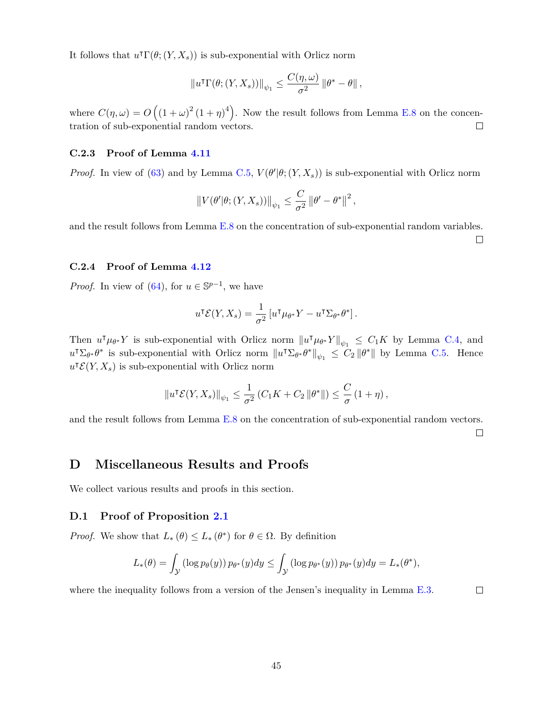It follows that  $u^{\dagger} \Gamma(\theta; (Y, X_s))$  is sub-exponential with Orlicz norm

$$
||u^{T}\Gamma(\theta;(Y,X_{s}))||_{\psi_{1}} \leq \frac{C(\eta,\omega)}{\sigma^{2}} ||\theta^{*} - \theta||,
$$

where  $C(\eta,\omega) = O((1+\omega)^2(1+\eta)^4)$ . Now the result follows from Lemma [E.8](#page-50-0) on the concentration of sub-exponential random vectors.  $\Box$ 

#### <span id="page-44-1"></span>**C.2.3 Proof of Lemma [4.11](#page-32-3)**

*Proof.* In view of [\(63\)](#page-30-3) and by Lemma [C.5,](#page-41-1)  $V(\theta'|\theta; (Y, X_s))$  is sub-exponential with Orlicz norm

$$
||V(\theta'|\theta; (Y, X_s))||_{\psi_1} \leq \frac{C}{\sigma^2} ||\theta' - \theta^*||^2,
$$

and the result follows from Lemma [E.8](#page-50-0) on the concentration of sub-exponential random variables.  $\Box$ 

## <span id="page-44-2"></span>**C.2.4 Proof of Lemma [4.12](#page-32-4)**

*Proof.* In view of [\(64\)](#page-30-5), for  $u \in \mathbb{S}^{p-1}$ , we have

$$
u^{\mathsf{T}} \mathcal{E}(Y, X_s) = \frac{1}{\sigma^2} \left[ u^{\mathsf{T}} \mu_{\theta^*} Y - u^{\mathsf{T}} \Sigma_{\theta^*} \theta^* \right].
$$

Then  $u^{\dagger} \mu_{\theta^*} Y$  is sub-exponential with Orlicz norm  $||u^{\dagger} \mu_{\theta^*} Y||_{\psi_1} \leq C_1 K$  by Lemma [C.4,](#page-41-0) and  $u^{\dagger} \Sigma_{\theta^*} \theta^*$  is sub-exponential with Orlicz norm  $||u^{\dagger} \Sigma_{\theta^*} \theta^*||_{\psi_1} \leq C_2 ||\theta^*||$  by Lemma [C.5.](#page-41-1) Hence  $u^{\dagger} \mathcal{E}(Y, X_s)$  is sub-exponential with Orlicz norm

$$
||u^{\mathsf{T}} \mathcal{E}(Y, X_s)||_{\psi_1} \leq \frac{1}{\sigma^2} \left( C_1 K + C_2 ||\theta^*|| \right) \leq \frac{C}{\sigma} \left( 1 + \eta \right),
$$

and the result follows from Lemma [E.8](#page-50-0) on the concentration of sub-exponential random vectors.

 $\Box$ 

# **D Miscellaneous Results and Proofs**

We collect various results and proofs in this section.

## <span id="page-44-0"></span>**D.1 Proof of Proposition [2.1](#page-7-1)**

*Proof.* We show that  $L_*(\theta) \leq L_*(\theta^*)$  for  $\theta \in \Omega$ . By definition

$$
L_*(\theta) = \int_{\mathcal{Y}} \left( \log p_{\theta}(y) \right) p_{\theta^*}(y) dy \le \int_{\mathcal{Y}} \left( \log p_{\theta^*}(y) \right) p_{\theta^*}(y) dy = L_*(\theta^*),
$$

where the inequality follows from a version of the Jensen's inequality in Lemma [E.3.](#page-48-4)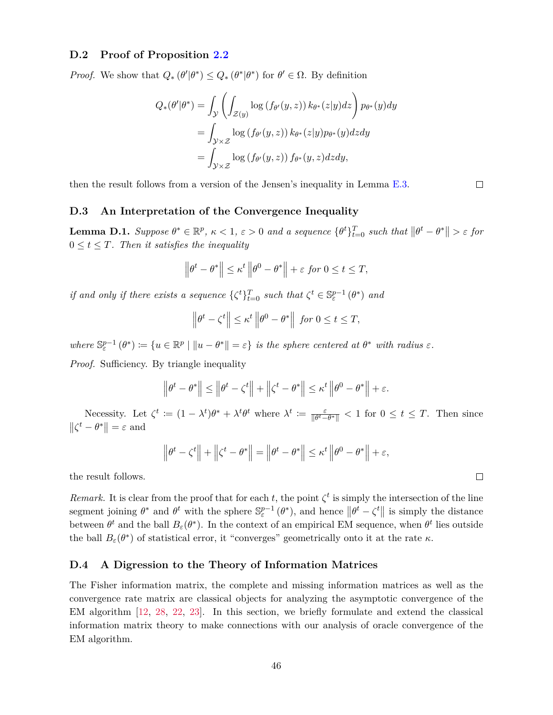## <span id="page-45-0"></span>**D.2 Proof of Proposition [2.2](#page-8-0)**

*Proof.* We show that  $Q_* (\theta' | \theta^*) \leq Q_* (\theta^* | \theta^*)$  for  $\theta' \in \Omega$ . By definition

$$
Q_*(\theta'|\theta^*) = \int_{\mathcal{Y}} \left( \int_{\mathcal{Z}(y)} \log(f_{\theta'}(y, z)) k_{\theta^*}(z|y) dz \right) p_{\theta^*}(y) dy
$$
  
= 
$$
\int_{\mathcal{Y} \times \mathcal{Z}} \log(f_{\theta'}(y, z)) k_{\theta^*}(z|y) p_{\theta^*}(y) dz dy
$$
  
= 
$$
\int_{\mathcal{Y} \times \mathcal{Z}} \log(f_{\theta'}(y, z)) f_{\theta^*}(y, z) dz dy,
$$

then the result follows from a version of the Jensen's inequality in Lemma [E.3.](#page-48-4)

#### **D.3 An Interpretation of the Convergence Inequality**

**Lemma D.1.** Suppose  $\theta^* \in \mathbb{R}^p$ ,  $\kappa < 1$ ,  $\varepsilon > 0$  and a sequence  $\{\theta^t\}_{t=0}^T$  such that  $\|\theta^t - \theta^*\| > \varepsilon$  for  $0 \leq t \leq T$ . Then it satisfies the inequality

$$
\left\|\theta^t - \theta^*\right\| \le \kappa^t \left\|\theta^0 - \theta^*\right\| + \varepsilon \text{ for } 0 \le t \le T,
$$

*if and only if there exists a sequence*  $\{\zeta^t\}_{t=0}^T$  *such that*  $\zeta^t \in \mathbb{S}_{\varepsilon}^{p-1}(\theta^*)$  *and* 

$$
\left\|\theta^t - \zeta^t\right\| \le \kappa^t \left\|\theta^0 - \theta^*\right\| \text{ for } 0 \le t \le T,
$$

 $where \mathbb{S}_{\varepsilon}^{p-1}(\theta^*) := \{u \in \mathbb{R}^p \mid ||u - \theta^*|| = \varepsilon\} \text{ is the sphere centered at } \theta^* \text{ with radius } \varepsilon.$ *Proof.* Sufficiency. By triangle inequality

$$
\left\|\theta^t - \theta^*\right\| \le \left\|\theta^t - \zeta^t\right\| + \left\|\zeta^t - \theta^*\right\| \le \kappa^t \left\|\theta^0 - \theta^*\right\| + \varepsilon.
$$

Necessity. Let  $\zeta^t := (1 - \lambda^t)\theta^* + \lambda^t\theta^t$  where  $\lambda^t := \frac{\varepsilon}{\| \theta^t \|}$  $\frac{\varepsilon}{\|\theta^t - \theta^*\|} < 1$  for  $0 \le t \le T$ . Then since  $\|\zeta^t - \theta^*\| = \varepsilon$  and

$$
\left\|\theta^t - \zeta^t\right\| + \left\|\zeta^t - \theta^*\right\| = \left\|\theta^t - \theta^*\right\| \le \kappa^t \left\|\theta^0 - \theta^*\right\| + \varepsilon,
$$

the result follows.

*Remark.* It is clear from the proof that for each *t*, the point  $\zeta^t$  is simply the intersection of the line segment joining  $\theta^*$  and  $\theta^t$  with the sphere  $\mathbb{S}^{p-1}_{\varepsilon}(\theta^*)$ , and hence  $\|\theta^t - \zeta^t\|$  is simply the distance between  $\theta^t$  and the ball  $B_\varepsilon(\theta^*)$ . In the context of an empirical EM sequence, when  $\theta^t$  lies outside the ball  $B_{\varepsilon}(\theta^*)$  of statistical error, it "converges" geometrically onto it at the rate  $\kappa$ .

## <span id="page-45-1"></span>**D.4 A Digression to the Theory of Information Matrices**

The Fisher information matrix, the complete and missing information matrices as well as the convergence rate matrix are classical objects for analyzing the asymptotic convergence of the EM algorithm [\[12,](#page-52-1) [28,](#page-53-5) [22,](#page-53-6) [23\]](#page-53-7). In this section, we briefly formulate and extend the classical information matrix theory to make connections with our analysis of oracle convergence of the EM algorithm.

 $\Box$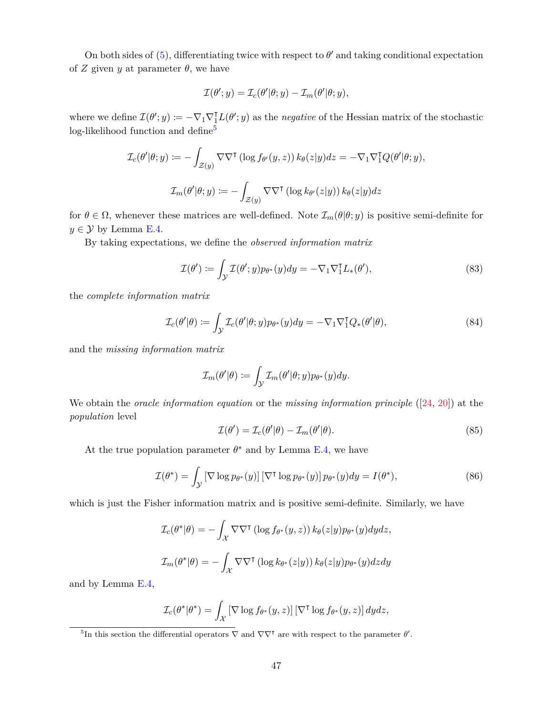On both sides of  $(5)$ , differentiating twice with respect to  $\theta'$  and taking conditional expectation of *Z* given *y* at parameter  $\theta$ , we have

$$
\mathcal{I}(\theta'; y) = \mathcal{I}_c(\theta'|\theta; y) - \mathcal{I}_m(\theta'|\theta; y),
$$

where we define  $\mathcal{I}(\theta'; y) := -\nabla_1 \nabla_1^{\mathrm{T}} L(\theta'; y)$  as the *negative* of the Hessian matrix of the stochastic log-likelihood function and define<sup>[5](#page-46-2)</sup>

$$
\mathcal{I}_c(\theta'|\theta; y) := -\int_{\mathcal{Z}(y)} \nabla \nabla^{\mathsf{T}} \left( \log f_{\theta'}(y, z) \right) k_{\theta}(z|y) dz = -\nabla_1 \nabla_1^{\mathsf{T}} Q(\theta'|\theta; y),
$$
  

$$
\mathcal{I}_m(\theta'|\theta; y) := -\int_{\mathcal{Z}(y)} \nabla \nabla^{\mathsf{T}} \left( \log k_{\theta'}(z|y) \right) k_{\theta}(z|y) dz
$$

for  $\theta \in \Omega$ , whenever these matrices are well-defined. Note  $\mathcal{I}_m(\theta | \theta; y)$  is positive semi-definite for  $y \in \mathcal{Y}$  by Lemma [E.4.](#page-48-5)

By taking expectations, we define the *observed information matrix*

<span id="page-46-0"></span>
$$
\mathcal{I}(\theta') \coloneqq \int_{\mathcal{Y}} \mathcal{I}(\theta'; y) p_{\theta^*}(y) dy = -\nabla_1 \nabla_1^{\mathsf{T}} L_*(\theta'), \tag{83}
$$

the *complete information matrix*

<span id="page-46-4"></span>
$$
\mathcal{I}_c(\theta'|\theta) := \int_{\mathcal{Y}} \mathcal{I}_c(\theta'|\theta; y) p_{\theta^*}(y) dy = -\nabla_1 \nabla_1^{\mathsf{T}} Q_*(\theta'|\theta), \tag{84}
$$

and the *missing information matrix*

$$
\mathcal{I}_m(\theta'|\theta) := \int_{\mathcal{Y}} \mathcal{I}_m(\theta'|\theta; y) p_{\theta^*}(y) dy.
$$

We obtain the *oracle information equation* or the *missing information principle* ([\[24,](#page-53-0) [20\]](#page-53-10)) at the *population* level

<span id="page-46-3"></span>
$$
\mathcal{I}(\theta') = \mathcal{I}_c(\theta'|\theta) - \mathcal{I}_m(\theta'|\theta). \tag{85}
$$

At the true population parameter  $\theta^*$  and by Lemma [E.4,](#page-48-5) we have

<span id="page-46-1"></span>
$$
\mathcal{I}(\theta^*) = \int_{\mathcal{Y}} \left[ \nabla \log p_{\theta^*}(y) \right] \left[ \nabla^{\mathsf{T}} \log p_{\theta^*}(y) \right] p_{\theta^*}(y) dy = I(\theta^*), \tag{86}
$$

which is just the Fisher information matrix and is positive semi-definite. Similarly, we have

$$
\mathcal{I}_c(\theta^*|\theta) = -\int_{\mathcal{X}} \nabla \nabla^{\intercal} (\log f_{\theta^*}(y, z)) k_{\theta}(z|y) p_{\theta^*}(y) dy dz,
$$
  

$$
\mathcal{I}_m(\theta^*|\theta) = -\int_{\mathcal{X}} \nabla \nabla^{\intercal} (\log k_{\theta^*}(z|y)) k_{\theta}(z|y) p_{\theta^*}(y) dz dy
$$

and by Lemma [E.4,](#page-48-5)

$$
\mathcal{I}_c(\theta^*|\theta^*) = \int_{\mathcal{X}} \left[ \nabla \log f_{\theta^*}(y, z) \right] \left[ \nabla^{\intercal} \log f_{\theta^*}(y, z) \right] dy dz,
$$

<span id="page-46-2"></span><sup>5</sup>In this section the differential operators  $\nabla$  and  $\nabla \nabla^{\dagger}$  are with respect to the parameter  $\theta'$ .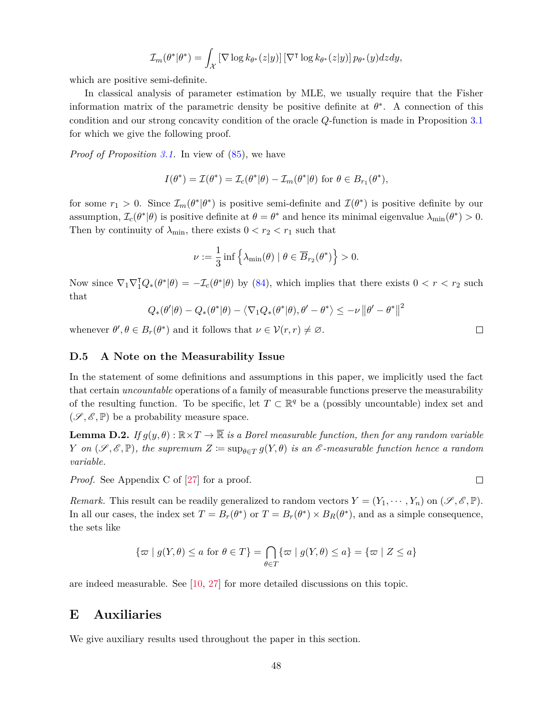$$
\mathcal{I}_m(\theta^*|\theta^*) = \int_{\mathcal{X}} \left[ \nabla \log k_{\theta^*}(z|y) \right] \left[ \nabla^{\mathsf{T}} \log k_{\theta^*}(z|y) \right] p_{\theta^*}(y) dz dy,
$$

which are positive semi-definite.

In classical analysis of parameter estimation by MLE, we usually require that the Fisher information matrix of the parametric density be positive definite at  $\theta^*$ . A connection of this condition and our strong concavity condition of the oracle *Q*-function is made in Proposition [3.1](#page-10-5) for which we give the following proof.

*Proof of Proposition* [3.1.](#page-10-5) In view of  $(85)$ , we have

$$
I(\theta^*) = \mathcal{I}(\theta^*) = \mathcal{I}_c(\theta^*|\theta) - \mathcal{I}_m(\theta^*|\theta) \text{ for } \theta \in B_{r_1}(\theta^*),
$$

for some  $r_1 > 0$ . Since  $\mathcal{I}_m(\theta^*|\theta^*)$  is positive semi-definite and  $\mathcal{I}(\theta^*)$  is positive definite by our assumption,  $\mathcal{I}_c(\theta^*|\theta)$  is positive definite at  $\theta = \theta^*$  and hence its minimal eigenvalue  $\lambda_{\min}(\theta^*) > 0$ . Then by continuity of  $\lambda_{\min}$ , there exists  $0 < r_2 < r_1$  such that

$$
\nu := \frac{1}{3} \inf \left\{ \lambda_{\min}(\theta) \mid \theta \in \overline{B}_{r_2}(\theta^*) \right\} > 0.
$$

Now since  $\nabla_1 \nabla_1^{\dagger} Q_*(\theta^*|\theta) = -\mathcal{I}_c(\theta^*|\theta)$  by [\(84\)](#page-46-4), which implies that there exists  $0 < r < r_2$  such that

$$
Q_*(\theta'|\theta) - Q_*(\theta^*|\theta) - \langle \nabla_1 Q_*(\theta^*|\theta), \theta' - \theta^* \rangle \leq -\nu \|\theta' - \theta^*\|^2
$$

whenever  $\theta', \theta \in B_r(\theta^*)$  and it follows that  $\nu \in \mathcal{V}(r,r) \neq \emptyset$ .

#### <span id="page-47-0"></span>**D.5 A Note on the Measurability Issue**

In the statement of some definitions and assumptions in this paper, we implicitly used the fact that certain *uncountable* operations of a family of measurable functions preserve the measurability of the resulting function. To be specific, let  $T \subset \mathbb{R}^q$  be a (possibly uncountable) index set and  $(\mathscr{S}, \mathscr{E}, \mathbb{P})$  be a probability measure space.

**Lemma D.2.** *If*  $g(y, \theta)$ :  $\mathbb{R} \times T \to \overline{\mathbb{R}}$  *is a Borel measurable function, then for any random variable Y on*  $(\mathscr{S}, \mathscr{E}, \mathbb{P})$ *, the supremum*  $Z \coloneqq \sup_{\theta \in T} g(Y, \theta)$  *is an*  $\mathscr{E}$ -measurable function hence a random *variable.*

*Proof.* See Appendix C of [\[27\]](#page-53-11) for a proof.

*Remark.* This result can be readily generalized to random vectors  $Y = (Y_1, \dots, Y_n)$  on  $(\mathscr{S}, \mathscr{E}, \mathbb{P})$ . In all our cases, the index set  $T = B_r(\theta^*)$  or  $T = B_r(\theta^*) \times B_R(\theta^*)$ , and as a simple consequence, the sets like

$$
\{\varpi \mid g(Y,\theta) \le a \text{ for } \theta \in T\} = \bigcap_{\theta \in T} \{\varpi \mid g(Y,\theta) \le a\} = \{\varpi \mid Z \le a\}
$$

are indeed measurable. See [\[10,](#page-52-8) [27\]](#page-53-11) for more detailed discussions on this topic.

# **E Auxiliaries**

We give auxiliary results used throughout the paper in this section.

 $\Box$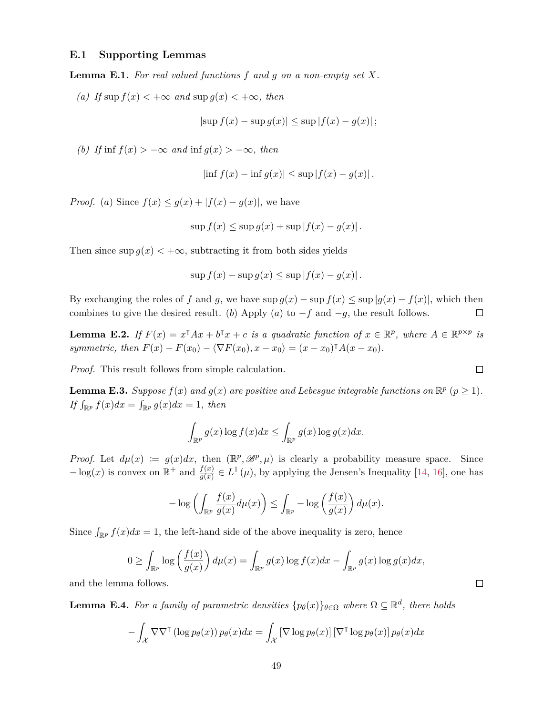# **E.1 Supporting Lemmas**

<span id="page-48-0"></span>**Lemma E.1.** *For real valued functions f and g on a non-empty set X.*

<span id="page-48-1"></span>*(a) If* sup *f*(*x*)  $\lt$  +∞ *and* sup *g*(*x*)  $\lt$  +∞, *then* 

$$
|\sup f(x) - \sup g(x)| \le \sup |f(x) - g(x)|;
$$

<span id="page-48-2"></span>*(b) If* inf  $f(x) > -\infty$  *and* inf  $g(x) > -\infty$ *, then* 

$$
\left|\inf f(x) - \inf g(x)\right| \le \sup |f(x) - g(x)|.
$$

*Proof.* (*a*) Since  $f(x) \leq g(x) + |f(x) - g(x)|$ , we have

$$
\sup f(x) \le \sup g(x) + \sup |f(x) - g(x)|.
$$

Then since  $\sup g(x) < +\infty$ , subtracting it from both sides yields

$$
\sup f(x) - \sup g(x) \le \sup |f(x) - g(x)|.
$$

By exchanging the roles of *f* and *g*, we have  $\sup g(x) - \sup f(x) \leq \sup |g(x) - f(x)|$ , which then combines to give the desired result. (*b*) Apply (*a*) to  $-f$  and  $-g$ , the result follows.  $\Box$ 

<span id="page-48-3"></span>**Lemma E.2.** If  $F(x) = x^{\text{T}}Ax + b^{\text{T}}x + c$  *is a quadratic function of*  $x \in \mathbb{R}^p$ , where  $A \in \mathbb{R}^{p \times p}$  *is symmetric, then*  $F(x) - F(x_0) - \langle \nabla F(x_0), x - x_0 \rangle = (x - x_0)^\intercal A(x - x_0)$ .

*Proof.* This result follows from simple calculation.

<span id="page-48-4"></span>**Lemma E.3.** *Suppose*  $f(x)$  *and*  $g(x)$  *are positive and Lebesgue integrable functions on*  $\mathbb{R}^p$   $(p \ge 1)$ *.* If  $\int_{\mathbb{R}^p} f(x)dx = \int_{\mathbb{R}^p} g(x)dx = 1$ , then

$$
\int_{\mathbb{R}^p} g(x) \log f(x) dx \le \int_{\mathbb{R}^p} g(x) \log g(x) dx.
$$

*Proof.* Let  $d\mu(x) := g(x)dx$ , then  $(\mathbb{R}^p, \mathscr{B}^p, \mu)$  is clearly a probability measure space. Since  $-\log(x)$  is convex on  $\mathbb{R}^+$  and  $\frac{f(x)}{g(x)} \in L^1(\mu)$ , by applying the Jensen's Inequality [\[14,](#page-52-6) [16\]](#page-52-9), one has

$$
-\log\left(\int_{\mathbb{R}^p}\frac{f(x)}{g(x)}d\mu(x)\right)\leq \int_{\mathbb{R}^p}-\log\left(\frac{f(x)}{g(x)}\right)d\mu(x).
$$

Since  $\int_{\mathbb{R}^p} f(x)dx = 1$ , the left-hand side of the above inequality is zero, hence

$$
0 \ge \int_{\mathbb{R}^p} \log \left( \frac{f(x)}{g(x)} \right) d\mu(x) = \int_{\mathbb{R}^p} g(x) \log f(x) dx - \int_{\mathbb{R}^p} g(x) \log g(x) dx,
$$

and the lemma follows.

<span id="page-48-5"></span>**Lemma E.4.** For a family of parametric densities  $\{p_{\theta}(x)\}_{\theta \in \Omega}$  where  $\Omega \subseteq \mathbb{R}^d$ , there holds

$$
- \int_{\mathcal{X}} \nabla \nabla^{\intercal} (\log p_{\theta}(x)) p_{\theta}(x) dx = \int_{\mathcal{X}} \left[ \nabla \log p_{\theta}(x) \right] \left[ \nabla^{\intercal} \log p_{\theta}(x) \right] p_{\theta}(x) dx
$$

 $\Box$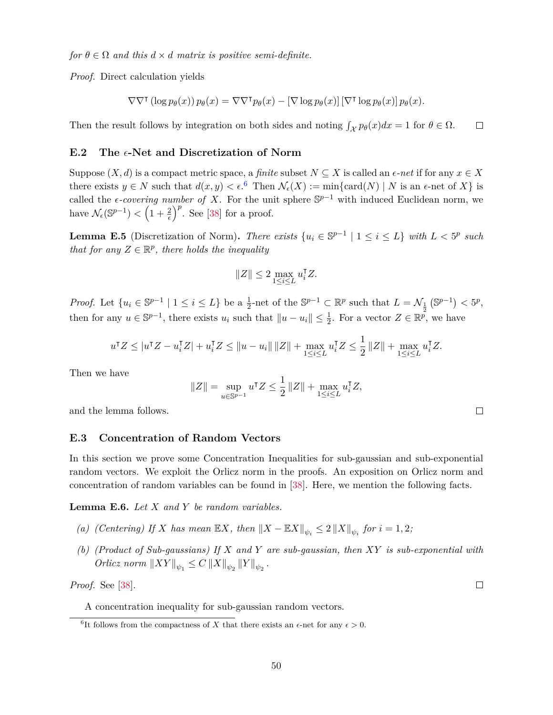*for*  $\theta \in \Omega$  *and this*  $d \times d$  *matrix is positive semi-definite.* 

*Proof.* Direct calculation yields

$$
\nabla \nabla^{\intercal} (\log p_{\theta}(x)) p_{\theta}(x) = \nabla \nabla^{\intercal} p_{\theta}(x) - [\nabla \log p_{\theta}(x)] [\nabla^{\intercal} \log p_{\theta}(x)] p_{\theta}(x).
$$

Then the result follows by integration on both sides and noting  $\int_{\mathcal{X}} p_{\theta}(x) dx = 1$  for  $\theta \in \Omega$ .  $\Box$ 

#### <span id="page-49-0"></span>E.2 The  $\epsilon$ -Net and Discretization of Norm

Suppose  $(X, d)$  is a compact metric space, a *finite* subset  $N \subseteq X$  is called an  $\epsilon$ -net if for any  $x \in X$ there exists  $y \in N$  such that  $d(x, y) < \epsilon$ .<sup>[6](#page-49-3)</sup> Then  $\mathcal{N}_{\epsilon}(X) := \min\{\text{card}(N) \mid N \text{ is an } \epsilon\text{-net of } X\}$  is called the  $\epsilon$ *-covering number of X*. For the unit sphere  $\mathbb{S}^{p-1}$  with induced Euclidean norm, we have  $\mathcal{N}_{\epsilon}(\mathbb{S}^{p-1}) < \left(1 + \frac{2}{\epsilon}\right)^p$ . See [\[38\]](#page-54-4) for a proof.

<span id="page-49-4"></span>**Lemma E.5** (Discretization of Norm). *There exists*  $\{u_i \in \mathbb{S}^{p-1} \mid 1 \le i \le L\}$  *with*  $L < 5^p$  *such that for any*  $Z \in \mathbb{R}^p$ *, there holds the inequality* 

$$
||Z|| \leq 2 \max_{1 \leq i \leq L} u_i^{\mathsf{T}} Z.
$$

*Proof.* Let  $\{u_i \in \mathbb{S}^{p-1} \mid 1 \le i \le L\}$  be a  $\frac{1}{2}$ -net of the  $\mathbb{S}^{p-1} \subset \mathbb{R}^p$  such that  $L = \mathcal{N}_{\frac{1}{2}}(\mathbb{S}^{p-1}) < 5^p$ , then for any  $u \in \mathbb{S}^{p-1}$ , there exists  $u_i$  such that  $||u - u_i|| \leq \frac{1}{2}$ . For a vector  $Z \in \mathbb{R}^p$ , we have

$$
u^\mathsf{T} Z \leq |u^\mathsf{T} Z - u_i^\mathsf{T} Z| + u_i^\mathsf{T} Z \leq \|u - u_i\| \|Z\| + \max_{1 \leq i \leq L} u_i^\mathsf{T} Z \leq \frac{1}{2} \|Z\| + \max_{1 \leq i \leq L} u_i^\mathsf{T} Z.
$$

Then we have

$$
||Z|| = \sup_{u \in \mathbb{S}^{p-1}} u^{\mathsf{T}} Z \le \frac{1}{2} ||Z|| + \max_{1 \le i \le L} u_i^{\mathsf{T}} Z,
$$

and the lemma follows.

#### **E.3 Concentration of Random Vectors**

In this section we prove some Concentration Inequalities for sub-gaussian and sub-exponential random vectors. We exploit the Orlicz norm in the proofs. An exposition on Orlicz norm and concentration of random variables can be found in [\[38\]](#page-54-4). Here, we mention the following facts.

<span id="page-49-1"></span>**Lemma E.6.** *Let X and Y be random variables.*

- <span id="page-49-5"></span>*(a) (Centering)* If *X has mean*  $\mathbb{E}X$ *, then*  $||X - \mathbb{E}X||_{\psi_i} \leq 2 ||X||_{\psi_i}$  *for*  $i = 1, 2$ *;*
- <span id="page-49-2"></span>*(b) (Product of Sub-gaussians) If X and Y are sub-gaussian, then XY is sub-exponential with*  $Orlicz \ norm \ \|XY\|_{\psi_1} \leq C \ \|X\|_{\psi_2} \|Y\|_{\psi_2}$ .

*Proof.* See [\[38\]](#page-54-4).

A concentration inequality for sub-gaussian random vectors.

 $\Box$ 

<span id="page-49-3"></span><sup>&</sup>lt;sup>6</sup>It follows from the compactness of *X* that there exists an  $\epsilon$ -net for any  $\epsilon > 0$ .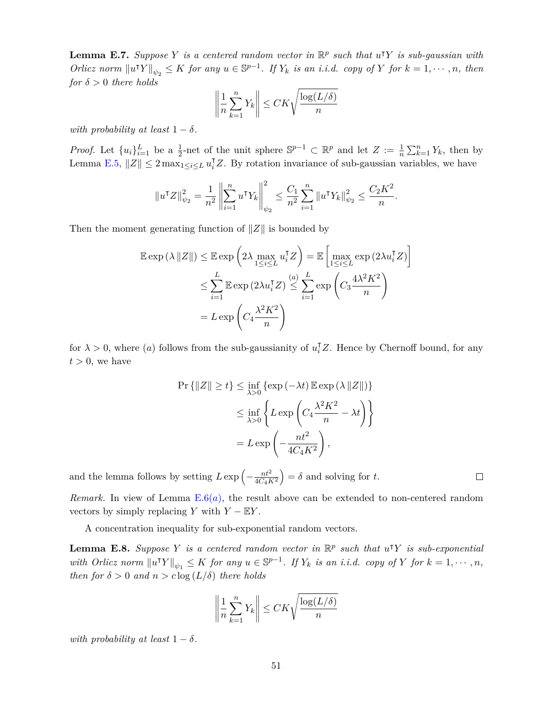<span id="page-50-1"></span>**Lemma E.7.** *Suppose Y is a centered random vector in*  $\mathbb{R}^p$  *such that*  $u^T Y$  *is sub-gaussian with* Orlicz norm  $||u^{\intercal}Y||_{\psi_2} \leq K$  for any  $u \in \mathbb{S}^{p-1}$ . If  $Y_k$  is an i.i.d. copy of Y for  $k = 1, \dots, n$ , then *for*  $\delta > 0$  *there holds* 

$$
\left\|\frac{1}{n}\sum_{k=1}^n Y_k\right\| \le CK\sqrt{\frac{\log(L/\delta)}{n}}
$$

*with probability at least*  $1 - \delta$ *.* 

*Proof.* Let  $\{u_i\}_{i=1}^L$  be a  $\frac{1}{2}$ -net of the unit sphere  $\mathbb{S}^{p-1} \subset \mathbb{R}^p$  and let  $Z := \frac{1}{n} \sum_{k=1}^n Y_k$ , then by Lemma [E.5,](#page-49-4)  $||Z|| \leq 2 \max_{1 \leq i \leq L} u_i^{\mathsf{T}} Z$ . By rotation invariance of sub-gaussian variables, we have

$$
||u^{\mathsf{T}}Z||_{\psi_2}^2 = \frac{1}{n^2} \left\| \sum_{i=1}^n u^{\mathsf{T}}Y_k \right\|_{\psi_2}^2 \le \frac{C_1}{n^2} \sum_{i=1}^n ||u^{\mathsf{T}}Y_k||_{\psi_2}^2 \le \frac{C_2 K^2}{n}.
$$

Then the moment generating function of  $\|Z\|$  is bounded by

$$
\mathbb{E} \exp \left( \lambda ||Z|| \right) \leq \mathbb{E} \exp \left( 2\lambda \max_{1 \leq i \leq L} u_i^{\mathsf{T}} Z \right) = \mathbb{E} \left[ \max_{1 \leq i \leq L} \exp \left( 2\lambda u_i^{\mathsf{T}} Z \right) \right]
$$

$$
\leq \sum_{i=1}^{L} \mathbb{E} \exp \left( 2\lambda u_i^{\mathsf{T}} Z \right) \leq \sum_{i=1}^{(a)} \exp \left( C_3 \frac{4\lambda^2 K^2}{n} \right)
$$

$$
= L \exp \left( C_4 \frac{\lambda^2 K^2}{n} \right)
$$

for  $\lambda > 0$ , where (*a*) follows from the sub-gaussianity of  $u_i^{\dagger}Z$ . Hence by Chernoff bound, for any  $t > 0$ , we have

$$
\Pr\{|Z\| \ge t\} \le \inf_{\lambda > 0} \{\exp(-\lambda t) \mathbb{E} \exp(\lambda ||Z||)\}
$$

$$
\le \inf_{\lambda > 0} \left\{ L \exp\left(C_4 \frac{\lambda^2 K^2}{n} - \lambda t\right) \right\}
$$

$$
= L \exp\left(-\frac{nt^2}{4C_4 K^2}\right),
$$

and the lemma follows by setting  $L \exp \left(-\frac{nt^2}{4C_0R}\right)$ 4*C*4*K*<sup>2</sup>  $= \delta$  and solving for *t*.

*Rem[a](#page-49-5)rk.* In view of Lemma  $E.6(a)$  $E.6(a)$ , the result above can be extended to non-centered random vectors by simply replacing *Y* with  $Y - \mathbb{E}Y$ .

 $\Box$ 

A concentration inequality for sub-exponential random vectors.

<span id="page-50-0"></span>**Lemma E.8.** Suppose Y is a centered random vector in  $\mathbb{R}^p$  such that  $u^T Y$  is sub-exponential with Orlicz norm  $||u^{\intercal}Y||_{\psi_1} \leq K$  for any  $u \in \mathbb{S}^{p-1}$ . If  $Y_k$  is an i.i.d. copy of Y for  $k = 1, \dots, n$ , *then for*  $\delta > 0$  *and*  $n > c \log(L/\delta)$  *there holds* 

$$
\left\|\frac{1}{n}\sum_{k=1}^n Y_k\right\| \le CK\sqrt{\frac{\log(L/\delta)}{n}}
$$

*with probability at least*  $1 - \delta$ *.*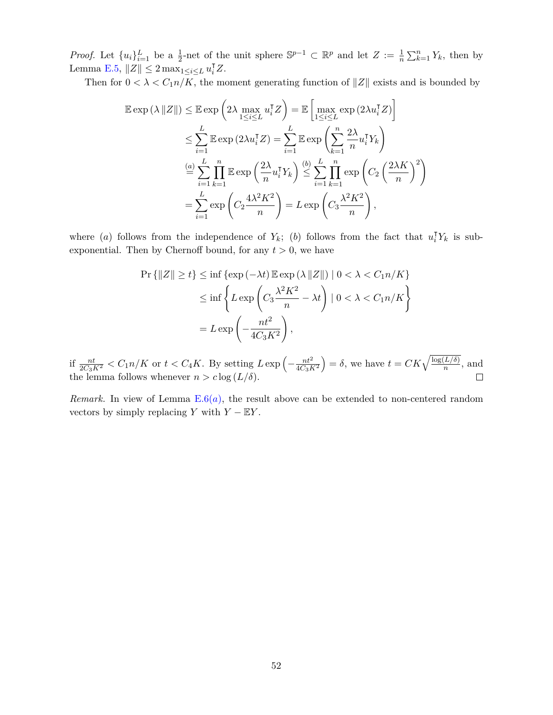*Proof.* Let  $\{u_i\}_{i=1}^L$  be a  $\frac{1}{2}$ -net of the unit sphere  $\mathbb{S}^{p-1} \subset \mathbb{R}^p$  and let  $Z := \frac{1}{n} \sum_{k=1}^n Y_k$ , then by Lemma [E.5,](#page-49-4)  $||Z|| \leq 2 \max_{1 \leq i \leq L} u_i^{\mathsf{T}} Z$ .

Then for  $0 < \lambda < C_1 n/K$ , the moment generating function of  $||Z||$  exists and is bounded by

$$
\mathbb{E} \exp \left( \lambda ||Z|| \right) \leq \mathbb{E} \exp \left( 2\lambda \max_{1 \leq i \leq L} u_i^{\mathsf{T}} Z \right) = \mathbb{E} \left[ \max_{1 \leq i \leq L} \exp \left( 2\lambda u_i^{\mathsf{T}} Z \right) \right]
$$
  
\n
$$
\leq \sum_{i=1}^{L} \mathbb{E} \exp \left( 2\lambda u_i^{\mathsf{T}} Z \right) = \sum_{i=1}^{L} \mathbb{E} \exp \left( \sum_{k=1}^{n} \frac{2\lambda}{n} u_i^{\mathsf{T}} Y_k \right)
$$
  
\n
$$
\stackrel{(a)}{=} \sum_{i=1}^{L} \prod_{k=1}^{n} \mathbb{E} \exp \left( \frac{2\lambda}{n} u_i^{\mathsf{T}} Y_k \right) \stackrel{(b)}{\leq} \sum_{i=1}^{L} \prod_{k=1}^{n} \exp \left( C_2 \left( \frac{2\lambda K}{n} \right)^2 \right)
$$
  
\n
$$
= \sum_{i=1}^{L} \exp \left( C_2 \frac{4\lambda^2 K^2}{n} \right) = L \exp \left( C_3 \frac{\lambda^2 K^2}{n} \right),
$$

where (*a*) follows from the independence of  $Y_k$ ; (*b*) follows from the fact that  $u_i^{\mathsf{T}} Y_k$  is subexponential. Then by Chernoff bound, for any  $t > 0$ , we have

$$
\Pr\{|Z\| \ge t\} \le \inf\{\exp\left(-\lambda t\right) \mathbb{E} \exp\left(\lambda \|Z\|\right) \mid 0 < \lambda < C_1 n/K\}
$$

$$
\le \inf\left\{ L \exp\left(C_3 \frac{\lambda^2 K^2}{n} - \lambda t\right) \mid 0 < \lambda < C_1 n/K\right\}
$$

$$
= L \exp\left(-\frac{nt^2}{4C_3 K^2}\right),
$$

if  $\frac{nt}{2C_3K^2} < C_1 n/K$  or  $t < C_4 K$ . By setting  $L \exp\left(-\frac{nt^2}{4C_3F}\right)$  $4C_3K^2$  $=\delta$ , we have  $t = CK\sqrt{\frac{\log(L/\delta)}{n}}$ , and the lemma follows whenever  $n > c \log(L/\delta)$ .

*Rem[a](#page-49-5)rk.* In view of Lemma  $E.6(a)$  $E.6(a)$ , the result above can be extended to non-centered random vectors by simply replacing *Y* with  $Y - \mathbb{E}Y$ .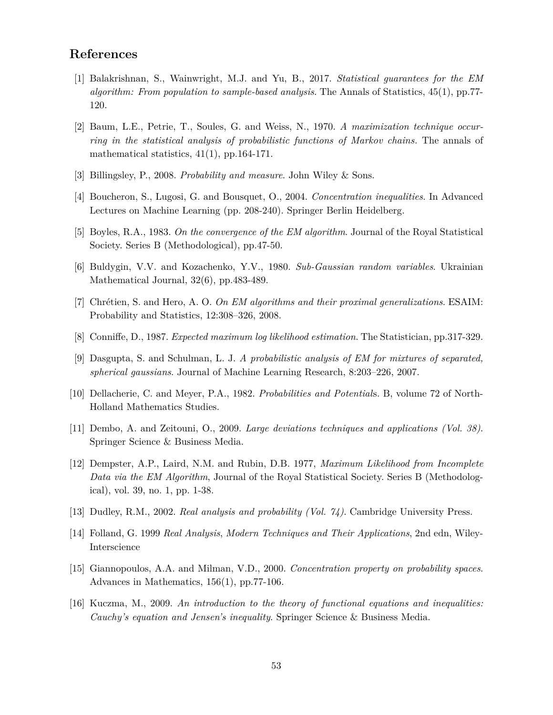# **References**

- <span id="page-52-3"></span>[1] Balakrishnan, S., Wainwright, M.J. and Yu, B., 2017. *Statistical guarantees for the EM algorithm: From population to sample-based analysis*. The Annals of Statistics, 45(1), pp.77- 120.
- <span id="page-52-0"></span>[2] Baum, L.E., Petrie, T., Soules, G. and Weiss, N., 1970. *A maximization technique occurring in the statistical analysis of probabilistic functions of Markov chains.* The annals of mathematical statistics, 41(1), pp.164-171.
- <span id="page-52-4"></span>[3] Billingsley, P., 2008. *Probability and measure*. John Wiley & Sons.
- [4] Boucheron, S., Lugosi, G. and Bousquet, O., 2004. *Concentration inequalities*. In Advanced Lectures on Machine Learning (pp. 208-240). Springer Berlin Heidelberg.
- <span id="page-52-2"></span>[5] Boyles, R.A., 1983. *On the convergence of the EM algorithm*. Journal of the Royal Statistical Society. Series B (Methodological), pp.47-50.
- [6] Buldygin, V.V. and Kozachenko, Y.V., 1980. *Sub-Gaussian random variables*. Ukrainian Mathematical Journal, 32(6), pp.483-489.
- [7] Chrétien, S. and Hero, A. O. *On EM algorithms and their proximal generalizations*. ESAIM: Probability and Statistics, 12:308–326, 2008.
- <span id="page-52-7"></span>[8] Conniffe, D., 1987. *Expected maximum log likelihood estimation*. The Statistician, pp.317-329.
- [9] Dasgupta, S. and Schulman, L. J. *A probabilistic analysis of EM for mixtures of separated, spherical gaussians*. Journal of Machine Learning Research, 8:203–226, 2007.
- <span id="page-52-8"></span>[10] Dellacherie, C. and Meyer, P.A., 1982. *Probabilities and Potential*s. B, volume 72 of North-Holland Mathematics Studies.
- [11] Dembo, A. and Zeitouni, O., 2009. *Large deviations techniques and applications (Vol. 38)*. Springer Science & Business Media.
- <span id="page-52-1"></span>[12] Dempster, A.P., Laird, N.M. and Rubin, D.B. 1977, *Maximum Likelihood from Incomplete Data via the EM Algorithm*, Journal of the Royal Statistical Society. Series B (Methodological), vol. 39, no. 1, pp. 1-38.
- <span id="page-52-5"></span>[13] Dudley, R.M., 2002. *Real analysis and probability (Vol. 74)*. Cambridge University Press.
- <span id="page-52-6"></span>[14] Folland, G. 1999 *Real Analysis*, *Modern Techniques and Their Applications*, 2nd edn, Wiley-Interscience
- [15] Giannopoulos, A.A. and Milman, V.D., 2000. *Concentration property on probability spaces*. Advances in Mathematics, 156(1), pp.77-106.
- <span id="page-52-9"></span>[16] Kuczma, M., 2009. *An introduction to the theory of functional equations and inequalities: Cauchy's equation and Jensen's inequality*. Springer Science & Business Media.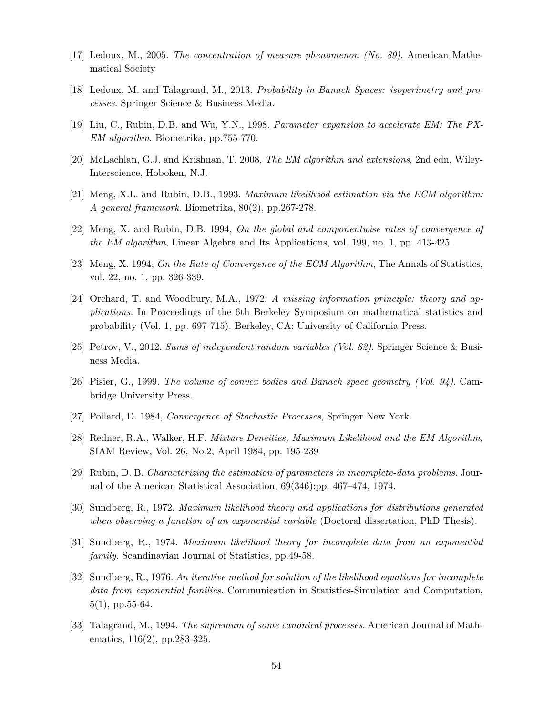- [17] Ledoux, M., 2005. *The concentration of measure phenomenon (No. 89)*. American Mathematical Society
- [18] Ledoux, M. and Talagrand, M., 2013. *Probability in Banach Spaces: isoperimetry and processes*. Springer Science & Business Media.
- <span id="page-53-9"></span>[19] Liu, C., Rubin, D.B. and Wu, Y.N., 1998. *Parameter expansion to accelerate EM: The PX-EM algorithm*. Biometrika, pp.755-770.
- <span id="page-53-10"></span>[20] McLachlan, G.J. and Krishnan, T. 2008, *The EM algorithm and extensions*, 2nd edn, Wiley-Interscience, Hoboken, N.J.
- <span id="page-53-8"></span>[21] Meng, X.L. and Rubin, D.B., 1993. *Maximum likelihood estimation via the ECM algorithm: A general framework*. Biometrika, 80(2), pp.267-278.
- <span id="page-53-6"></span>[22] Meng, X. and Rubin, D.B. 1994, *On the global and componentwise rates of convergence of the EM algorithm*, Linear Algebra and Its Applications, vol. 199, no. 1, pp. 413-425.
- <span id="page-53-7"></span>[23] Meng, X. 1994, *On the Rate of Convergence of the ECM Algorithm*, The Annals of Statistics, vol. 22, no. 1, pp. 326-339.
- <span id="page-53-0"></span>[24] Orchard, T. and Woodbury, M.A., 1972. *A missing information principle: theory and applications.* In Proceedings of the 6th Berkeley Symposium on mathematical statistics and probability (Vol. 1, pp. 697-715). Berkeley, CA: University of California Press.
- [25] Petrov, V., 2012. *Sums of independent random variables (Vol. 82)*. Springer Science & Business Media.
- [26] Pisier, G., 1999. *The volume of convex bodies and Banach space geometry (Vol. 94)*. Cambridge University Press.
- <span id="page-53-11"></span>[27] Pollard, D. 1984, *Convergence of Stochastic Processes*, Springer New York.
- <span id="page-53-5"></span>[28] Redner, R.A., Walker, H.F. *Mixture Densities, Maximum-Likelihood and the EM Algorithm,* SIAM Review, Vol. 26, No.2, April 1984, pp. 195-239
- <span id="page-53-2"></span>[29] Rubin, D. B. *Characterizing the estimation of parameters in incomplete-data problems.* Journal of the American Statistical Association, 69(346):pp. 467–474, 1974.
- <span id="page-53-1"></span>[30] Sundberg, R., 1972. *Maximum likelihood theory and applications for distributions generated when observing a function of an exponential variable* (Doctoral dissertation, PhD Thesis).
- <span id="page-53-3"></span>[31] Sundberg, R., 1974. *Maximum likelihood theory for incomplete data from an exponential family.* Scandinavian Journal of Statistics, pp.49-58.
- <span id="page-53-4"></span>[32] Sundberg, R., 1976. *An iterative method for solution of the likelihood equations for incomplete data from exponential families*. Communication in Statistics-Simulation and Computation,  $5(1)$ , pp.  $55-64$ .
- [33] Talagrand, M., 1994. *The supremum of some canonical processes*. American Journal of Mathematics, 116(2), pp.283-325.